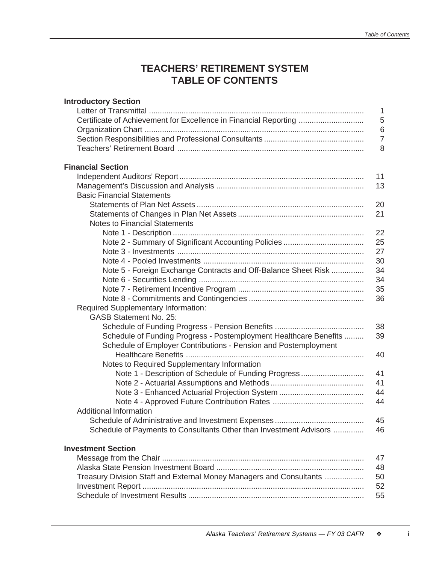# **TEACHERS' RETIREMENT SYSTEM TABLE OF CONTENTS**

| <b>Introductory Section</b>                                         |                |
|---------------------------------------------------------------------|----------------|
|                                                                     | 1              |
| Certificate of Achievement for Excellence in Financial Reporting    | 5              |
|                                                                     | 6              |
|                                                                     | $\overline{7}$ |
|                                                                     | 8              |
| <b>Financial Section</b>                                            |                |
|                                                                     | 11             |
|                                                                     | 13             |
| <b>Basic Financial Statements</b>                                   |                |
|                                                                     | 20             |
|                                                                     | 21             |
| <b>Notes to Financial Statements</b>                                |                |
|                                                                     | 22             |
|                                                                     | 25             |
|                                                                     | 27             |
|                                                                     | 30             |
| Note 5 - Foreign Exchange Contracts and Off-Balance Sheet Risk      | 34             |
|                                                                     | 34             |
|                                                                     | 35             |
|                                                                     | 36             |
| <b>Required Supplementary Information:</b>                          |                |
| <b>GASB Statement No. 25:</b>                                       |                |
|                                                                     | 38             |
| Schedule of Funding Progress - Postemployment Healthcare Benefits   | 39             |
| Schedule of Employer Contributions - Pension and Postemployment     |                |
|                                                                     | 40             |
| Notes to Required Supplementary Information                         |                |
| Note 1 - Description of Schedule of Funding Progress                | 41             |
|                                                                     | 41             |
|                                                                     | 44             |
|                                                                     | 44             |
| <b>Additional Information</b>                                       |                |
|                                                                     |                |
|                                                                     | 45             |
| Schedule of Payments to Consultants Other than Investment Advisors  | 46             |
| <b>Investment Section</b>                                           |                |
|                                                                     | 47             |
|                                                                     | 48             |
| Treasury Division Staff and External Money Managers and Consultants | 50             |
|                                                                     | 52             |

Schedule of Investment Results ................................................................................. 55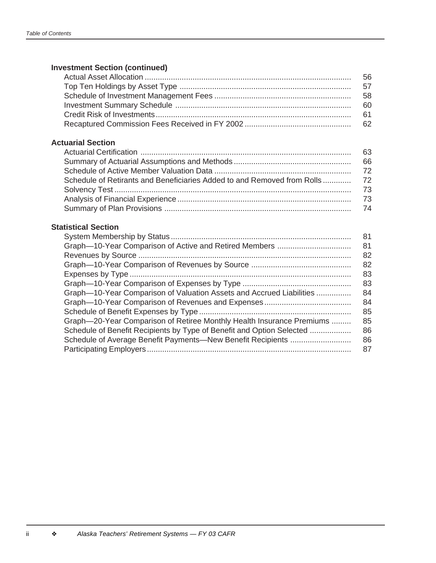### **Investment Section (continued)**

| -56 |
|-----|
|     |
| -58 |
| -60 |
|     |
|     |

### **Actuarial Section**

|                                                                            | -63 |
|----------------------------------------------------------------------------|-----|
|                                                                            |     |
|                                                                            |     |
| Schedule of Retirants and Beneficiaries Added to and Removed from Rolls 72 |     |
|                                                                            |     |
|                                                                            |     |
|                                                                            |     |

#### **Statistical Section**

|                                                                       | 81 |
|-----------------------------------------------------------------------|----|
|                                                                       | 81 |
|                                                                       | 82 |
|                                                                       | 82 |
|                                                                       | 83 |
|                                                                       | 83 |
| Graph-10-Year Comparison of Valuation Assets and Accrued Liabilities  | 84 |
|                                                                       | 84 |
|                                                                       | 85 |
| Graph-20-Year Comparison of Retiree Monthly Health Insurance Premiums | 85 |
| Schedule of Benefit Recipients by Type of Benefit and Option Selected | 86 |
|                                                                       | 86 |
|                                                                       | 87 |
|                                                                       |    |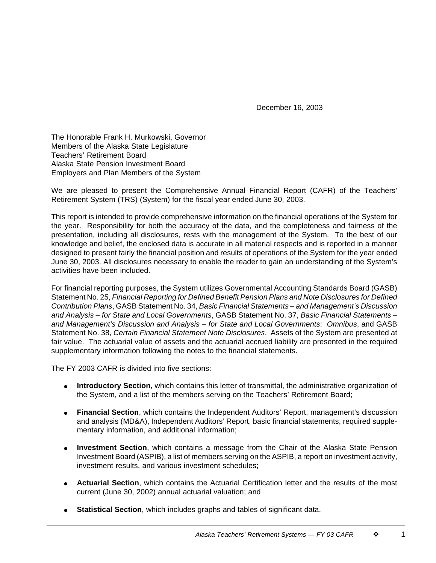December 16, 2003

The Honorable Frank H. Murkowski, Governor Members of the Alaska State Legislature Teachers' Retirement Board Alaska State Pension Investment Board Employers and Plan Members of the System

We are pleased to present the Comprehensive Annual Financial Report (CAFR) of the Teachers' Retirement System (TRS) (System) for the fiscal year ended June 30, 2003.

This report is intended to provide comprehensive information on the financial operations of the System for the year. Responsibility for both the accuracy of the data, and the completeness and fairness of the presentation, including all disclosures, rests with the management of the System. To the best of our knowledge and belief, the enclosed data is accurate in all material respects and is reported in a manner designed to present fairly the financial position and results of operations of the System for the year ended June 30, 2003. All disclosures necessary to enable the reader to gain an understanding of the System's activities have been included.

For financial reporting purposes, the System utilizes Governmental Accounting Standards Board (GASB) Statement No. 25, *Financial Reporting for Defined Benefit Pension Plans and Note Disclosures for Defined Contribution Plans*, GASB Statement No. 34, *Basic Financial Statements – and Management's Discussion and Analysis – for State and Local Governments*, GASB Statement No. 37, *Basic Financial Statements – and Management's Discussion and Analysis – for State and Local Governments*: *Omnibus*, and GASB Statement No. 38, *Certain Financial Statement Note Disclosures*. Assets of the System are presented at fair value. The actuarial value of assets and the actuarial accrued liability are presented in the required supplementary information following the notes to the financial statements.

The FY 2003 CAFR is divided into five sections:

- **Introductory Section**, which contains this letter of transmittal, the administrative organization of the System, and a list of the members serving on the Teachers' Retirement Board;
- **Financial Section**, which contains the Independent Auditors' Report, management's discussion and analysis (MD&A), Independent Auditors' Report, basic financial statements, required supplementary information, and additional information;
- **Investment Section**, which contains a message from the Chair of the Alaska State Pension Investment Board (ASPIB), a list of members serving on the ASPIB, a report on investment activity, investment results, and various investment schedules;
- **Actuarial Section**, which contains the Actuarial Certification letter and the results of the most current (June 30, 2002) annual actuarial valuation; and
- **Statistical Section**, which includes graphs and tables of significant data.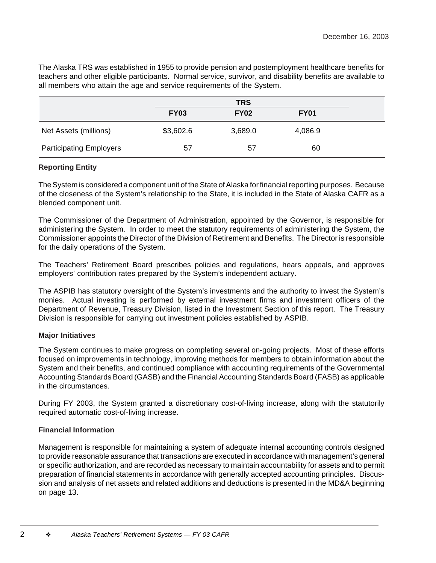The Alaska TRS was established in 1955 to provide pension and postemployment healthcare benefits for teachers and other eligible participants. Normal service, survivor, and disability benefits are available to all members who attain the age and service requirements of the System.

|                                |             | <b>TRS</b>  |             |  |  |  |
|--------------------------------|-------------|-------------|-------------|--|--|--|
|                                | <b>FY03</b> | <b>FY02</b> | <b>FY01</b> |  |  |  |
| Net Assets (millions)          | \$3,602.6   | 3,689.0     | 4,086.9     |  |  |  |
| <b>Participating Employers</b> | 57          | 57          | 60          |  |  |  |

#### **Reporting Entity**

The System is considered a component unit of the State of Alaska for financial reporting purposes. Because of the closeness of the System's relationship to the State, it is included in the State of Alaska CAFR as a blended component unit.

The Commissioner of the Department of Administration, appointed by the Governor, is responsible for administering the System. In order to meet the statutory requirements of administering the System, the Commissioner appoints the Director of the Division of Retirement and Benefits. The Director is responsible for the daily operations of the System.

The Teachers' Retirement Board prescribes policies and regulations, hears appeals, and approves employers' contribution rates prepared by the System's independent actuary.

The ASPIB has statutory oversight of the System's investments and the authority to invest the System's monies. Actual investing is performed by external investment firms and investment officers of the Department of Revenue, Treasury Division, listed in the Investment Section of this report. The Treasury Division is responsible for carrying out investment policies established by ASPIB.

#### **Major Initiatives**

The System continues to make progress on completing several on-going projects. Most of these efforts focused on improvements in technology, improving methods for members to obtain information about the System and their benefits, and continued compliance with accounting requirements of the Governmental Accounting Standards Board (GASB) and the Financial Accounting Standards Board (FASB) as applicable in the circumstances.

During FY 2003, the System granted a discretionary cost-of-living increase, along with the statutorily required automatic cost-of-living increase.

#### **Financial Information**

Management is responsible for maintaining a system of adequate internal accounting controls designed to provide reasonable assurance that transactions are executed in accordance with management's general or specific authorization, and are recorded as necessary to maintain accountability for assets and to permit preparation of financial statements in accordance with generally accepted accounting principles. Discussion and analysis of net assets and related additions and deductions is presented in the MD&A beginning on page 13.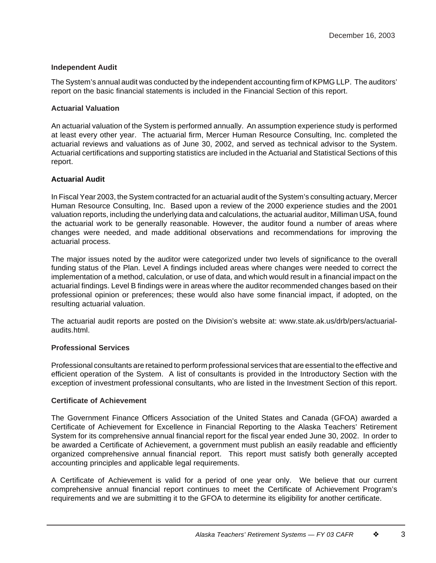#### **Independent Audit**

The System's annual audit was conducted by the independent accounting firm of KPMG LLP. The auditors' report on the basic financial statements is included in the Financial Section of this report.

#### **Actuarial Valuation**

An actuarial valuation of the System is performed annually. An assumption experience study is performed at least every other year. The actuarial firm, Mercer Human Resource Consulting, Inc. completed the actuarial reviews and valuations as of June 30, 2002, and served as technical advisor to the System. Actuarial certifications and supporting statistics are included in the Actuarial and Statistical Sections of this report.

#### **Actuarial Audit**

In Fiscal Year 2003, the System contracted for an actuarial audit of the System's consulting actuary, Mercer Human Resource Consulting, Inc. Based upon a review of the 2000 experience studies and the 2001 valuation reports, including the underlying data and calculations, the actuarial auditor, Milliman USA, found the actuarial work to be generally reasonable. However, the auditor found a number of areas where changes were needed, and made additional observations and recommendations for improving the actuarial process.

The major issues noted by the auditor were categorized under two levels of significance to the overall funding status of the Plan. Level A findings included areas where changes were needed to correct the implementation of a method, calculation, or use of data, and which would result in a financial impact on the actuarial findings. Level B findings were in areas where the auditor recommended changes based on their professional opinion or preferences; these would also have some financial impact, if adopted, on the resulting actuarial valuation.

The actuarial audit reports are posted on the Division's website at: www.state.ak.us/drb/pers/actuarialaudits.html

#### **Professional Services**

Professional consultants are retained to perform professional services that are essential to the effective and efficient operation of the System. A list of consultants is provided in the Introductory Section with the exception of investment professional consultants, who are listed in the Investment Section of this report.

#### **Certificate of Achievement**

The Government Finance Officers Association of the United States and Canada (GFOA) awarded a Certificate of Achievement for Excellence in Financial Reporting to the Alaska Teachers' Retirement System for its comprehensive annual financial report for the fiscal year ended June 30, 2002. In order to be awarded a Certificate of Achievement, a government must publish an easily readable and efficiently organized comprehensive annual financial report. This report must satisfy both generally accepted accounting principles and applicable legal requirements.

A Certificate of Achievement is valid for a period of one year only. We believe that our current comprehensive annual financial report continues to meet the Certificate of Achievement Program's requirements and we are submitting it to the GFOA to determine its eligibility for another certificate.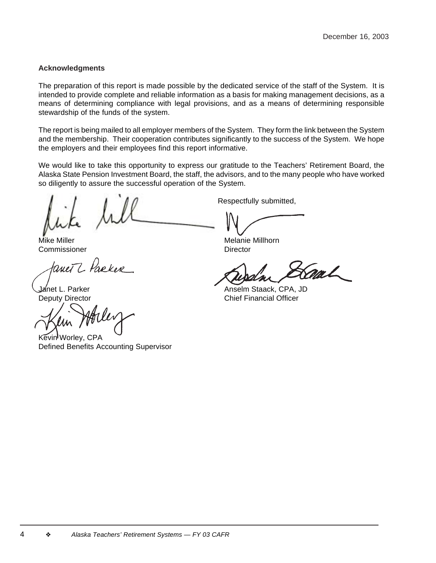#### **Acknowledgments**

The preparation of this report is made possible by the dedicated service of the staff of the System. It is intended to provide complete and reliable information as a basis for making management decisions, as a means of determining compliance with legal provisions, and as a means of determining responsible stewardship of the funds of the system.

The report is being mailed to all employer members of the System. They form the link between the System and the membership. Their cooperation contributes significantly to the success of the System. We hope the employers and their employees find this report informative.

We would like to take this opportunity to express our gratitude to the Teachers' Retirement Board, the Alaska State Pension Investment Board, the staff, the advisors, and to the many people who have worked so diligently to assure the successful operation of the System.

Commissioner **Director** Director

tanet 2 Parke

Kevin<sup>i</sup> Worley, CPA Defined Benefits Accounting Supervisor

Respectfully submitted,

Mike Miller **Mike Millhorn** 

Tranh

Janet L. Parker Anselm Staack, CPA, JD Deputy Director Chief Financial Officer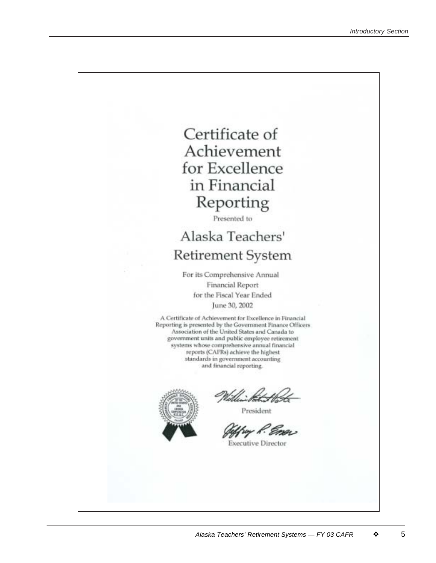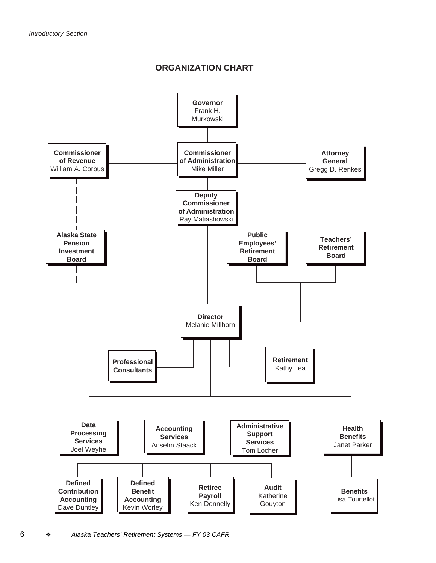#### **ORGANIZATION CHART**

December 16, 2003

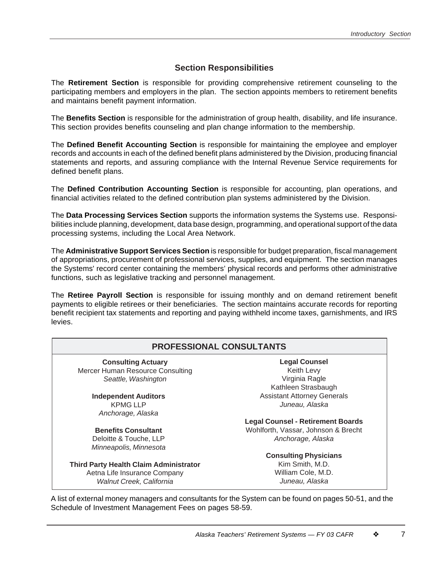#### **Section Responsibilities**

The **Retirement Section** is responsible for providing comprehensive retirement counseling to the participating members and employers in the plan. The section appoints members to retirement benefits and maintains benefit payment information.

The **Benefits Section** is responsible for the administration of group health, disability, and life insurance. This section provides benefits counseling and plan change information to the membership.

The **Defined Benefit Accounting Section** is responsible for maintaining the employee and employer records and accounts in each of the defined benefit plans administered by the Division, producing financial statements and reports, and assuring compliance with the Internal Revenue Service requirements for defined benefit plans.

The **Defined Contribution Accounting Section** is responsible for accounting, plan operations, and financial activities related to the defined contribution plan systems administered by the Division.

The **Data Processing Services Section** supports the information systems the Systems use. Responsibilities include planning, development, data base design, programming, and operational support of the data processing systems, including the Local Area Network.

The **Administrative Support Services Section** is responsible for budget preparation, fiscal management of appropriations, procurement of professional services, supplies, and equipment. The section manages the Systems' record center containing the members' physical records and performs other administrative functions, such as legislative tracking and personnel management.

The **Retiree Payroll Section** is responsible for issuing monthly and on demand retirement benefit payments to eligible retirees or their beneficiaries. The section maintains accurate records for reporting benefit recipient tax statements and reporting and paying withheld income taxes, garnishments, and IRS levies.

| <b>PROFESSIONAL CONSULTANTS</b>               |                                          |  |  |  |  |
|-----------------------------------------------|------------------------------------------|--|--|--|--|
| <b>Consulting Actuary</b>                     | <b>Legal Counsel</b>                     |  |  |  |  |
| Mercer Human Resource Consulting              | Keith Levy                               |  |  |  |  |
| Seattle, Washington                           | Virginia Ragle                           |  |  |  |  |
|                                               | Kathleen Strasbaugh                      |  |  |  |  |
| <b>Independent Auditors</b>                   | <b>Assistant Attorney Generals</b>       |  |  |  |  |
| <b>KPMG LLP</b>                               | Juneau, Alaska                           |  |  |  |  |
| Anchorage, Alaska                             |                                          |  |  |  |  |
|                                               | <b>Legal Counsel - Retirement Boards</b> |  |  |  |  |
| <b>Benefits Consultant</b>                    | Wohlforth, Vassar, Johnson & Brecht      |  |  |  |  |
| Deloitte & Touche, LLP                        | Anchorage, Alaska                        |  |  |  |  |
| Minneapolis, Minnesota                        |                                          |  |  |  |  |
|                                               | <b>Consulting Physicians</b>             |  |  |  |  |
| <b>Third Party Health Claim Administrator</b> | Kim Smith, M.D.                          |  |  |  |  |
| Aetna Life Insurance Company                  | William Cole, M.D.                       |  |  |  |  |
| Walnut Creek, California                      | Juneau, Alaska                           |  |  |  |  |

A list of external money managers and consultants for the System can be found on pages 50-51, and the Schedule of Investment Management Fees on pages 58-59.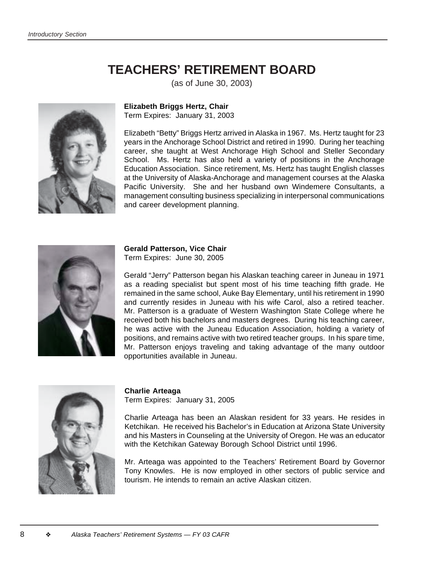# **TEACHERS' RETIREMENT BOARD**

(as of June 30, 2003)



**Elizabeth Briggs Hertz, Chair**

Term Expires: January 31, 2003

Elizabeth "Betty" Briggs Hertz arrived in Alaska in 1967. Ms. Hertz taught for 23 years in the Anchorage School District and retired in 1990. During her teaching career, she taught at West Anchorage High School and Steller Secondary School. Ms. Hertz has also held a variety of positions in the Anchorage Education Association. Since retirement, Ms. Hertz has taught English classes at the University of Alaska-Anchorage and management courses at the Alaska Pacific University. She and her husband own Windemere Consultants, a management consulting business specializing in interpersonal communications and career development planning.

December 16, 2003



**Gerald Patterson, Vice Chair** Term Expires: June 30, 2005

Gerald "Jerry" Patterson began his Alaskan teaching career in Juneau in 1971 as a reading specialist but spent most of his time teaching fifth grade. He remained in the same school, Auke Bay Elementary, until his retirement in 1990 and currently resides in Juneau with his wife Carol, also a retired teacher. Mr. Patterson is a graduate of Western Washington State College where he received both his bachelors and masters degrees. During his teaching career, he was active with the Juneau Education Association, holding a variety of positions, and remains active with two retired teacher groups. In his spare time, Mr. Patterson enjoys traveling and taking advantage of the many outdoor opportunities available in Juneau.



**Charlie Arteaga** Term Expires: January 31, 2005

Charlie Arteaga has been an Alaskan resident for 33 years. He resides in Ketchikan. He received his Bachelor's in Education at Arizona State University and his Masters in Counseling at the University of Oregon. He was an educator with the Ketchikan Gateway Borough School District until 1996.

Mr. Arteaga was appointed to the Teachers' Retirement Board by Governor Tony Knowles. He is now employed in other sectors of public service and tourism. He intends to remain an active Alaskan citizen.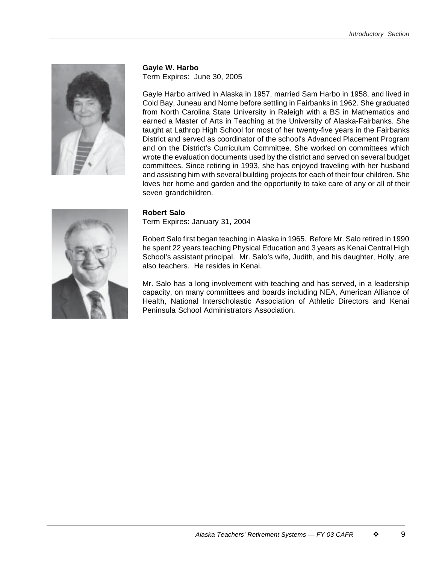

**Gayle W. Harbo**

Term Expires: June 30, 2005

Gayle Harbo arrived in Alaska in 1957, married Sam Harbo in 1958, and lived in Cold Bay, Juneau and Nome before settling in Fairbanks in 1962. She graduated from North Carolina State University in Raleigh with a BS in Mathematics and earned a Master of Arts in Teaching at the University of Alaska-Fairbanks. She taught at Lathrop High School for most of her twenty-five years in the Fairbanks District and served as coordinator of the school's Advanced Placement Program and on the District's Curriculum Committee. She worked on committees which wrote the evaluation documents used by the district and served on several budget committees. Since retiring in 1993, she has enjoyed traveling with her husband and assisting him with several building projects for each of their four children. She loves her home and garden and the opportunity to take care of any or all of their seven grandchildren.



#### **Robert Salo**

Term Expires: January 31, 2004

Robert Salo first began teaching in Alaska in 1965. Before Mr. Salo retired in 1990 he spent 22 years teaching Physical Education and 3 years as Kenai Central High School's assistant principal. Mr. Salo's wife, Judith, and his daughter, Holly, are also teachers. He resides in Kenai.

Mr. Salo has a long involvement with teaching and has served, in a leadership capacity, on many committees and boards including NEA, American Alliance of Health, National Interscholastic Association of Athletic Directors and Kenai Peninsula School Administrators Association.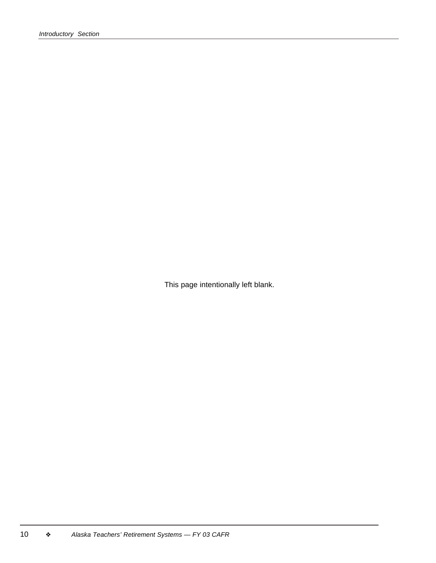This page intentionally left blank.

December 16, 2003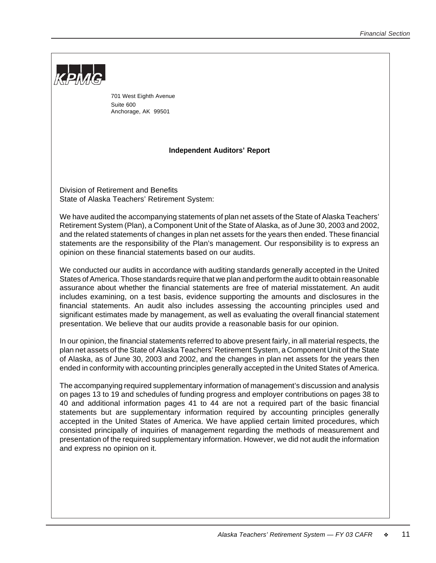

701 West Eighth Avenue Suite 600 Anchorage, AK 99501

#### **Independent Auditors' Report**

Division of Retirement and Benefits State of Alaska Teachers' Retirement System:

We have audited the accompanying statements of plan net assets of the State of Alaska Teachers' Retirement System (Plan), a Component Unit of the State of Alaska, as of June 30, 2003 and 2002, and the related statements of changes in plan net assets for the years then ended. These financial statements are the responsibility of the Plan's management. Our responsibility is to express an opinion on these financial statements based on our audits.

We conducted our audits in accordance with auditing standards generally accepted in the United States of America. Those standards require that we plan and perform the audit to obtain reasonable assurance about whether the financial statements are free of material misstatement. An audit includes examining, on a test basis, evidence supporting the amounts and disclosures in the financial statements. An audit also includes assessing the accounting principles used and significant estimates made by management, as well as evaluating the overall financial statement presentation. We believe that our audits provide a reasonable basis for our opinion.

In our opinion, the financial statements referred to above present fairly, in all material respects, the plan net assets of the State of Alaska Teachers' Retirement System, a Component Unit of the State of Alaska, as of June 30, 2003 and 2002, and the changes in plan net assets for the years then ended in conformity with accounting principles generally accepted in the United States of America.

The accompanying required supplementary information of management's discussion and analysis on pages 13 to 19 and schedules of funding progress and employer contributions on pages 38 to 40 and additional information pages 41 to 44 are not a required part of the basic financial statements but are supplementary information required by accounting principles generally accepted in the United States of America. We have applied certain limited procedures, which consisted principally of inquiries of management regarding the methods of measurement and presentation of the required supplementary information. However, we did not audit the information and express no opinion on it.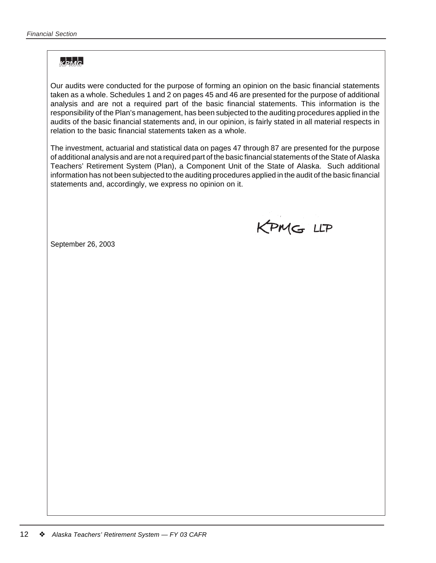### $K$  $R$  $A$  $G$

Our audits were conducted for the purpose of forming an opinion on the basic financial statements taken as a whole. Schedules 1 and 2 on pages 45 and 46 are presented for the purpose of additional analysis and are not a required part of the basic financial statements. This information is the responsibility of the Plan's management, has been subjected to the auditing procedures applied in the audits of the basic financial statements and, in our opinion, is fairly stated in all material respects in relation to the basic financial statements taken as a whole.

The investment, actuarial and statistical data on pages 47 through 87 are presented for the purpose of additional analysis and are not a required part of the basic financial statements of the State of Alaska Teachers' Retirement System (Plan), a Component Unit of the State of Alaska. Such additional information has not been subjected to the auditing procedures applied in the audit of the basic financial statements and, accordingly, we express no opinion on it.

KPMG LLP

September 26, 2003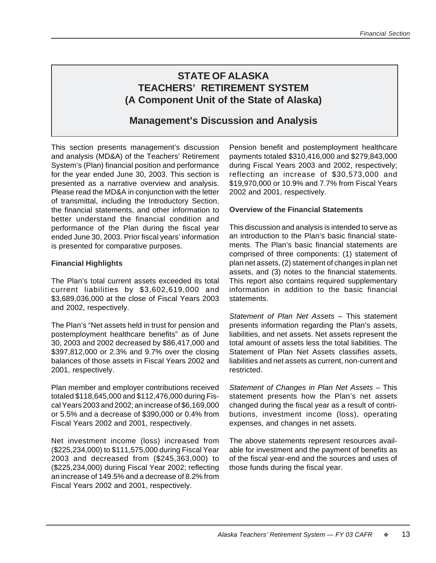# **Management's Discussion and Analysis**

This section presents management's discussion and analysis (MD&A) of the Teachers' Retirement System's (Plan) financial position and performance for the year ended June 30, 2003. This section is presented as a narrative overview and analysis. Please read the MD&A in conjunction with the letter of transmittal, including the Introductory Section, the financial statements, and other information to better understand the financial condition and performance of the Plan during the fiscal year ended June 30, 2003. Prior fiscal years' information is presented for comparative purposes.

#### **Financial Highlights**

The Plan's total current assets exceeded its total current liabilities by \$3,602,619,000 and \$3,689,036,000 at the close of Fiscal Years 2003 and 2002, respectively.

The Plan's "Net assets held in trust for pension and postemployment healthcare benefits" as of June 30, 2003 and 2002 decreased by \$86,417,000 and \$397,812,000 or 2.3% and 9.7% over the closing balances of those assets in Fiscal Years 2002 and 2001, respectively.

Plan member and employer contributions received totaled \$118,645,000 and \$112,476,000 during Fiscal Years 2003 and 2002; an increase of \$6,169,000 or 5.5% and a decrease of \$390,000 or 0.4% from Fiscal Years 2002 and 2001, respectively.

Net investment income (loss) increased from (\$225,234,000) to \$111,575,000 during Fiscal Year 2003 and decreased from (\$245,363,000) to (\$225,234,000) during Fiscal Year 2002; reflecting an increase of 149.5% and a decrease of 8.2% from Fiscal Years 2002 and 2001, respectively.

Pension benefit and postemployment healthcare payments totaled \$310,416,000 and \$279,843,000 during Fiscal Years 2003 and 2002, respectively; reflecting an increase of \$30,573,000 and \$19,970,000 or 10.9% and 7.7% from Fiscal Years 2002 and 2001, respectively.

#### **Overview of the Financial Statements**

This discussion and analysis is intended to serve as an introduction to the Plan's basic financial statements. The Plan's basic financial statements are comprised of three components: (1) statement of plan net assets, (2) statement of changes in plan net assets, and (3) notes to the financial statements. This report also contains required supplementary information in addition to the basic financial statements.

*Statement of Plan Net Assets* – This statement presents information regarding the Plan's assets, liabilities, and net assets. Net assets represent the total amount of assets less the total liabilities. The Statement of Plan Net Assets classifies assets, liabilities and net assets as current, non-current and restricted.

*Statement of Changes in Plan Net Assets* – This statement presents how the Plan's net assets changed during the fiscal year as a result of contributions, investment income (loss), operating expenses, and changes in net assets.

The above statements represent resources available for investment and the payment of benefits as of the fiscal year-end and the sources and uses of those funds during the fiscal year.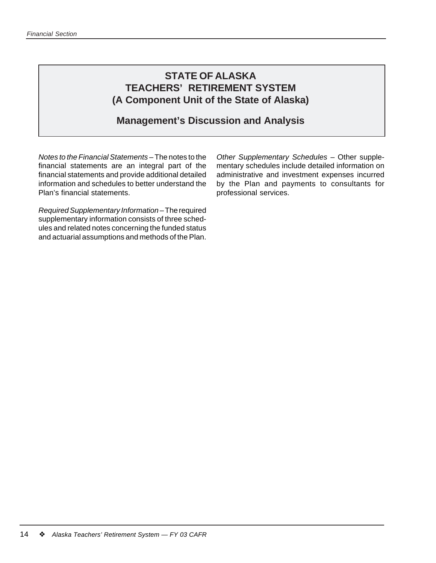### **Management's Discussion and Analysis**

*Notes to the Financial Statements* – The notes to the financial statements are an integral part of the financial statements and provide additional detailed information and schedules to better understand the Plan's financial statements.

*Required Supplementary Information* – The required supplementary information consists of three schedules and related notes concerning the funded status and actuarial assumptions and methods of the Plan. *Other Supplementary Schedules* – Other supplementary schedules include detailed information on administrative and investment expenses incurred by the Plan and payments to consultants for professional services.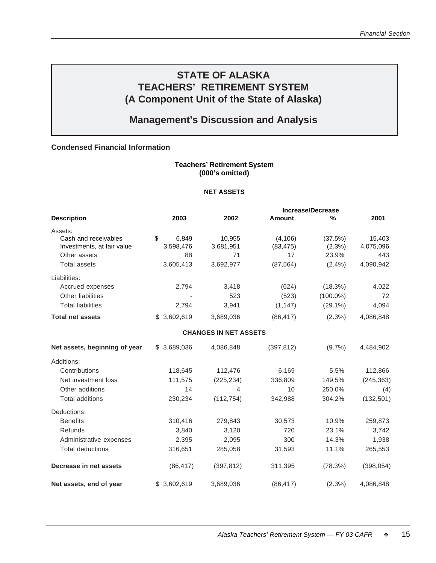### **Management's Discussion and Analysis**

#### **Condensed Financial Information**

#### **Teachers' Retirement System (000's omitted)**

#### **NET ASSETS**

| <b>Increase/Decrease</b>      |                 |                              |               |               |            |
|-------------------------------|-----------------|------------------------------|---------------|---------------|------------|
| <b>Description</b>            | 2003            | 2002                         | <b>Amount</b> | $\frac{9}{6}$ | 2001       |
| Assets:                       |                 |                              |               |               |            |
| Cash and receivables          | \$<br>6,849     | 10,955                       | (4, 106)      | (37.5%)       | 15,403     |
| Investments, at fair value    | 3,598,476       | 3,681,951                    | (83, 475)     | (2.3%)        | 4,075,096  |
| Other assets                  | 88              | 71                           | 17            | 23.9%         | 443        |
| <b>Total assets</b>           | 3,605,413       | 3,692,977                    | (87, 564)     | $(2.4\%)$     | 4,090,942  |
| Liabilities:                  |                 |                              |               |               |            |
| Accrued expenses              | 2,794           | 3,418                        | (624)         | (18.3%)       | 4,022      |
| Other liabilities             |                 | 523                          | (523)         | $(100.0\%)$   | 72         |
| <b>Total liabilities</b>      | 2,794           | 3,941                        | (1, 147)      | $(29.1\%)$    | 4,094      |
| <b>Total net assets</b>       | \$3,602,619     | 3,689,036                    | (86, 417)     | $(2.3\%)$     | 4,086,848  |
|                               |                 | <b>CHANGES IN NET ASSETS</b> |               |               |            |
| Net assets, beginning of year | \$3,689,036     | 4,086,848                    | (397, 812)    | $(9.7\%)$     | 4,484,902  |
| Additions:                    |                 |                              |               |               |            |
| Contributions                 | 118,645         | 112,476                      | 6,169         | 5.5%          | 112,866    |
| Net investment loss           | 111,575         | (225, 234)                   | 336,809       | 149.5%        | (245, 363) |
| Other additions               | 14              | 4                            | 10            | 250.0%        | (4)        |
| <b>Total additions</b>        | 230,234         | (112, 754)                   | 342,988       | 304.2%        | (132, 501) |
| Deductions:                   |                 |                              |               |               |            |
| <b>Benefits</b>               | 310,416         | 279,843                      | 30,573        | 10.9%         | 259,873    |
| <b>Refunds</b>                | 3,840           | 3,120                        | 720           | 23.1%         | 3,742      |
| Administrative expenses       | 2,395           | 2,095                        | 300           | 14.3%         | 1,938      |
| <b>Total deductions</b>       | 316,651         | 285,058                      | 31,593        | 11.1%         | 265,553    |
| Decrease in net assets        | (86, 417)       | (397, 812)                   | 311,395       | (78.3%)       | (398, 054) |
| Net assets, end of year       | 3,602,619<br>\$ | 3,689,036                    | (86, 417)     | $(2.3\%)$     | 4,086,848  |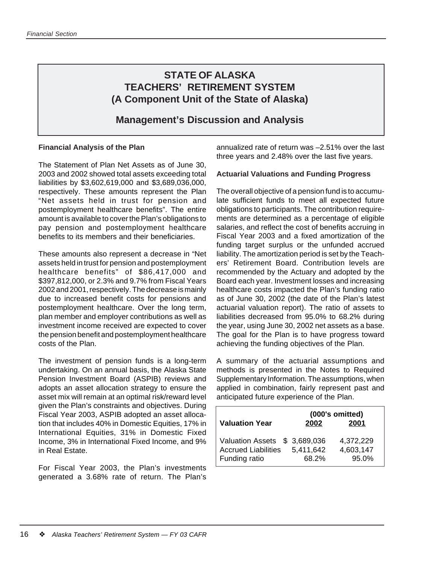**Management's Discussion and Analysis**

#### **Financial Analysis of the Plan**

The Statement of Plan Net Assets as of June 30, 2003 and 2002 showed total assets exceeding total liabilities by \$3,602,619,000 and \$3,689,036,000, respectively. These amounts represent the Plan "Net assets held in trust for pension and postemployment healthcare benefits". The entire amount is available to cover the Plan's obligations to pay pension and postemployment healthcare benefits to its members and their beneficiaries.

These amounts also represent a decrease in "Net assets held in trust for pension and postemployment healthcare benefits" of \$86,417,000 and \$397,812,000, or 2.3% and 9.7% from Fiscal Years 2002 and 2001, respectively. The decrease is mainly due to increased benefit costs for pensions and postemployment healthcare. Over the long term, plan member and employer contributions as well as investment income received are expected to cover the pension benefit and postemployment healthcare costs of the Plan.

The investment of pension funds is a long-term undertaking. On an annual basis, the Alaska State Pension Investment Board (ASPIB) reviews and adopts an asset allocation strategy to ensure the asset mix will remain at an optimal risk/reward level given the Plan's constraints and objectives. During Fiscal Year 2003, ASPIB adopted an asset allocation that includes 40% in Domestic Equities, 17% in International Equities, 31% in Domestic Fixed Income, 3% in International Fixed Income, and 9% in Real Estate.

For Fiscal Year 2003, the Plan's investments generated a 3.68% rate of return. The Plan's annualized rate of return was –2.51% over the last three years and 2.48% over the last five years.

#### **Actuarial Valuations and Funding Progress**

The overall objective of a pension fund is to accumulate sufficient funds to meet all expected future obligations to participants. The contribution requirements are determined as a percentage of eligible salaries, and reflect the cost of benefits accruing in Fiscal Year 2003 and a fixed amortization of the funding target surplus or the unfunded accrued liability. The amortization period is set by the Teachers' Retirement Board. Contribution levels are recommended by the Actuary and adopted by the Board each year. Investment losses and increasing healthcare costs impacted the Plan's funding ratio as of June 30, 2002 (the date of the Plan's latest actuarial valuation report). The ratio of assets to liabilities decreased from 95.0% to 68.2% during the year, using June 30, 2002 net assets as a base. The goal for the Plan is to have progress toward achieving the funding objectives of the Plan.

A summary of the actuarial assumptions and methods is presented in the Notes to Required Supplementary Information. The assumptions, when applied in combination, fairly represent past and anticipated future experience of the Plan.

|                                                                              | (000's omitted)    |                                 |  |  |  |
|------------------------------------------------------------------------------|--------------------|---------------------------------|--|--|--|
| <b>Valuation Year</b>                                                        | 2002               | 2001                            |  |  |  |
| Valuation Assets \$ 3,689,036<br><b>Accrued Liabilities</b><br>Funding ratio | 5,411,642<br>68.2% | 4,372,229<br>4,603,147<br>95.0% |  |  |  |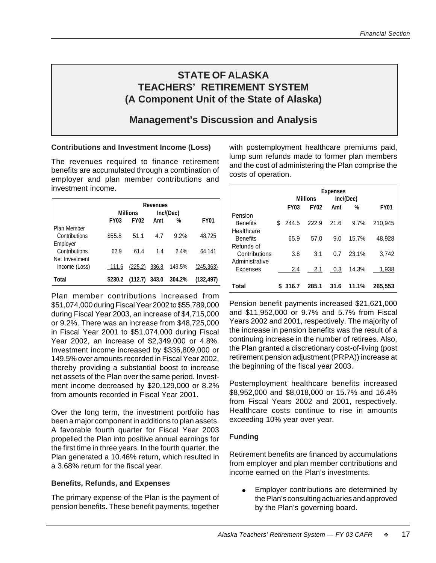# **Management's Discussion and Analysis**

#### **Contributions and Investment Income (Loss)**

The revenues required to finance retirement benefits are accumulated through a combination of employer and plan member contributions and investment income.

|                |         | <b>Millions</b> |       | Inc/(Dec) |             |
|----------------|---------|-----------------|-------|-----------|-------------|
|                | FY03    | <b>FY02</b>     | Amt   | %         | <b>FY01</b> |
| Plan Member    |         |                 |       |           |             |
| Contributions  | \$55.8  | 51.1            | 4.7   | 9.2%      | 48,725      |
| Employer       |         |                 |       |           |             |
| Contributions  | 62.9    | 61.4            | 1.4   | 2.4%      | 64.141      |
| Net Investment |         |                 |       |           |             |
| Income (Loss)  | 111.6   | (225.2)         | 336.8 | 149.5%    | (245, 363)  |
| Total          | \$230.2 | (112.7)         | 343.0 | 304.2%    | (132, 497)  |

Plan member contributions increased from \$51,074,000 during Fiscal Year 2002 to \$55,789,000 during Fiscal Year 2003, an increase of \$4,715,000 or 9.2%. There was an increase from \$48,725,000 in Fiscal Year 2001 to \$51,074,000 during Fiscal Year 2002, an increase of \$2,349,000 or 4.8%. Investment income increased by \$336,809,000 or 149.5% over amounts recorded in Fiscal Year 2002, thereby providing a substantial boost to increase net assets of the Plan over the same period. Investment income decreased by \$20,129,000 or 8.2% from amounts recorded in Fiscal Year 2001.

Over the long term, the investment portfolio has been a major component in additions to plan assets. A favorable fourth quarter for Fiscal Year 2003 propelled the Plan into positive annual earnings for the first time in three years. In the fourth quarter, the Plan generated a 10.46% return, which resulted in a 3.68% return for the fiscal year.

#### **Benefits, Refunds, and Expenses**

The primary expense of the Plan is the payment of pension benefits. These benefit payments, together

with postemployment healthcare premiums paid, lump sum refunds made to former plan members and the cost of administering the Plan comprise the costs of operation.

|                 | <b>Expenses</b> |                 |      |           |             |  |  |
|-----------------|-----------------|-----------------|------|-----------|-------------|--|--|
|                 |                 | <b>Millions</b> |      | Inc/(Dec) |             |  |  |
|                 | <b>FY03</b>     | <b>FY02</b>     | Amt  | %         | <b>FY01</b> |  |  |
| Pension         |                 |                 |      |           |             |  |  |
| <b>Benefits</b> | \$<br>244.5     | 222.9           | 21.6 | 9.7%      | 210,945     |  |  |
| Healthcare      |                 |                 |      |           |             |  |  |
| <b>Benefits</b> | 65.9            | 57.0            | 9.0  | 15.7%     | 48,928      |  |  |
| Refunds of      |                 |                 |      |           |             |  |  |
| Contributions   | 3.8             | 3.1             | 0.7  | 23.1%     | 3,742       |  |  |
| Administrative  |                 |                 |      |           |             |  |  |
| Expenses        | 2.4             | 2.1             | 0.3  | 14.3%     | 1,938       |  |  |
|                 |                 |                 |      |           |             |  |  |
| Total           | \$316.7         | 285.1           | 31.6 | 11.1%     | 265.553     |  |  |

Pension benefit payments increased \$21,621,000 and \$11,952,000 or 9.7% and 5.7% from Fiscal Years 2002 and 2001, respectively. The majority of the increase in pension benefits was the result of a continuing increase in the number of retirees. Also, the Plan granted a discretionary cost-of-living (post retirement pension adjustment (PRPA)) increase at the beginning of the fiscal year 2003.

Postemployment healthcare benefits increased \$8,952,000 and \$8,018,000 or 15.7% and 16.4% from Fiscal Years 2002 and 2001, respectively. Healthcare costs continue to rise in amounts exceeding 10% year over year.

#### **Funding**

Retirement benefits are financed by accumulations from employer and plan member contributions and income earned on the Plan's investments.

Employer contributions are determined by the Plan's consulting actuaries and approved by the Plan's governing board.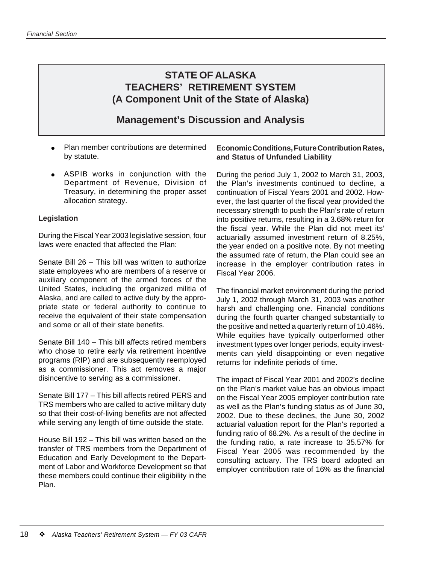### **Management's Discussion and Analysis**

- Plan member contributions are determined by statute.
- . ASPIB works in conjunction with the Department of Revenue, Division of Treasury, in determining the proper asset allocation strategy.

#### **Legislation**

During the Fiscal Year 2003 legislative session, four laws were enacted that affected the Plan:

Senate Bill 26 – This bill was written to authorize state employees who are members of a reserve or auxiliary component of the armed forces of the United States, including the organized militia of Alaska, and are called to active duty by the appropriate state or federal authority to continue to receive the equivalent of their state compensation and some or all of their state benefits.

Senate Bill 140 – This bill affects retired members who chose to retire early via retirement incentive programs (RIP) and are subsequently reemployed as a commissioner. This act removes a major disincentive to serving as a commissioner.

Senate Bill 177 – This bill affects retired PERS and TRS members who are called to active military duty so that their cost-of-living benefits are not affected while serving any length of time outside the state.

House Bill 192 – This bill was written based on the transfer of TRS members from the Department of Education and Early Development to the Department of Labor and Workforce Development so that these members could continue their eligibility in the Plan.

#### **Economic Conditions, Future Contribution Rates, and Status of Unfunded Liability**

During the period July 1, 2002 to March 31, 2003, the Plan's investments continued to decline, a continuation of Fiscal Years 2001 and 2002. However, the last quarter of the fiscal year provided the necessary strength to push the Plan's rate of return into positive returns, resulting in a 3.68% return for the fiscal year. While the Plan did not meet its' actuarially assumed investment return of 8.25%, the year ended on a positive note. By not meeting the assumed rate of return, the Plan could see an increase in the employer contribution rates in Fiscal Year 2006.

The financial market environment during the period July 1, 2002 through March 31, 2003 was another harsh and challenging one. Financial conditions during the fourth quarter changed substantially to the positive and netted a quarterly return of 10.46%. While equities have typically outperformed other investment types over longer periods, equity investments can yield disappointing or even negative returns for indefinite periods of time.

The impact of Fiscal Year 2001 and 2002's decline on the Plan's market value has an obvious impact on the Fiscal Year 2005 employer contribution rate as well as the Plan's funding status as of June 30, 2002. Due to these declines, the June 30, 2002 actuarial valuation report for the Plan's reported a funding ratio of 68.2%. As a result of the decline in the funding ratio, a rate increase to 35.57% for Fiscal Year 2005 was recommended by the consulting actuary. The TRS board adopted an employer contribution rate of 16% as the financial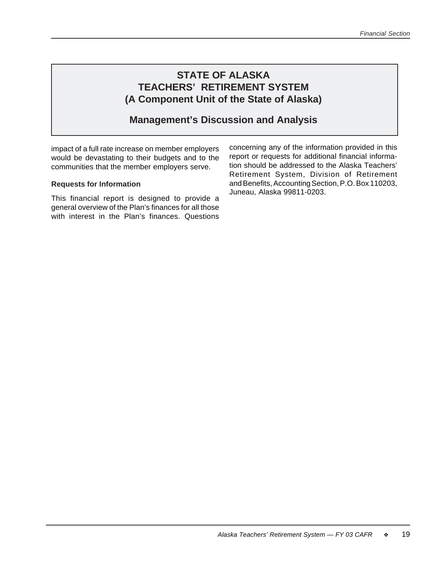### **Management's Discussion and Analysis**

impact of a full rate increase on member employers would be devastating to their budgets and to the communities that the member employers serve.

#### **Requests for Information**

This financial report is designed to provide a general overview of the Plan's finances for all those with interest in the Plan's finances. Questions concerning any of the information provided in this report or requests for additional financial information should be addressed to the Alaska Teachers' Retirement System, Division of Retirement and Benefits, Accounting Section, P.O. Box 110203, Juneau, Alaska 99811-0203.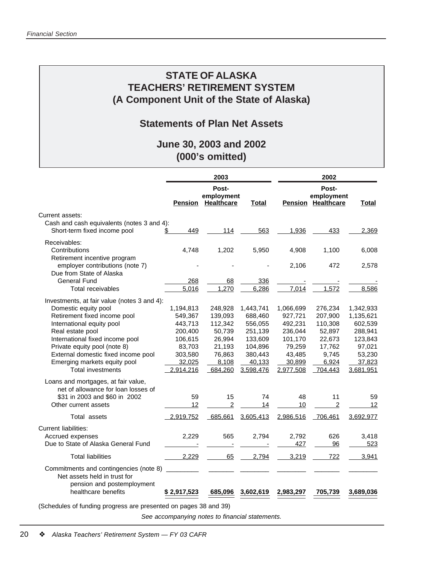### **Statements of Plan Net Assets**

### **June 30, 2003 and 2002 (000's omitted)**

|                                             | 2003                                                                                    |                                                  |                   |           | 2002                                             |           |  |
|---------------------------------------------|-----------------------------------------------------------------------------------------|--------------------------------------------------|-------------------|-----------|--------------------------------------------------|-----------|--|
|                                             |                                                                                         | Post-<br>employment<br><b>Pension Healthcare</b> | Total             |           | Post-<br>employment<br><b>Pension Healthcare</b> | Total     |  |
| Current assets:                             |                                                                                         |                                                  |                   |           |                                                  |           |  |
| Cash and cash equivalents (notes 3 and 4):  |                                                                                         |                                                  |                   |           |                                                  |           |  |
| Short-term fixed income pool                | 449<br>S                                                                                | 114                                              | 563               | 1,936     | 433                                              | 2,369     |  |
| Receivables:                                |                                                                                         |                                                  |                   |           |                                                  |           |  |
| Contributions                               | 4,748                                                                                   | 1,202                                            | 5,950             | 4,908     | 1,100                                            | 6,008     |  |
| Retirement incentive program                |                                                                                         |                                                  |                   |           |                                                  |           |  |
| employer contributions (note 7)             |                                                                                         |                                                  |                   | 2,106     | 472                                              | 2,578     |  |
| Due from State of Alaska                    |                                                                                         |                                                  |                   |           |                                                  |           |  |
| <b>General Fund</b>                         | 268                                                                                     | 68                                               | 336               |           |                                                  |           |  |
| <b>Total receivables</b>                    | 5,016                                                                                   | 1,270                                            | 6,286             | 7,014     | 1,572                                            | 8,586     |  |
| Investments, at fair value (notes 3 and 4): |                                                                                         |                                                  |                   |           |                                                  |           |  |
| Domestic equity pool                        | 1,194,813                                                                               | 248,928                                          | 1,443,741         | 1,066,699 | 276,234                                          | 1,342,933 |  |
| Retirement fixed income pool                | 549,367                                                                                 | 139,093                                          | 688,460           | 927,721   | 207,900                                          | 1,135,621 |  |
| International equity pool                   | 443,713                                                                                 | 112,342                                          | 556,055           | 492,231   | 110,308                                          | 602,539   |  |
| Real estate pool                            | 200,400                                                                                 | 50,739                                           | 251,139           | 236,044   | 52,897                                           | 288,941   |  |
| International fixed income pool             | 106,615                                                                                 | 26,994                                           | 133,609           | 101,170   | 22,673                                           | 123,843   |  |
| Private equity pool (note 8)                | 83,703                                                                                  | 21,193                                           | 104,896           | 79,259    | 17,762                                           | 97,021    |  |
| External domestic fixed income pool         | 303,580                                                                                 | 76,863                                           | 380,443           | 43,485    | 9,745                                            | 53,230    |  |
| Emerging markets equity pool                | 32,025                                                                                  | 8,108                                            | 40,133            | 30,899    | 6,924                                            | 37,823    |  |
| <b>Total investments</b>                    | 2,914,216                                                                               | 684,260                                          | 3,598,476         | 2,977,508 | 704.443                                          | 3,681,951 |  |
| Loans and mortgages, at fair value,         |                                                                                         |                                                  |                   |           |                                                  |           |  |
| net of allowance for loan losses of         |                                                                                         |                                                  |                   |           |                                                  |           |  |
| \$31 in 2003 and \$60 in 2002               | 59                                                                                      | 15                                               | 74                | 48        | 11                                               | 59        |  |
| Other current assets                        | 12                                                                                      | $\overline{2}$                                   | 14                | 10        | 2                                                | 12        |  |
| Total assets                                | 2.919.752                                                                               |                                                  | 685,661 3,605,413 | 2,986,516 | 706,461                                          | 3.692.977 |  |
| <b>Current liabilities:</b>                 |                                                                                         |                                                  |                   |           |                                                  |           |  |
| Accrued expenses                            | 2,229                                                                                   | 565                                              | 2,794             | 2,792     | 626                                              | 3,418     |  |
| Due to State of Alaska General Fund         |                                                                                         |                                                  |                   | 427       | 96                                               | 523       |  |
|                                             |                                                                                         |                                                  |                   |           |                                                  |           |  |
| <b>Total liabilities</b>                    | 2,229                                                                                   | 65                                               | 2,794             | 3,219     | 722                                              | 3,941     |  |
| Commitments and contingencies (note 8)      | $\mathcal{L}^{\text{max}}_{\text{max}}$ , where $\mathcal{L}^{\text{max}}_{\text{max}}$ | <u> 1999 - Jan Jan Jawa</u>                      |                   |           |                                                  |           |  |
| Net assets held in trust for                |                                                                                         |                                                  |                   |           |                                                  |           |  |
| pension and postemployment                  |                                                                                         |                                                  |                   |           |                                                  |           |  |
| healthcare benefits                         | \$2,917,523                                                                             | 685,096                                          | 3,602,619         | 2,983,297 | 705,739                                          | 3,689,036 |  |
|                                             |                                                                                         |                                                  |                   |           |                                                  |           |  |

(Schedules of funding progress are presented on pages 38 and 39)

*See accompanying notes to financial statements.*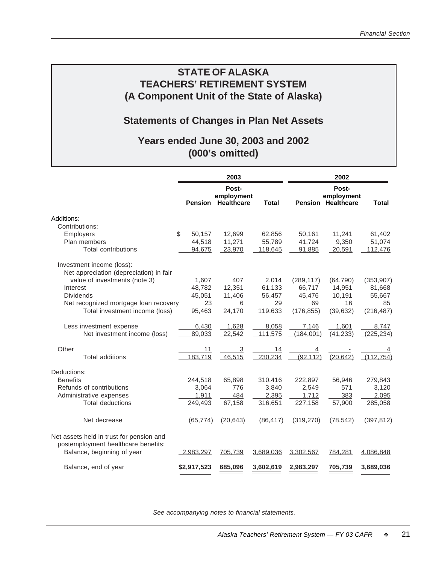### **Statements of Changes in Plan Net Assets**

### **Years ended June 30, 2003 and 2002 (000's omitted)**

|                                                                                                               | 2003           |                                          |              | 2002           |                                                  |              |  |
|---------------------------------------------------------------------------------------------------------------|----------------|------------------------------------------|--------------|----------------|--------------------------------------------------|--------------|--|
|                                                                                                               | <b>Pension</b> | Post-<br>employment<br><b>Healthcare</b> | <b>Total</b> |                | Post-<br>employment<br><b>Pension Healthcare</b> | <b>Total</b> |  |
| Additions:                                                                                                    |                |                                          |              |                |                                                  |              |  |
| Contributions:                                                                                                |                |                                          |              |                |                                                  |              |  |
| <b>Employers</b>                                                                                              | \$<br>50,157   | 12,699                                   | 62,856       | 50,161         | 11,241                                           | 61,402       |  |
| Plan members                                                                                                  | 44,518         | 11,271                                   | 55,789       | 41,724         | 9,350                                            | 51,074       |  |
| <b>Total contributions</b>                                                                                    | 94,675         | 23,970                                   | 118,645      | 91,885         | 20,591                                           | 112,476      |  |
| Investment income (loss):                                                                                     |                |                                          |              |                |                                                  |              |  |
| Net appreciation (depreciation) in fair                                                                       |                |                                          |              |                |                                                  |              |  |
| value of investments (note 3)                                                                                 | 1,607          | 407                                      | 2,014        | (289, 117)     | (64, 790)                                        | (353, 907)   |  |
| Interest                                                                                                      | 48,782         | 12,351                                   | 61,133       | 66,717         | 14,951                                           | 81,668       |  |
| <b>Dividends</b>                                                                                              | 45,051         | 11,406                                   | 56,457       | 45,476         | 10,191                                           | 55,667       |  |
| Net recognized mortgage loan recovery_                                                                        | 23             | 6                                        | 29           | 69             | 16                                               | 85           |  |
| Total investment income (loss)                                                                                | 95,463         | 24,170                                   | 119,633      | (176, 855)     | (39, 632)                                        | (216, 487)   |  |
| Less investment expense                                                                                       | 6,430          | 1,628                                    | 8,058        | 7,146          | 1,601                                            | 8,747        |  |
| Net investment income (loss)                                                                                  | 89,033         | 22,542                                   | 111,575      | (184,001)      | (41, 233)                                        | (225, 234)   |  |
| Other                                                                                                         | 11             | $\overline{3}$                           | 14           | $\overline{4}$ |                                                  |              |  |
| <b>Total additions</b>                                                                                        | 183.719        | 46.515                                   | 230,234      | (92, 112)      | (20, 642)                                        | (112, 754)   |  |
| Deductions:                                                                                                   |                |                                          |              |                |                                                  |              |  |
| <b>Benefits</b>                                                                                               | 244,518        | 65,898                                   | 310,416      | 222,897        | 56,946                                           | 279,843      |  |
| Refunds of contributions                                                                                      | 3,064          | 776                                      | 3,840        | 2,549          | 571                                              | 3,120        |  |
| Administrative expenses                                                                                       | 1,911          | 484                                      | 2,395        | 1,712          | 383                                              | 2,095        |  |
| <b>Total deductions</b>                                                                                       | 249,493        | 67,158                                   | 316,651      | 227,158        | 57,900                                           | 285,058      |  |
| Net decrease                                                                                                  | (65, 774)      | (20, 643)                                | (86, 417)    | (319, 270)     | (78, 542)                                        | (397, 812)   |  |
| Net assets held in trust for pension and<br>postemployment healthcare benefits:<br>Balance, beginning of year | 2,983,297      | 705.739                                  | 3,689,036    | 3,302,567      | 784,281                                          | 4,086,848    |  |
| Balance, end of year                                                                                          | \$2,917,523    | 685,096                                  | 3,602,619    | 2,983,297      | 705,739                                          | 3,689,036    |  |

*See accompanying notes to financial statements.*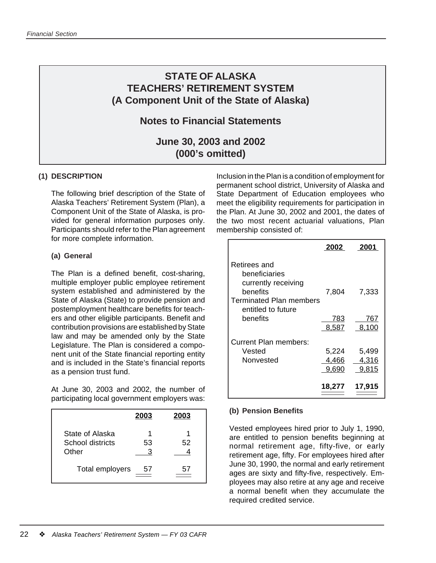### **Notes to Financial Statements**

### **June 30, 2003 and 2002 (000's omitted)**

#### **(1) DESCRIPTION**

The following brief description of the State of Alaska Teachers' Retirement System (Plan), a Component Unit of the State of Alaska, is provided for general information purposes only. Participants should refer to the Plan agreement for more complete information.

#### **(a) General**

The Plan is a defined benefit, cost-sharing, multiple employer public employee retirement system established and administered by the State of Alaska (State) to provide pension and postemployment healthcare benefits for teachers and other eligible participants. Benefit and contribution provisions are established by State law and may be amended only by the State Legislature. The Plan is considered a component unit of the State financial reporting entity and is included in the State's financial reports as a pension trust fund.

At June 30, 2003 and 2002, the number of participating local government employers was:

|                  | 2003 | 2003 |
|------------------|------|------|
| State of Alaska  |      |      |
| School districts | 53   | 52   |
| Other            | 3    |      |
| Total employers  | 57   |      |

Inclusion in the Plan is a condition of employment for permanent school district, University of Alaska and State Department of Education employees who meet the eligibility requirements for participation in the Plan. At June 30, 2002 and 2001, the dates of the two most recent actuarial valuations, Plan membership consisted of:

|                                 | 2002   | 2001   |
|---------------------------------|--------|--------|
| Retirees and                    |        |        |
| beneficiaries                   |        |        |
| currently receiving<br>benefits | 7,804  | 7,333  |
| Terminated Plan members         |        |        |
| entitled to future              |        |        |
| benefits                        | 783    | 767    |
|                                 | 8,587  | 8,100  |
| Current Plan members:           |        |        |
| Vested                          | 5,224  | 5,499  |
| Nonvested                       | 4,466  | 4,316  |
|                                 | 9,690  | 9,815  |
|                                 | 18,277 | 17,915 |

#### **(b) Pension Benefits**

Vested employees hired prior to July 1, 1990, are entitled to pension benefits beginning at normal retirement age, fifty-five, or early retirement age, fifty. For employees hired after June 30, 1990, the normal and early retirement ages are sixty and fifty-five, respectively. Employees may also retire at any age and receive a normal benefit when they accumulate the required credited service.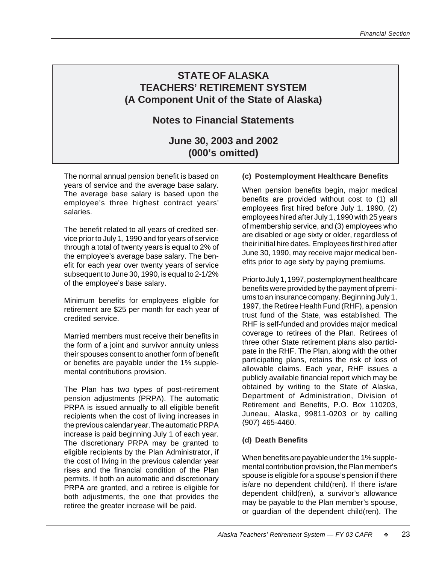# **Notes to Financial Statements**

### **June 30, 2003 and 2002 (000's omitted)**

The normal annual pension benefit is based on years of service and the average base salary. The average base salary is based upon the employee's three highest contract years' salaries.

The benefit related to all years of credited service prior to July 1, 1990 and for years of service through a total of twenty years is equal to 2% of the employee's average base salary. The benefit for each year over twenty years of service subsequent to June 30, 1990, is equal to 2-1/2% of the employee's base salary.

Minimum benefits for employees eligible for retirement are \$25 per month for each year of credited service.

Married members must receive their benefits in the form of a joint and survivor annuity unless their spouses consent to another form of benefit or benefits are payable under the 1% supplemental contributions provision.

The Plan has two types of post-retirement pension adjustments (PRPA). The automatic PRPA is issued annually to all eligible benefit recipients when the cost of living increases in the previous calendar year. The automatic PRPA increase is paid beginning July 1 of each year. The discretionary PRPA may be granted to eligible recipients by the Plan Administrator, if the cost of living in the previous calendar year rises and the financial condition of the Plan permits. If both an automatic and discretionary PRPA are granted, and a retiree is eligible for both adjustments, the one that provides the retiree the greater increase will be paid.

### **(c) Postemployment Healthcare Benefits**

When pension benefits begin, major medical benefits are provided without cost to (1) all employees first hired before July 1, 1990, (2) employees hired after July 1, 1990 with 25 years of membership service, and (3) employees who are disabled or age sixty or older, regardless of their initial hire dates. Employees first hired after June 30, 1990, may receive major medical benefits prior to age sixty by paying premiums.

Prior to July 1, 1997, postemployment healthcare benefits were provided by the payment of premiums to an insurance company. Beginning July 1, 1997, the Retiree Health Fund (RHF), a pension trust fund of the State, was established. The RHF is self-funded and provides major medical coverage to retirees of the Plan. Retirees of three other State retirement plans also participate in the RHF. The Plan, along with the other participating plans, retains the risk of loss of allowable claims. Each year, RHF issues a publicly available financial report which may be obtained by writing to the State of Alaska, Department of Administration, Division of Retirement and Benefits, P.O. Box 110203, Juneau, Alaska, 99811-0203 or by calling (907) 465-4460.

#### **(d) Death Benefits**

When benefits are payable under the 1% supplemental contribution provision, the Plan member's spouse is eligible for a spouse's pension if there is/are no dependent child(ren). If there is/are dependent child(ren), a survivor's allowance may be payable to the Plan member's spouse, or guardian of the dependent child(ren). The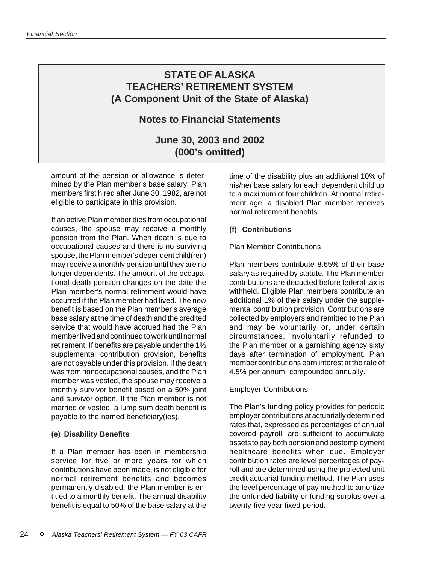### **Notes to Financial Statements**

# **June 30, 2003 and 2002 (000's omitted)**

amount of the pension or allowance is determined by the Plan member's base salary. Plan members first hired after June 30, 1982, are not eligible to participate in this provision.

If an active Plan member dies from occupational causes, the spouse may receive a monthly pension from the Plan. When death is due to occupational causes and there is no surviving spouse, the Plan member's dependent child(ren) may receive a monthly pension until they are no longer dependents. The amount of the occupational death pension changes on the date the Plan member's normal retirement would have occurred if the Plan member had lived. The new benefit is based on the Plan member's average base salary at the time of death and the credited service that would have accrued had the Plan member lived and continued to work until normal retirement. If benefits are payable under the 1% supplemental contribution provision, benefits are not payable under this provision. If the death was from nonoccupational causes, and the Plan member was vested, the spouse may receive a monthly survivor benefit based on a 50% joint and survivor option. If the Plan member is not married or vested, a lump sum death benefit is payable to the named beneficiary(ies).

#### **(e) Disability Benefits**

If a Plan member has been in membership service for five or more years for which contributions have been made, is not eligible for normal retirement benefits and becomes permanently disabled, the Plan member is entitled to a monthly benefit. The annual disability benefit is equal to 50% of the base salary at the

time of the disability plus an additional 10% of his/her base salary for each dependent child up to a maximum of four children. At normal retirement age, a disabled Plan member receives normal retirement benefits.

#### **(f) Contributions**

#### Plan Member Contributions

Plan members contribute 8.65% of their base salary as required by statute. The Plan member contributions are deducted before federal tax is withheld. Eligible Plan members contribute an additional 1% of their salary under the supplemental contribution provision. Contributions are collected by employers and remitted to the Plan and may be voluntarily or, under certain circumstances, involuntarily refunded to the Plan member or a garnishing agency sixty days after termination of employment. Plan member contributions earn interest at the rate of 4.5% per annum, compounded annually.

#### Employer Contributions

The Plan's funding policy provides for periodic employer contributions at actuarially determined rates that, expressed as percentages of annual covered payroll, are sufficient to accumulate assets to pay both pension and postemployment healthcare benefits when due. Employer contribution rates are level percentages of payroll and are determined using the projected unit credit actuarial funding method. The Plan uses the level percentage of pay method to amortize the unfunded liability or funding surplus over a twenty-five year fixed period.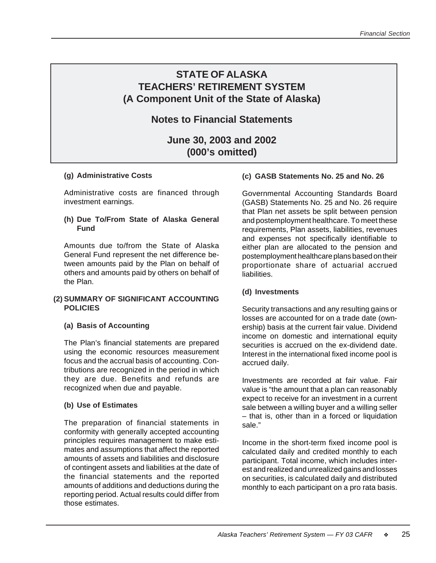### **Notes to Financial Statements**

### **June 30, 2003 and 2002 (000's omitted)**

#### **(g) Administrative Costs**

Administrative costs are financed through investment earnings.

#### **(h) Due To/From State of Alaska General Fund**

Amounts due to/from the State of Alaska General Fund represent the net difference between amounts paid by the Plan on behalf of others and amounts paid by others on behalf of the Plan.

#### **(2) SUMMARY OF SIGNIFICANT ACCOUNTING POLICIES**

#### **(a) Basis of Accounting**

The Plan's financial statements are prepared using the economic resources measurement focus and the accrual basis of accounting. Contributions are recognized in the period in which they are due. Benefits and refunds are recognized when due and payable.

#### **(b) Use of Estimates**

The preparation of financial statements in conformity with generally accepted accounting principles requires management to make estimates and assumptions that affect the reported amounts of assets and liabilities and disclosure of contingent assets and liabilities at the date of the financial statements and the reported amounts of additions and deductions during the reporting period. Actual results could differ from those estimates.

#### **(c) GASB Statements No. 25 and No. 26**

Governmental Accounting Standards Board (GASB) Statements No. 25 and No. 26 require that Plan net assets be split between pension and postemployment healthcare. To meet these requirements, Plan assets, liabilities, revenues and expenses not specifically identifiable to either plan are allocated to the pension and postemployment healthcare plans based on their proportionate share of actuarial accrued liabilities.

#### **(d) Investments**

Security transactions and any resulting gains or losses are accounted for on a trade date (ownership) basis at the current fair value. Dividend income on domestic and international equity securities is accrued on the ex-dividend date. Interest in the international fixed income pool is accrued daily.

Investments are recorded at fair value. Fair value is "the amount that a plan can reasonably expect to receive for an investment in a current sale between a willing buyer and a willing seller – that is, other than in a forced or liquidation sale."

Income in the short-term fixed income pool is calculated daily and credited monthly to each participant. Total income, which includes interest and realized and unrealized gains and losses on securities, is calculated daily and distributed monthly to each participant on a pro rata basis.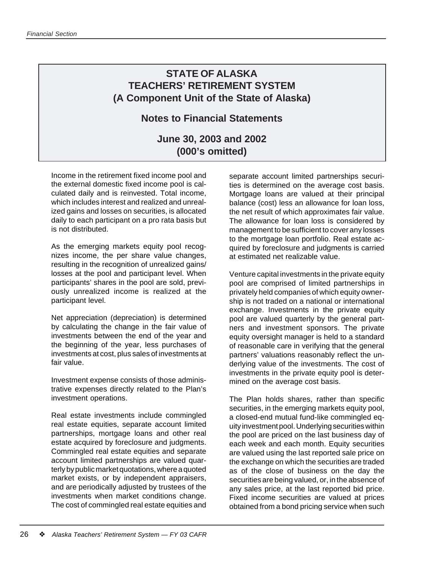### **Notes to Financial Statements**

### **June 30, 2003 and 2002 (000's omitted)**

Income in the retirement fixed income pool and the external domestic fixed income pool is calculated daily and is reinvested. Total income, which includes interest and realized and unrealized gains and losses on securities, is allocated daily to each participant on a pro rata basis but is not distributed.

As the emerging markets equity pool recognizes income, the per share value changes, resulting in the recognition of unrealized gains/ losses at the pool and participant level. When participants' shares in the pool are sold, previously unrealized income is realized at the participant level.

Net appreciation (depreciation) is determined by calculating the change in the fair value of investments between the end of the year and the beginning of the year, less purchases of investments at cost, plus sales of investments at fair value.

Investment expense consists of those administrative expenses directly related to the Plan's investment operations.

Real estate investments include commingled real estate equities, separate account limited partnerships, mortgage loans and other real estate acquired by foreclosure and judgments. Commingled real estate equities and separate account limited partnerships are valued quarterly by public market quotations, where a quoted market exists, or by independent appraisers, and are periodically adjusted by trustees of the investments when market conditions change. The cost of commingled real estate equities and

separate account limited partnerships securities is determined on the average cost basis. Mortgage loans are valued at their principal balance (cost) less an allowance for loan loss, the net result of which approximates fair value. The allowance for loan loss is considered by management to be sufficient to cover any losses to the mortgage loan portfolio. Real estate acquired by foreclosure and judgments is carried at estimated net realizable value.

Venture capital investments in the private equity pool are comprised of limited partnerships in privately held companies of which equity ownership is not traded on a national or international exchange. Investments in the private equity pool are valued quarterly by the general partners and investment sponsors. The private equity oversight manager is held to a standard of reasonable care in verifying that the general partners' valuations reasonably reflect the underlying value of the investments. The cost of investments in the private equity pool is determined on the average cost basis.

The Plan holds shares, rather than specific securities, in the emerging markets equity pool, a closed-end mutual fund-like commingled equity investment pool. Underlying securities within the pool are priced on the last business day of each week and each month. Equity securities are valued using the last reported sale price on the exchange on which the securities are traded as of the close of business on the day the securities are being valued, or, in the absence of any sales price, at the last reported bid price. Fixed income securities are valued at prices obtained from a bond pricing service when such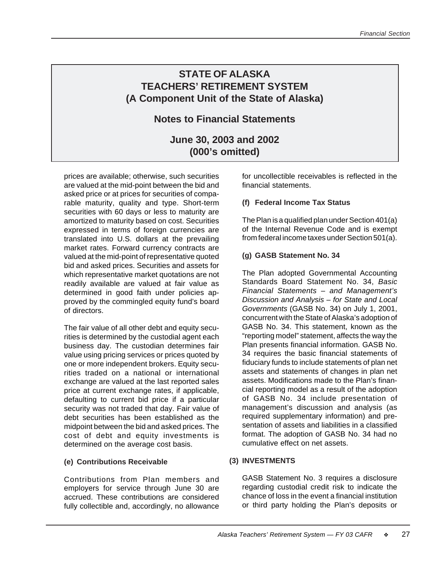### **Notes to Financial Statements**

# **June 30, 2003 and 2002 (000's omitted)**

prices are available; otherwise, such securities are valued at the mid-point between the bid and asked price or at prices for securities of comparable maturity, quality and type. Short-term securities with 60 days or less to maturity are amortized to maturity based on cost. Securities expressed in terms of foreign currencies are translated into U.S. dollars at the prevailing market rates. Forward currency contracts are valued at the mid-point of representative quoted bid and asked prices. Securities and assets for which representative market quotations are not readily available are valued at fair value as determined in good faith under policies approved by the commingled equity fund's board of directors.

The fair value of all other debt and equity securities is determined by the custodial agent each business day. The custodian determines fair value using pricing services or prices quoted by one or more independent brokers. Equity securities traded on a national or international exchange are valued at the last reported sales price at current exchange rates, if applicable, defaulting to current bid price if a particular security was not traded that day. Fair value of debt securities has been established as the midpoint between the bid and asked prices. The cost of debt and equity investments is determined on the average cost basis.

#### **(e) Contributions Receivable**

Contributions from Plan members and employers for service through June 30 are accrued. These contributions are considered fully collectible and, accordingly, no allowance for uncollectible receivables is reflected in the financial statements.

#### **(f) Federal Income Tax Status**

The Plan is a qualified plan under Section 401(a) of the Internal Revenue Code and is exempt from federal income taxes under Section 501(a).

#### **(g) GASB Statement No. 34**

The Plan adopted Governmental Accounting Standards Board Statement No. 34, *Basic Financial Statements – and Management's Discussion and Analysis – for State and Local Governments* (GASB No. 34) on July 1, 2001, concurrent with the State of Alaska's adoption of GASB No. 34. This statement, known as the "reporting model" statement, affects the way the Plan presents financial information. GASB No. 34 requires the basic financial statements of fiduciary funds to include statements of plan net assets and statements of changes in plan net assets. Modifications made to the Plan's financial reporting model as a result of the adoption of GASB No. 34 include presentation of management's discussion and analysis (as required supplementary information) and presentation of assets and liabilities in a classified format. The adoption of GASB No. 34 had no cumulative effect on net assets.

#### **(3) INVESTMENTS**

GASB Statement No. 3 requires a disclosure regarding custodial credit risk to indicate the chance of loss in the event a financial institution or third party holding the Plan's deposits or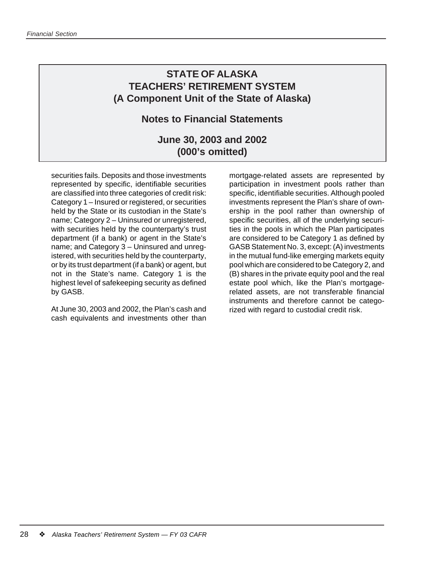### **Notes to Financial Statements**

# **June 30, 2003 and 2002 (000's omitted)**

securities fails. Deposits and those investments represented by specific, identifiable securities are classified into three categories of credit risk: Category 1 – Insured or registered, or securities held by the State or its custodian in the State's name; Category 2 – Uninsured or unregistered, with securities held by the counterparty's trust department (if a bank) or agent in the State's name; and Category 3 – Uninsured and unregistered, with securities held by the counterparty, or by its trust department (if a bank) or agent, but not in the State's name. Category 1 is the highest level of safekeeping security as defined by GASB.

At June 30, 2003 and 2002, the Plan's cash and cash equivalents and investments other than mortgage-related assets are represented by participation in investment pools rather than specific, identifiable securities. Although pooled investments represent the Plan's share of ownership in the pool rather than ownership of specific securities, all of the underlying securities in the pools in which the Plan participates are considered to be Category 1 as defined by GASB Statement No. 3, except: (A) investments in the mutual fund-like emerging markets equity pool which are considered to be Category 2, and (B) shares in the private equity pool and the real estate pool which, like the Plan's mortgagerelated assets, are not transferable financial instruments and therefore cannot be categorized with regard to custodial credit risk.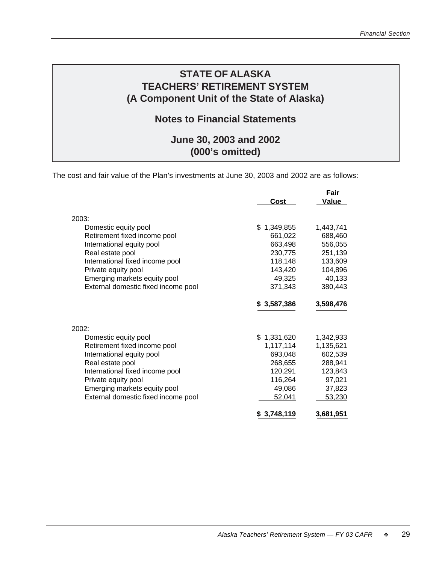### **Notes to Financial Statements**

# **June 30, 2003 and 2002 (000's omitted)**

The cost and fair value of the Plan's investments at June 30, 2003 and 2002 are as follows:

|                                     | Cost            | Fair<br><b>Value</b> |
|-------------------------------------|-----------------|----------------------|
| 2003:                               |                 |                      |
| Domestic equity pool                | \$1,349,855     | 1,443,741            |
| Retirement fixed income pool        | 661,022         | 688,460              |
| International equity pool           | 663,498         | 556,055              |
| Real estate pool                    | 230,775         | 251,139              |
| International fixed income pool     | 118,148         | 133,609              |
| Private equity pool                 | 143,420         | 104,896              |
| Emerging markets equity pool        | 49,325          | 40,133               |
| External domestic fixed income pool | 371,343         | 380,443              |
|                                     | 3,587,386<br>S. | 3,598,476            |
| 2002:                               |                 |                      |
| Domestic equity pool                | \$1,331,620     | 1,342,933            |
| Retirement fixed income pool        | 1,117,114       | 1,135,621            |
| International equity pool           | 693,048         | 602,539              |
| Real estate pool                    | 268,655         | 288,941              |
| International fixed income pool     | 120,291         | 123,843              |
| Private equity pool                 | 116,264         | 97,021               |
| Emerging markets equity pool        | 49,086          | 37,823               |
| External domestic fixed income pool | 52,041          | 53,230               |
|                                     | \$3,748,119     | 3,681,951            |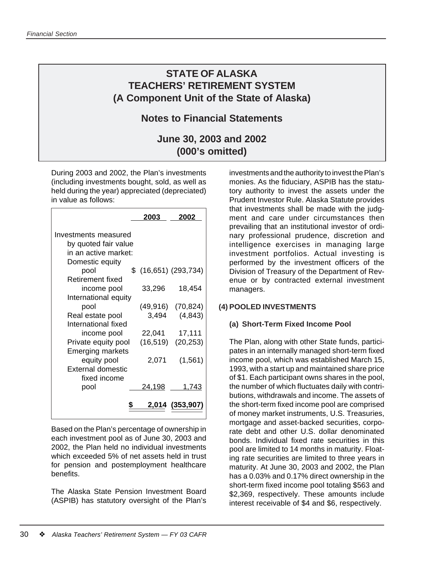### **Notes to Financial Statements**

### **June 30, 2003 and 2002 (000's omitted)**

During 2003 and 2002, the Plan's investments (including investments bought, sold, as well as held during the year) appreciated (depreciated) in value as follows:

|                          | 2003   | 2002                   |
|--------------------------|--------|------------------------|
| Investments measured     |        |                        |
| by quoted fair value     |        |                        |
| in an active market:     |        |                        |
| Domestic equity          |        |                        |
| pool                     |        | $$$ (16,651) (293,734) |
| <b>Retirement fixed</b>  |        |                        |
| income pool              | 33,296 | 18,454                 |
| International equity     |        |                        |
| pool                     |        | $(49,916)$ $(70,824)$  |
| Real estate pool         | 3,494  | (4, 843)               |
| International fixed      |        |                        |
| income pool              | 22,041 | 17,111                 |
| Private equity pool      |        | $(16,519)$ $(20,253)$  |
| <b>Emerging markets</b>  |        |                        |
| equity pool              | 2,071  | (1, 561)               |
| <b>External domestic</b> |        |                        |
| fixed income             |        |                        |
| pool                     | 24,198 | 1,743                  |
|                          |        | 2,014 (353,907)        |

Based on the Plan's percentage of ownership in each investment pool as of June 30, 2003 and 2002, the Plan held no individual investments which exceeded 5% of net assets held in trust for pension and postemployment healthcare benefits.

The Alaska State Pension Investment Board (ASPIB) has statutory oversight of the Plan's

investments and the authority to invest the Plan's monies. As the fiduciary, ASPIB has the statutory authority to invest the assets under the Prudent Investor Rule. Alaska Statute provides that investments shall be made with the judgment and care under circumstances then prevailing that an institutional investor of ordinary professional prudence, discretion and intelligence exercises in managing large investment portfolios. Actual investing is performed by the investment officers of the Division of Treasury of the Department of Revenue or by contracted external investment managers.

#### **(4) POOLED INVESTMENTS**

#### **(a) Short-Term Fixed Income Pool**

The Plan, along with other State funds, participates in an internally managed short-term fixed income pool, which was established March 15, 1993, with a start up and maintained share price of \$1. Each participant owns shares in the pool, the number of which fluctuates daily with contributions, withdrawals and income. The assets of the short-term fixed income pool are comprised of money market instruments, U.S. Treasuries, mortgage and asset-backed securities, corporate debt and other U.S. dollar denominated bonds. Individual fixed rate securities in this pool are limited to 14 months in maturity. Floating rate securities are limited to three years in maturity. At June 30, 2003 and 2002, the Plan has a 0.03% and 0.17% direct ownership in the short-term fixed income pool totaling \$563 and \$2,369, respectively. These amounts include interest receivable of \$4 and \$6, respectively.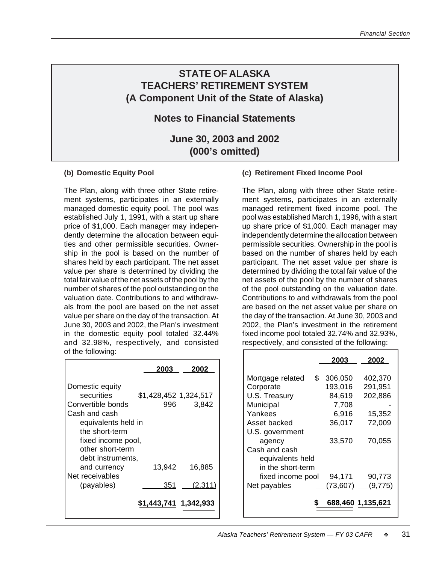### **Notes to Financial Statements**

### **June 30, 2003 and 2002 (000's omitted)**

#### **(b) Domestic Equity Pool**

The Plan, along with three other State retirement systems, participates in an externally managed domestic equity pool. The pool was established July 1, 1991, with a start up share price of \$1,000. Each manager may independently determine the allocation between equities and other permissible securities. Ownership in the pool is based on the number of shares held by each participant. The net asset value per share is determined by dividing the total fair value of the net assets of the pool by the number of shares of the pool outstanding on the valuation date. Contributions to and withdrawals from the pool are based on the net asset value per share on the day of the transaction. At June 30, 2003 and 2002, the Plan's investment in the domestic equity pool totaled 32.44% and 32.98%, respectively, and consisted of the following:

|                                                                                                                       | 2003                         | 2002    |
|-----------------------------------------------------------------------------------------------------------------------|------------------------------|---------|
| Domestic equity<br>securities<br>Convertible bonds                                                                    | \$1,428,452 1,324,517<br>996 | 3,842   |
| Cash and cash<br>equivalents held in<br>the short-term<br>fixed income pool,<br>other short-term<br>debt instruments, |                              |         |
| and currency<br>Net receivables                                                                                       | 13,942                       | 16,885  |
| (payables)                                                                                                            | 351                          | (2,311) |
|                                                                                                                       |                              |         |

#### **(c) Retirement Fixed Income Pool**

The Plan, along with three other State retirement systems, participates in an externally managed retirement fixed income pool. The pool was established March 1, 1996, with a start up share price of \$1,000. Each manager may independently determine the allocation between permissible securities. Ownership in the pool is based on the number of shares held by each participant. The net asset value per share is determined by dividing the total fair value of the net assets of the pool by the number of shares of the pool outstanding on the valuation date. Contributions to and withdrawals from the pool are based on the net asset value per share on the day of the transaction. At June 30, 2003 and 2002, the Plan's investment in the retirement fixed income pool totaled 32.74% and 32.93%, respectively, and consisted of the following:

|                        | 2003      | 2002              |
|------------------------|-----------|-------------------|
| \$<br>Mortgage related | 306,050   | 402,370           |
| Corporate              | 193,016   | 291,951           |
| U.S. Treasury          | 84,619    | 202,886           |
| Municipal              | 7,708     |                   |
| Yankees                | 6,916     | 15,352            |
| Asset backed           | 36,017    | 72,009            |
| U.S. government        |           |                   |
| agency                 | 33,570    | 70,055            |
| Cash and cash          |           |                   |
| equivalents held       |           |                   |
| in the short-term      |           |                   |
| fixed income pool      | 94,171    | 90,773            |
| Net payables           | (73, 607) | (9, 775)          |
|                        |           | 688,460 1,135,621 |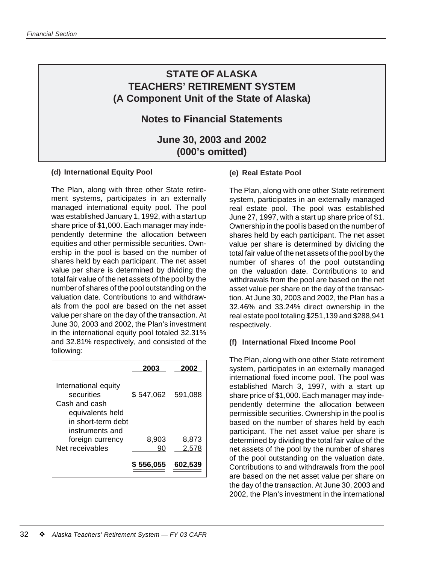### **Notes to Financial Statements**

### **June 30, 2003 and 2002 (000's omitted)**

#### **(d) International Equity Pool**

The Plan, along with three other State retirement systems, participates in an externally managed international equity pool. The pool was established January 1, 1992, with a start up share price of \$1,000. Each manager may independently determine the allocation between equities and other permissible securities. Ownership in the pool is based on the number of shares held by each participant. The net asset value per share is determined by dividing the total fair value of the net assets of the pool by the number of shares of the pool outstanding on the valuation date. Contributions to and withdrawals from the pool are based on the net asset value per share on the day of the transaction. At June 30, 2003 and 2002, the Plan's investment in the international equity pool totaled 32.31% and 32.81% respectively, and consisted of the following:

|                                                                                                                  | 2003      | 2002           |
|------------------------------------------------------------------------------------------------------------------|-----------|----------------|
| International equity<br>securities<br>Cash and cash<br>equivalents held<br>in short-term debt<br>instruments and | \$547,062 | 591,088        |
| foreign currency<br>Net receivables                                                                              | 8,903     | 8,873<br>2,578 |
|                                                                                                                  | 556,055   | 602.539        |

#### **(e) Real Estate Pool**

The Plan, along with one other State retirement system, participates in an externally managed real estate pool. The pool was established June 27, 1997, with a start up share price of \$1. Ownership in the pool is based on the number of shares held by each participant. The net asset value per share is determined by dividing the total fair value of the net assets of the pool by the number of shares of the pool outstanding on the valuation date. Contributions to and withdrawals from the pool are based on the net asset value per share on the day of the transaction. At June 30, 2003 and 2002, the Plan has a 32.46% and 33.24% direct ownership in the real estate pool totaling \$251,139 and \$288,941 respectively.

#### **(f) International Fixed Income Pool**

The Plan, along with one other State retirement system, participates in an externally managed international fixed income pool. The pool was established March 3, 1997, with a start up share price of \$1,000. Each manager may independently determine the allocation between permissible securities. Ownership in the pool is based on the number of shares held by each participant. The net asset value per share is determined by dividing the total fair value of the net assets of the pool by the number of shares of the pool outstanding on the valuation date. Contributions to and withdrawals from the pool are based on the net asset value per share on the day of the transaction. At June 30, 2003 and 2002, the Plan's investment in the international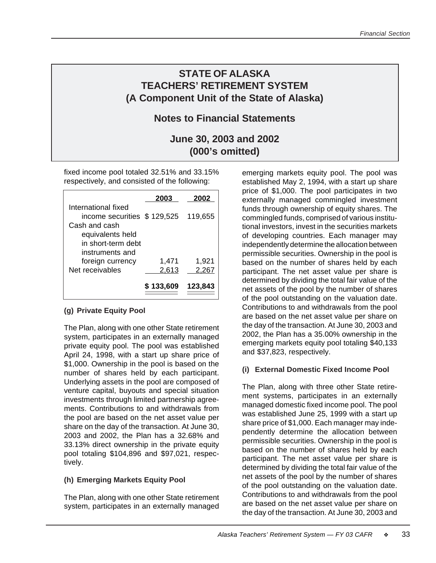### **Notes to Financial Statements**

### **June 30, 2003 and 2002 (000's omitted)**

fixed income pool totaled 32.51% and 33.15% respectively, and consisted of the following:

|                                     | 2003      | 2002    |
|-------------------------------------|-----------|---------|
| International fixed                 |           |         |
| income securities \$129,525         |           | 119,655 |
| Cash and cash                       |           |         |
| equivalents held                    |           |         |
| in short-term debt                  |           |         |
| instruments and                     |           |         |
| foreign currency<br>Net receivables | 1,471     | 1,921   |
|                                     | 2,613     | 2,267   |
|                                     | \$133,609 | 123,843 |

#### **(g) Private Equity Pool**

The Plan, along with one other State retirement system, participates in an externally managed private equity pool. The pool was established April 24, 1998, with a start up share price of \$1,000. Ownership in the pool is based on the number of shares held by each participant. Underlying assets in the pool are composed of venture capital, buyouts and special situation investments through limited partnership agreements. Contributions to and withdrawals from the pool are based on the net asset value per share on the day of the transaction. At June 30, 2003 and 2002, the Plan has a 32.68% and 33.13% direct ownership in the private equity pool totaling \$104,896 and \$97,021, respectively.

#### **(h) Emerging Markets Equity Pool**

The Plan, along with one other State retirement system, participates in an externally managed

emerging markets equity pool. The pool was established May 2, 1994, with a start up share price of \$1,000. The pool participates in two externally managed commingled investment funds through ownership of equity shares. The commingled funds, comprised of various institutional investors, invest in the securities markets of developing countries. Each manager may independently determine the allocation between permissible securities. Ownership in the pool is based on the number of shares held by each participant. The net asset value per share is determined by dividing the total fair value of the net assets of the pool by the number of shares of the pool outstanding on the valuation date. Contributions to and withdrawals from the pool are based on the net asset value per share on the day of the transaction. At June 30, 2003 and 2002, the Plan has a 35.00% ownership in the emerging markets equity pool totaling \$40,133 and \$37,823, respectively.

#### **(i) External Domestic Fixed Income Pool**

The Plan, along with three other State retirement systems, participates in an externally managed domestic fixed income pool. The pool was established June 25, 1999 with a start up share price of \$1,000. Each manager may independently determine the allocation between permissible securities. Ownership in the pool is based on the number of shares held by each participant. The net asset value per share is determined by dividing the total fair value of the net assets of the pool by the number of shares of the pool outstanding on the valuation date. Contributions to and withdrawals from the pool are based on the net asset value per share on the day of the transaction. At June 30, 2003 and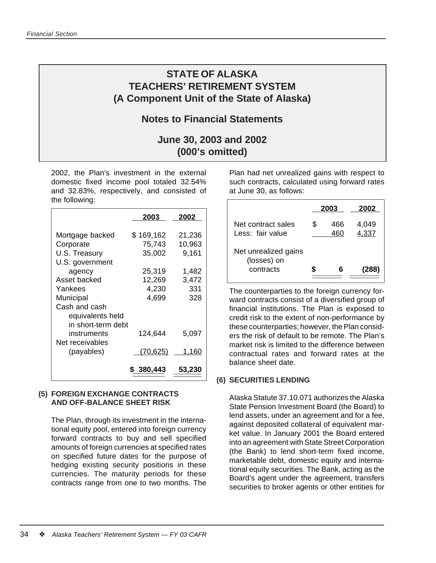### **Notes to Financial Statements**

### **June 30, 2003 and 2002 (000's omitted)**

2002, the Plan's investment in the external domestic fixed income pool totaled 32.54% and 32.83%, respectively, and consisted of the following:

|                    | 2003      | 2002   |
|--------------------|-----------|--------|
| Mortgage backed    | \$169,162 | 21,236 |
| Corporate          | 75,743    | 10,963 |
| U.S. Treasury      | 35,002    | 9,161  |
| U.S. government    |           |        |
| agency             | 25,319    | 1,482  |
| Asset backed       | 12,269    | 3,472  |
| Yankees            | 4,230     | 331    |
| Municipal          | 4,699     | 328    |
| Cash and cash      |           |        |
| equivalents held   |           |        |
| in short-term debt |           |        |
| instruments        | 124,644   | 5,097  |
| Net receivables    |           |        |
| (payables)         | (70, 625) | 1,160  |
|                    | 380,443   | 53,230 |

#### **(5) FOREIGN EXCHANGE CONTRACTS AND OFF-BALANCE SHEET RISK**

The Plan, through its investment in the international equity pool, entered into foreign currency forward contracts to buy and sell specified amounts of foreign currencies at specified rates on specified future dates for the purpose of hedging existing security positions in these currencies. The maturity periods for these contracts range from one to two months. The Plan had net unrealized gains with respect to such contracts, calculated using forward rates at June 30, as follows:

|                                                  | 2003 |            | 2002           |
|--------------------------------------------------|------|------------|----------------|
| Net contract sales<br>Less: fair value           |      | 466<br>460 | 4,049<br>4,337 |
| Net unrealized gains<br>(losses) on<br>contracts |      | ห          |                |

The counterparties to the foreign currency forward contracts consist of a diversified group of financial institutions. The Plan is exposed to credit risk to the extent of non-performance by these counterparties; however, the Plan considers the risk of default to be remote. The Plan's market risk is limited to the difference between contractual rates and forward rates at the balance sheet date.

#### **(6) SECURITIES LENDING**

Alaska Statute 37.10.071 authorizes the Alaska State Pension Investment Board (the Board) to lend assets, under an agreement and for a fee, against deposited collateral of equivalent market value. In January 2001 the Board entered into an agreement with State Street Corporation (the Bank) to lend short-term fixed income, marketable debt, domestic equity and international equity securities. The Bank, acting as the Board's agent under the agreement, transfers securities to broker agents or other entities for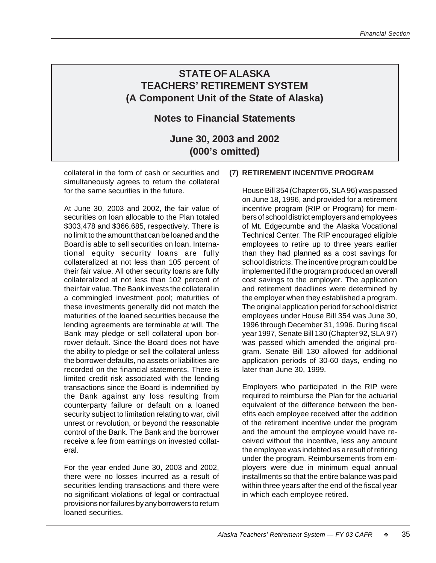### **Notes to Financial Statements**

### **June 30, 2003 and 2002 (000's omitted)**

collateral in the form of cash or securities and simultaneously agrees to return the collateral for the same securities in the future.

At June 30, 2003 and 2002, the fair value of securities on loan allocable to the Plan totaled \$303,478 and \$366,685, respectively. There is no limit to the amount that can be loaned and the Board is able to sell securities on loan. International equity security loans are fully collateralized at not less than 105 percent of their fair value. All other security loans are fully collateralized at not less than 102 percent of their fair value. The Bank invests the collateral in a commingled investment pool; maturities of these investments generally did not match the maturities of the loaned securities because the lending agreements are terminable at will. The Bank may pledge or sell collateral upon borrower default. Since the Board does not have the ability to pledge or sell the collateral unless the borrower defaults, no assets or liabilities are recorded on the financial statements. There is limited credit risk associated with the lending transactions since the Board is indemnified by the Bank against any loss resulting from counterparty failure or default on a loaned security subject to limitation relating to war, civil unrest or revolution, or beyond the reasonable control of the Bank. The Bank and the borrower receive a fee from earnings on invested collateral.

For the year ended June 30, 2003 and 2002, there were no losses incurred as a result of securities lending transactions and there were no significant violations of legal or contractual provisions nor failures by any borrowers to return loaned securities.

### **(7) RETIREMENT INCENTIVE PROGRAM**

House Bill 354 (Chapter 65, SLA 96) was passed on June 18, 1996, and provided for a retirement incentive program (RIP or Program) for members of school district employers and employees of Mt. Edgecumbe and the Alaska Vocational Technical Center. The RIP encouraged eligible employees to retire up to three years earlier than they had planned as a cost savings for school districts. The incentive program could be implemented if the program produced an overall cost savings to the employer. The application and retirement deadlines were determined by the employer when they established a program. The original application period for school district employees under House Bill 354 was June 30, 1996 through December 31, 1996. During fiscal year 1997, Senate Bill 130 (Chapter 92, SLA 97) was passed which amended the original program. Senate Bill 130 allowed for additional application periods of 30-60 days, ending no later than June 30, 1999.

Employers who participated in the RIP were required to reimburse the Plan for the actuarial equivalent of the difference between the benefits each employee received after the addition of the retirement incentive under the program and the amount the employee would have received without the incentive, less any amount the employee was indebted as a result of retiring under the program. Reimbursements from employers were due in minimum equal annual installments so that the entire balance was paid within three years after the end of the fiscal year in which each employee retired.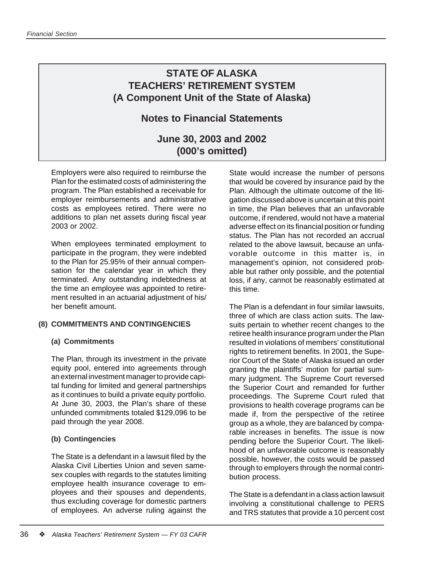### **Notes to Financial Statements**

### **June 30, 2003 and 2002 (000's omitted)**

Employers were also required to reimburse the Plan for the estimated costs of administering the program. The Plan established a receivable for employer reimbursements and administrative costs as employees retired. There were no additions to plan net assets during fiscal year 2003 or 2002.

When employees terminated employment to participate in the program, they were indebted to the Plan for 25.95% of their annual compensation for the calendar year in which they terminated. Any outstanding indebtedness at the time an employee was appointed to retirement resulted in an actuarial adjustment of his/ her benefit amount.

### **(8) COMMITMENTS AND CONTINGENCIES**

### **(a) Commitments**

The Plan, through its investment in the private equity pool, entered into agreements through an external investment manager to provide capital funding for limited and general partnerships as it continues to build a private equity portfolio. At June 30, 2003, the Plan's share of these unfunded commitments totaled \$129,096 to be paid through the year 2008.

### **(b) Contingencies**

The State is a defendant in a lawsuit filed by the Alaska Civil Liberties Union and seven samesex couples with regards to the statutes limiting employee health insurance coverage to employees and their spouses and dependents, thus excluding coverage for domestic partners of employees. An adverse ruling against the

State would increase the number of persons that would be covered by insurance paid by the Plan. Although the ultimate outcome of the litigation discussed above is uncertain at this point in time, the Plan believes that an unfavorable outcome, if rendered, would not have a material adverse effect on its financial position or funding status. The Plan has not recorded an accrual related to the above lawsuit, because an unfavorable outcome in this matter is, in management's opinion, not considered probable but rather only possible, and the potential loss, if any, cannot be reasonably estimated at this time.

The Plan is a defendant in four similar lawsuits, three of which are class action suits. The lawsuits pertain to whether recent changes to the retiree health insurance program under the Plan resulted in violations of members' constitutional rights to retirement benefits. In 2001, the Superior Court of the State of Alaska issued an order granting the plaintiffs' motion for partial summary judgment. The Supreme Court reversed the Superior Court and remanded for further proceedings. The Supreme Court ruled that provisions to health coverage programs can be made if, from the perspective of the retiree group as a whole, they are balanced by comparable increases in benefits. The issue is now pending before the Superior Court. The likelihood of an unfavorable outcome is reasonably possible, however, the costs would be passed through to employers through the normal contribution process.

The State is a defendant in a class action lawsuit involving a constitutional challenge to PERS and TRS statutes that provide a 10 percent cost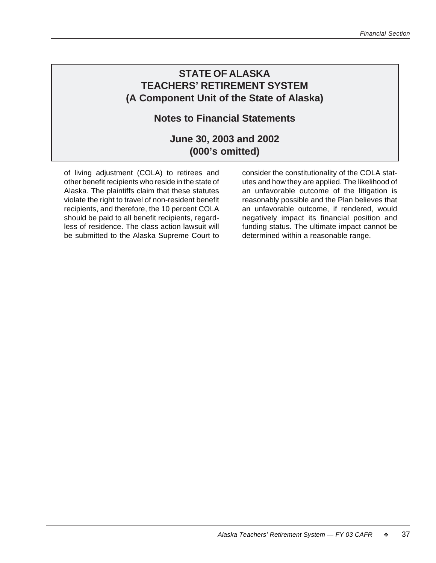### **Notes to Financial Statements**

### **June 30, 2003 and 2002 (000's omitted)**

of living adjustment (COLA) to retirees and other benefit recipients who reside in the state of Alaska. The plaintiffs claim that these statutes violate the right to travel of non-resident benefit recipients, and therefore, the 10 percent COLA should be paid to all benefit recipients, regardless of residence. The class action lawsuit will be submitted to the Alaska Supreme Court to

consider the constitutionality of the COLA statutes and how they are applied. The likelihood of an unfavorable outcome of the litigation is reasonably possible and the Plan believes that an unfavorable outcome, if rendered, would negatively impact its financial position and funding status. The ultimate impact cannot be determined within a reasonable range.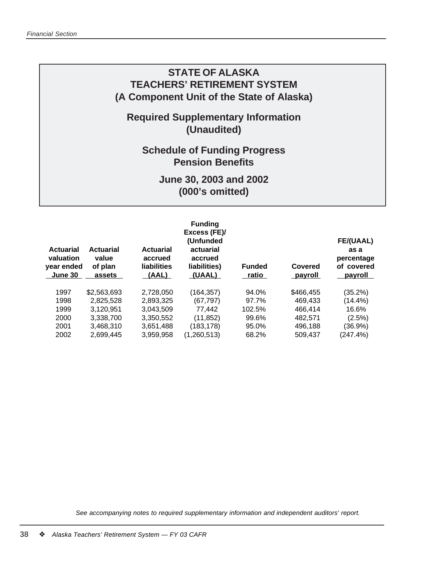### **Required Supplementary Information (Unaudited)**

## **Schedule of Funding Progress Pension Benefits**

### **June 30, 2003 and 2002 (000's omitted)**

| <b>Actuarial</b><br>valuation<br>year ended<br>June 30 | <b>Actuarial</b><br>value<br>of plan<br>assets | <b>Actuarial</b><br>accrued<br>liabilities<br>(AAL) | <b>Funding</b><br>Excess (FE)/<br>(Unfunded<br>actuarial<br>accrued<br>liabilities)<br>(UAAL) | <b>Funded</b><br>ratio | Covered<br>payroll | <b>FE/(UAAL)</b><br>as a<br>percentage<br>of covered<br>payroll |
|--------------------------------------------------------|------------------------------------------------|-----------------------------------------------------|-----------------------------------------------------------------------------------------------|------------------------|--------------------|-----------------------------------------------------------------|
| 1997                                                   | \$2,563,693                                    | 2.728.050                                           | (164,357)                                                                                     | 94.0%                  | \$466,455          | (35.2%)                                                         |
| 1998                                                   | 2,825,528                                      | 2,893,325                                           | (67.797)                                                                                      | 97.7%                  | 469.433            | (14.4%)                                                         |
| 1999                                                   | 3.120.951                                      | 3.043.509                                           | 77.442                                                                                        | 102.5%                 | 466.414            | 16.6%                                                           |
| 2000                                                   | 3,338,700                                      | 3,350,552                                           | (11, 852)                                                                                     | 99.6%                  | 482.571            | (2.5%)                                                          |
| 2001                                                   | 3,468,310                                      | 3,651,488                                           | (183,178)                                                                                     | 95.0%                  | 496,188            | (36.9%)                                                         |
| 2002                                                   | 2.699.445                                      | 3.959.958                                           | (1,260,513)                                                                                   | 68.2%                  | 509.437            | (247.4%)                                                        |

*See accompanying notes to required supplementary information and independent auditors' report.*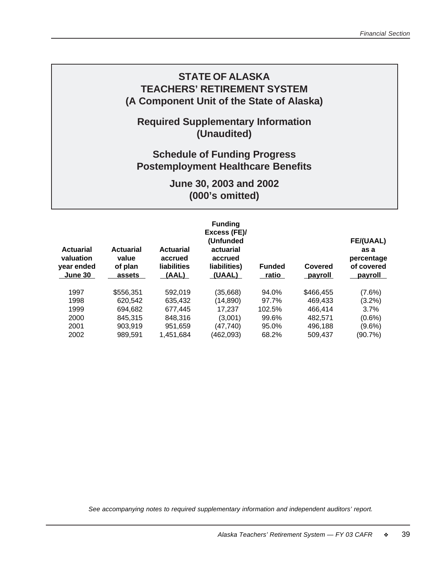### **Required Supplementary Information (Unaudited)**

## **Schedule of Funding Progress Postemployment Healthcare Benefits**

**June 30, 2003 and 2002 (000's omitted)**

| <b>Actuarial</b><br>valuation<br>year ended<br>June 30 | <b>Actuarial</b><br>value<br>of plan<br>assets | <b>Actuarial</b><br>accrued<br><b>liabilities</b><br>(AAL) | <b>Funding</b><br>Excess (FE)/<br>(Unfunded<br>actuarial<br>accrued<br>liabilities)<br>(UAAL) | <b>Funded</b><br>ratio | Covered<br><u>payroll</u> | <b>FE/(UAAL)</b><br>as a<br>percentage<br>of covered<br>payroll |
|--------------------------------------------------------|------------------------------------------------|------------------------------------------------------------|-----------------------------------------------------------------------------------------------|------------------------|---------------------------|-----------------------------------------------------------------|
| 1997                                                   | \$556,351                                      | 592.019                                                    | (35,668)                                                                                      | 94.0%                  | \$466,455                 | (7.6%)                                                          |
| 1998                                                   | 620.542                                        | 635.432                                                    | (14,890)                                                                                      | 97.7%                  | 469.433                   | $(3.2\%)$                                                       |
| 1999                                                   | 694.682                                        | 677.445                                                    | 17.237                                                                                        | 102.5%                 | 466.414                   | 3.7%                                                            |
| 2000                                                   | 845.315                                        | 848.316                                                    | (3,001)                                                                                       | 99.6%                  | 482.571                   | $(0.6\%)$                                                       |
| 2001                                                   | 903,919                                        | 951,659                                                    | (47,740)                                                                                      | 95.0%                  | 496,188                   | (9.6%)                                                          |
| 2002                                                   | 989.591                                        | 1.451.684                                                  | (462,093)                                                                                     | 68.2%                  | 509.437                   | (90.7%)                                                         |

*See accompanying notes to required supplementary information and independent auditors' report.*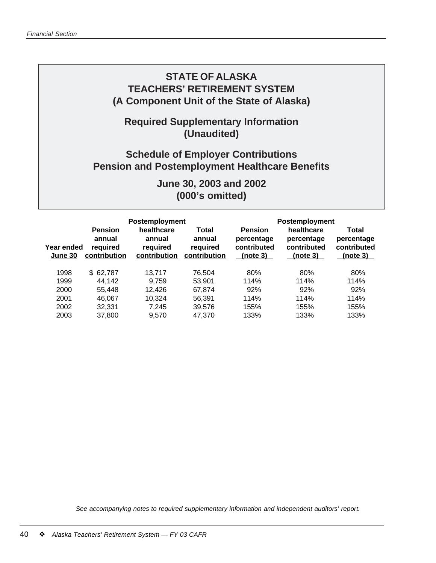**Required Supplementary Information (Unaudited)**

## **Schedule of Employer Contributions Pension and Postemployment Healthcare Benefits**

**June 30, 2003 and 2002 (000's omitted)**

|                       |                                                      | Postemployment                                   |                                             |                                                         | Postemployment                                      |                                                       |
|-----------------------|------------------------------------------------------|--------------------------------------------------|---------------------------------------------|---------------------------------------------------------|-----------------------------------------------------|-------------------------------------------------------|
| Year ended<br>June 30 | <b>Pension</b><br>annual<br>required<br>contribution | healthcare<br>annual<br>required<br>contribution | Total<br>annual<br>required<br>contribution | <b>Pension</b><br>percentage<br>contributed<br>(note 3) | healthcare<br>percentage<br>contributed<br>(note 3) | <b>Total</b><br>percentage<br>contributed<br>(note 3) |
| 1998                  | \$62.787                                             | 13.717                                           | 76.504                                      | 80%                                                     | 80%                                                 | 80%                                                   |
| 1999                  | 44,142                                               | 9.759                                            | 53,901                                      | 114%                                                    | 114%                                                | 114%                                                  |
| 2000                  | 55.448                                               | 12.426                                           | 67.874                                      | 92%                                                     | 92%                                                 | 92%                                                   |
| 2001                  | 46.067                                               | 10,324                                           | 56,391                                      | 114%                                                    | 114%                                                | 114%                                                  |
| 2002                  | 32,331                                               | 7.245                                            | 39,576                                      | 155%                                                    | 155%                                                | 155%                                                  |
| 2003                  | 37,800                                               | 9.570                                            | 47,370                                      | 133%                                                    | 133%                                                | 133%                                                  |

*See accompanying notes to required supplementary information and independent auditors' report.*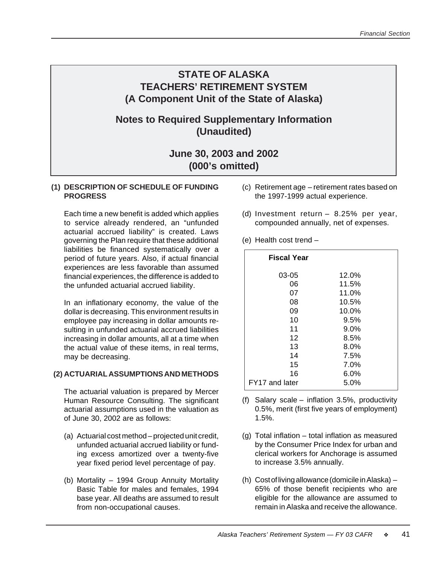## **Notes to Required Supplementary Information (Unaudited)**

## **June 30, 2003 and 2002 (000's omitted)**

#### **(1) DESCRIPTION OF SCHEDULE OF FUNDING PROGRESS**

Each time a new benefit is added which applies to service already rendered, an "unfunded actuarial accrued liability" is created. Laws governing the Plan require that these additional liabilities be financed systematically over a period of future years. Also, if actual financial experiences are less favorable than assumed financial experiences, the difference is added to the unfunded actuarial accrued liability.

In an inflationary economy, the value of the dollar is decreasing. This environment results in employee pay increasing in dollar amounts resulting in unfunded actuarial accrued liabilities increasing in dollar amounts, all at a time when the actual value of these items, in real terms, may be decreasing.

### **(2) ACTUARIAL ASSUMPTIONS AND METHODS**

The actuarial valuation is prepared by Mercer Human Resource Consulting. The significant actuarial assumptions used in the valuation as of June 30, 2002 are as follows:

- (a) Actuarial cost method projected unit credit, unfunded actuarial accrued liability or funding excess amortized over a twenty-five year fixed period level percentage of pay.
- (b) Mortality 1994 Group Annuity Mortality Basic Table for males and females, 1994 base year. All deaths are assumed to result from non-occupational causes.
- (c) Retirement age retirement rates based on the 1997-1999 actual experience.
- (d) Investment return 8.25% per year, compounded annually, net of expenses.
- (e) Health cost trend –

| <b>Fiscal Year</b> |
|--------------------|
| 12.0%              |
| 11.5%              |
| 11.0%              |
| 10.5%              |
| 10.0%              |
| 9.5%               |
| 9.0%               |
| 8.5%               |
| 8.0%               |
| 7.5%               |
| 7.0%               |
| 6.0%               |
| 5.0%               |
|                    |

- (f) Salary scale inflation 3.5%, productivity 0.5%, merit (first five years of employment) 1.5%.
- (g) Total inflation total inflation as measured by the Consumer Price Index for urban and clerical workers for Anchorage is assumed to increase 3.5% annually.
- (h) Cost of living allowance (domicile in Alaska) 65% of those benefit recipients who are eligible for the allowance are assumed to remain in Alaska and receive the allowance.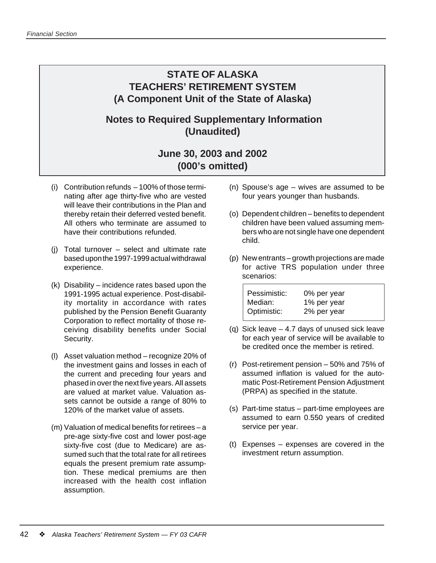**Notes to Required Supplementary Information (Unaudited)**

## **June 30, 2003 and 2002 (000's omitted)**

- (i) Contribution refunds 100% of those terminating after age thirty-five who are vested will leave their contributions in the Plan and thereby retain their deferred vested benefit. All others who terminate are assumed to have their contributions refunded.
- (j) Total turnover select and ultimate rate based upon the 1997-1999 actual withdrawal experience.
- (k) Disability incidence rates based upon the 1991-1995 actual experience. Post-disability mortality in accordance with rates published by the Pension Benefit Guaranty Corporation to reflect mortality of those receiving disability benefits under Social Security.
- (l) Asset valuation method recognize 20% of the investment gains and losses in each of the current and preceding four years and phased in over the next five years. All assets are valued at market value. Valuation assets cannot be outside a range of 80% to 120% of the market value of assets.
- (m) Valuation of medical benefits for retirees a pre-age sixty-five cost and lower post-age sixty-five cost (due to Medicare) are assumed such that the total rate for all retirees equals the present premium rate assumption. These medical premiums are then increased with the health cost inflation assumption.
- (n) Spouse's age wives are assumed to be four years younger than husbands.
- (o) Dependent children benefits to dependent children have been valued assuming members who are not single have one dependent child.
- (p) New entrants growth projections are made for active TRS population under three scenarios:

| Pessimistic: | 0% per year |
|--------------|-------------|
| Median:      | 1% per year |
| Optimistic:  | 2% per year |

- (q) Sick leave 4.7 days of unused sick leave for each year of service will be available to be credited once the member is retired.
- (r) Post-retirement pension 50% and 75% of assumed inflation is valued for the automatic Post-Retirement Pension Adjustment (PRPA) as specified in the statute.
- (s) Part-time status part-time employees are assumed to earn 0.550 years of credited service per year.
- (t) Expenses expenses are covered in the investment return assumption.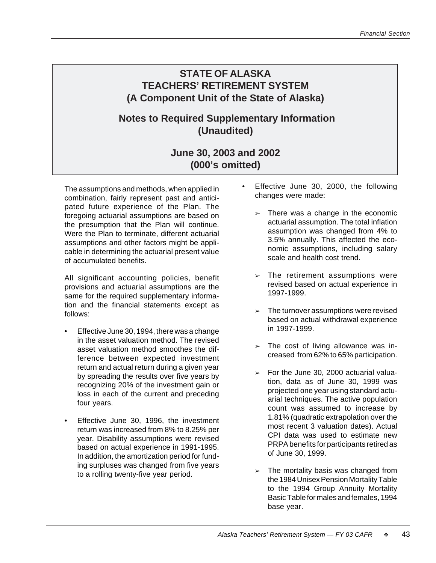## **Notes to Required Supplementary Information (Unaudited)**

### **June 30, 2003 and 2002 (000's omitted)**

The assumptions and methods, when applied in combination, fairly represent past and anticipated future experience of the Plan. The foregoing actuarial assumptions are based on the presumption that the Plan will continue. Were the Plan to terminate, different actuarial assumptions and other factors might be applicable in determining the actuarial present value of accumulated benefits.

All significant accounting policies, benefit provisions and actuarial assumptions are the same for the required supplementary information and the financial statements except as follows:

- Effective June 30, 1994, there was a change in the asset valuation method. The revised asset valuation method smoothes the difference between expected investment return and actual return during a given year by spreading the results over five years by recognizing 20% of the investment gain or loss in each of the current and preceding four years.
- Effective June 30, 1996, the investment return was increased from 8% to 8.25% per year. Disability assumptions were revised based on actual experience in 1991-1995. In addition, the amortization period for funding surpluses was changed from five years to a rolling twenty-five year period.
- Effective June 30, 2000, the following changes were made:
	- $\geq$  There was a change in the economic actuarial assumption. The total inflation assumption was changed from 4% to 3.5% annually. This affected the economic assumptions, including salary scale and health cost trend.
	- $>$  The retirement assumptions were revised based on actual experience in 1997-1999.
	- $\geq$  The turnover assumptions were revised based on actual withdrawal experience in 1997-1999.
	- $>$  The cost of living allowance was increased from 62% to 65% participation.
	- $\ge$  For the June 30, 2000 actuarial valuation, data as of June 30, 1999 was projected one year using standard actuarial techniques. The active population count was assumed to increase by 1.81% (quadratic extrapolation over the most recent 3 valuation dates). Actual CPI data was used to estimate new PRPA benefits for participants retired as of June 30, 1999.
	- $\geq$  The mortality basis was changed from the 1984 Unisex Pension Mortality Table to the 1994 Group Annuity Mortality Basic Table for males and females, 1994 base year.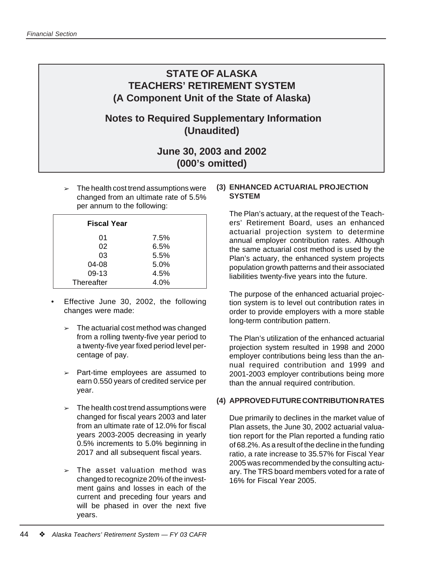**Notes to Required Supplementary Information (Unaudited)**

## **June 30, 2003 and 2002 (000's omitted)**

 $>$  The health cost trend assumptions were changed from an ultimate rate of 5.5% per annum to the following:

| <b>Fiscal Year</b> |      |
|--------------------|------|
| 01                 | 7.5% |
| 02                 | 6.5% |
| 03                 | 5.5% |
| 04-08              | 5.0% |
| 09-13              | 4.5% |
| Thereafter         | 4.0% |

- Effective June 30, 2002, the following changes were made:
	- $\geq$  The actuarial cost method was changed from a rolling twenty-five year period to a twenty-five year fixed period level percentage of pay.
	- $\ge$  Part-time employees are assumed to earn 0.550 years of credited service per year.
	- $>$  The health cost trend assumptions were changed for fiscal years 2003 and later from an ultimate rate of 12.0% for fiscal years 2003-2005 decreasing in yearly 0.5% increments to 5.0% beginning in 2017 and all subsequent fiscal years.
	- $>$  The asset valuation method was changed to recognize 20% of the investment gains and losses in each of the current and preceding four years and will be phased in over the next five years.

#### **(3) ENHANCED ACTUARIAL PROJECTION SYSTEM**

The Plan's actuary, at the request of the Teachers' Retirement Board, uses an enhanced actuarial projection system to determine annual employer contribution rates. Although the same actuarial cost method is used by the Plan's actuary, the enhanced system projects population growth patterns and their associated liabilities twenty-five years into the future.

The purpose of the enhanced actuarial projection system is to level out contribution rates in order to provide employers with a more stable long-term contribution pattern.

The Plan's utilization of the enhanced actuarial projection system resulted in 1998 and 2000 employer contributions being less than the annual required contribution and 1999 and 2001-2003 employer contributions being more than the annual required contribution.

#### **(4) APPROVED FUTURE CONTRIBUTION RATES**

Due primarily to declines in the market value of Plan assets, the June 30, 2002 actuarial valuation report for the Plan reported a funding ratio of 68.2%. As a result of the decline in the funding ratio, a rate increase to 35.57% for Fiscal Year 2005 was recommended by the consulting actuary. The TRS board members voted for a rate of 16% for Fiscal Year 2005.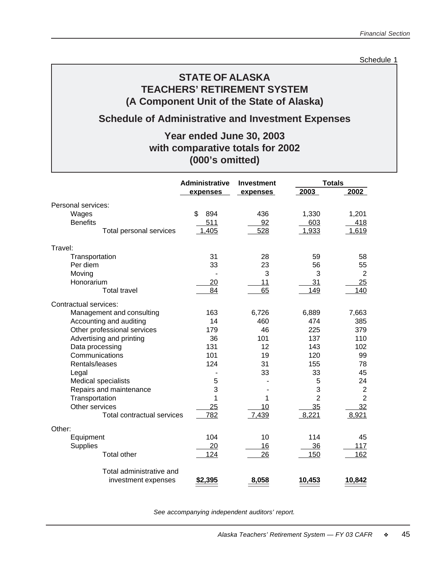Schedule 1

## **STATE OF ALASKA TEACHERS' RETIREMENT SYSTEM (A Component Unit of the State of Alaska)**

## **Schedule of Administrative and Investment Expenses**

### **Year ended June 30, 2003 with comparative totals for 2002 (000's omitted)**

|                                   | <b>Administrative</b> | <b>Investment</b> | <b>Totals</b>  |                |
|-----------------------------------|-----------------------|-------------------|----------------|----------------|
|                                   | expenses              | expenses          | 2003           | 2002           |
| Personal services:                |                       |                   |                |                |
| Wages                             | \$<br>894             | 436               | 1,330          | 1,201          |
| <b>Benefits</b>                   | 511                   | 92                | 603            | 418            |
| Total personal services           | 1,405                 | 528               | 1,933          | 1,619          |
| Travel:                           |                       |                   |                |                |
| Transportation                    | 31                    | 28                | 59             | 58             |
| Per diem                          | 33                    | 23                | 56             | 55             |
| Moving                            |                       | 3                 | 3              | $\overline{2}$ |
| Honorarium                        | 20                    | <u> 11</u>        | 31             | 25             |
| <b>Total travel</b>               | 84                    | 65                | 149            | 140            |
| Contractual services:             |                       |                   |                |                |
| Management and consulting         | 163                   | 6,726             | 6,889          | 7,663          |
| Accounting and auditing           | 14                    | 460               | 474            | 385            |
| Other professional services       | 179                   | 46                | 225            | 379            |
| Advertising and printing          | 36                    | 101               | 137            | 110            |
| Data processing                   | 131                   | 12                | 143            | 102            |
| Communications                    | 101                   | 19                | 120            | 99             |
| Rentals/leases                    | 124                   | 31                | 155            | 78             |
| Legal                             |                       | 33                | 33             | 45             |
| Medical specialists               | 5                     |                   | 5              | 24             |
| Repairs and maintenance           | 3                     |                   | 3              | $\overline{2}$ |
| Transportation                    | 1                     | 1                 | $\overline{2}$ | $\overline{2}$ |
| Other services                    | 25                    | 10                | 35             | 32             |
| <b>Total contractual services</b> | 782                   | 7,439             | 8,221          | 8,921          |
| Other:                            |                       |                   |                |                |
| Equipment                         | 104                   | 10                | 114            | 45             |
| <b>Supplies</b>                   | 20                    | 16                | 36             | 117            |
| <b>Total other</b>                | 124                   | 26                | 150            | 162            |
| Total administrative and          |                       |                   |                |                |
| investment expenses               | \$2,395               | 8,058             | 10,453         | 10,842         |

*See accompanying independent auditors' report.*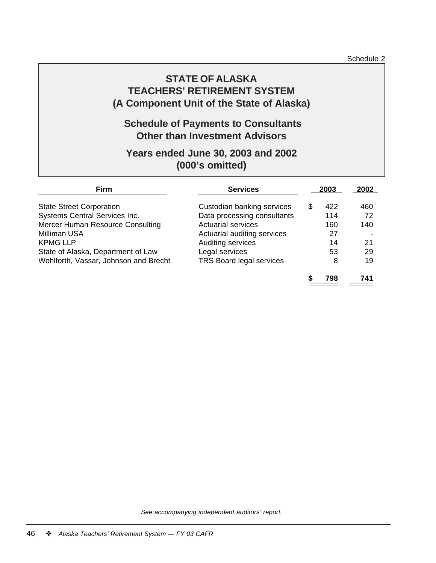Schedule 2

## **STATE OF ALASKA TEACHERS' RETIREMENT SYSTEM (A Component Unit of the State of Alaska)**

## **Schedule of Payments to Consultants Other than Investment Advisors**

### **Years ended June 30, 2003 and 2002 (000's omitted)**

| <b>Firm</b>                           | <b>Services</b>             |    | 2003 | 2002 |
|---------------------------------------|-----------------------------|----|------|------|
| <b>State Street Corporation</b>       | Custodian banking services  | \$ | 422  | 460  |
| <b>Systems Central Services Inc.</b>  | Data processing consultants |    | 114  | 72   |
| Mercer Human Resource Consulting      | <b>Actuarial services</b>   |    | 160  | 140  |
| Milliman USA                          | Actuarial auditing services |    | 27   |      |
| <b>KPMG LLP</b>                       | Auditing services           |    | 14   | 21   |
| State of Alaska, Department of Law    | Legal services              |    | 53   | 29   |
| Wohlforth, Vassar, Johnson and Brecht | TRS Board legal services    |    | 8    | 19   |
|                                       |                             | S  | 798  | 741  |

*See accompanying independent auditors' report.*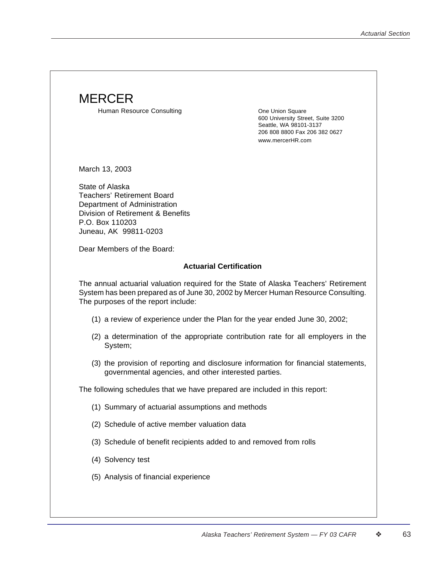# **MERCER**

Human Resource Consulting The Consulting Consulting Consulting Consumers Consulting Consumers Consumers Consumers Consumers Consumers Consumers Consumers Consumers Consumers Consumers Consumers Consumers Consumers Consumer

600 University Street, Suite 3200 Seattle, WA 98101-3137 206 808 8800 Fax 206 382 0627 www.mercerHR.com

March 13, 2003

State of Alaska Teachers' Retirement Board Department of Administration Division of Retirement & Benefits P.O. Box 110203 Juneau, AK 99811-0203

Dear Members of the Board:

#### **Actuarial Certification**

The annual actuarial valuation required for the State of Alaska Teachers' Retirement System has been prepared as of June 30, 2002 by Mercer Human Resource Consulting. The purposes of the report include:

- (1) a review of experience under the Plan for the year ended June 30, 2002;
- (2) a determination of the appropriate contribution rate for all employers in the System;
- (3) the provision of reporting and disclosure information for financial statements, governmental agencies, and other interested parties.

The following schedules that we have prepared are included in this report:

- (1) Summary of actuarial assumptions and methods
- (2) Schedule of active member valuation data
- (3) Schedule of benefit recipients added to and removed from rolls
- (4) Solvency test
- (5) Analysis of financial experience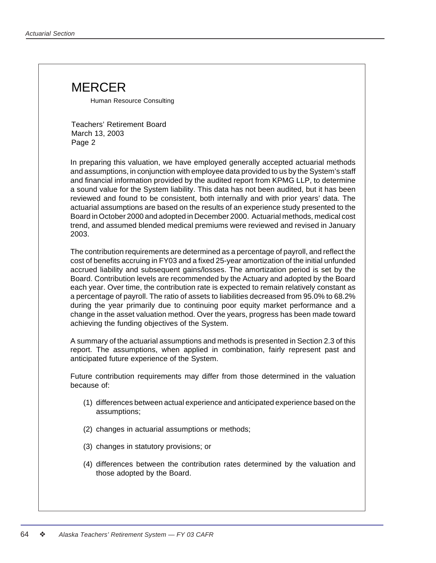# **MERCER**

Human Resource Consulting

Teachers' Retirement Board March 13, 2003 Page 2

In preparing this valuation, we have employed generally accepted actuarial methods and assumptions, in conjunction with employee data provided to us by the System's staff and financial information provided by the audited report from KPMG LLP, to determine a sound value for the System liability. This data has not been audited, but it has been reviewed and found to be consistent, both internally and with prior years' data. The actuarial assumptions are based on the results of an experience study presented to the Board in October 2000 and adopted in December 2000. Actuarial methods, medical cost trend, and assumed blended medical premiums were reviewed and revised in January 2003.

The contribution requirements are determined as a percentage of payroll, and reflect the cost of benefits accruing in FY03 and a fixed 25-year amortization of the initial unfunded accrued liability and subsequent gains/losses. The amortization period is set by the Board. Contribution levels are recommended by the Actuary and adopted by the Board each year. Over time, the contribution rate is expected to remain relatively constant as a percentage of payroll. The ratio of assets to liabilities decreased from 95.0% to 68.2% during the year primarily due to continuing poor equity market performance and a change in the asset valuation method. Over the years, progress has been made toward achieving the funding objectives of the System.

A summary of the actuarial assumptions and methods is presented in Section 2.3 of this report. The assumptions, when applied in combination, fairly represent past and anticipated future experience of the System.

Future contribution requirements may differ from those determined in the valuation because of:

- (1) differences between actual experience and anticipated experience based on the assumptions;
- (2) changes in actuarial assumptions or methods;
- (3) changes in statutory provisions; or
- (4) differences between the contribution rates determined by the valuation and those adopted by the Board.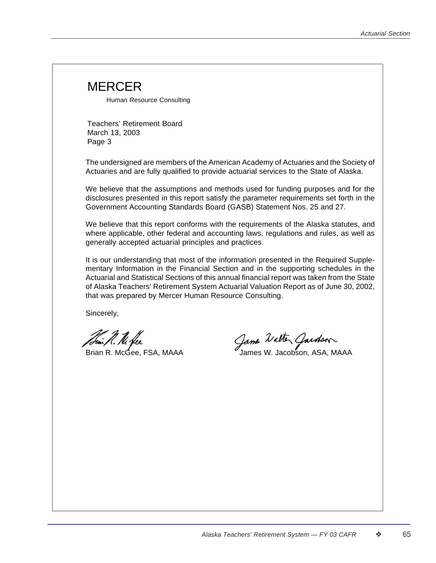# **MERCER**

Human Resource Consulting

Teachers' Retirement Board March 13, 2003 Page 3

The undersigned are members of the American Academy of Actuaries and the Society of Actuaries and are fully qualified to provide actuarial services to the State of Alaska.

We believe that the assumptions and methods used for funding purposes and for the disclosures presented in this report satisfy the parameter requirements set forth in the Government Accounting Standards Board (GASB) Statement Nos. 25 and 27.

We believe that this report conforms with the requirements of the Alaska statutes, and where applicable, other federal and accounting laws, regulations and rules, as well as generally accepted actuarial principles and practices.

It is our understanding that most of the information presented in the Required Supplementary Information in the Financial Section and in the supporting schedules in the Actuarial and Statistical Sections of this annual financial report was taken from the State of Alaska Teachers' Retirement System Actuarial Valuation Report as of June 30, 2002, that was prepared by Mercer Human Resource Consulting.

Sincerely,

Tim R. M. He

Troi R. M. Jee<br>Brian R. McGee, FSA, MAAA James W. Jacobson, ASA, MAAA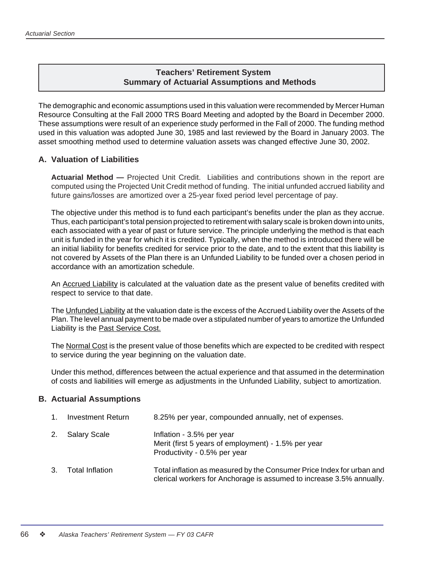### **Teachers' Retirement System Summary of Actuarial Assumptions and Methods**

The demographic and economic assumptions used in this valuation were recommended by Mercer Human Resource Consulting at the Fall 2000 TRS Board Meeting and adopted by the Board in December 2000. These assumptions were result of an experience study performed in the Fall of 2000. The funding method used in this valuation was adopted June 30, 1985 and last reviewed by the Board in January 2003. The asset smoothing method used to determine valuation assets was changed effective June 30, 2002.

### **A. Valuation of Liabilities**

**Actuarial Method —** Projected Unit Credit. Liabilities and contributions shown in the report are computed using the Projected Unit Credit method of funding. The initial unfunded accrued liability and future gains/losses are amortized over a 25-year fixed period level percentage of pay.

The objective under this method is to fund each participant's benefits under the plan as they accrue. Thus, each participant's total pension projected to retirement with salary scale is broken down into units, each associated with a year of past or future service. The principle underlying the method is that each unit is funded in the year for which it is credited. Typically, when the method is introduced there will be an initial liability for benefits credited for service prior to the date, and to the extent that this liability is not covered by Assets of the Plan there is an Unfunded Liability to be funded over a chosen period in accordance with an amortization schedule.

An Accrued Liability is calculated at the valuation date as the present value of benefits credited with respect to service to that date.

The Unfunded Liability at the valuation date is the excess of the Accrued Liability over the Assets of the Plan. The level annual payment to be made over a stipulated number of years to amortize the Unfunded Liability is the Past Service Cost.

The Normal Cost is the present value of those benefits which are expected to be credited with respect to service during the year beginning on the valuation date.

Under this method, differences between the actual experience and that assumed in the determination of costs and liabilities will emerge as adjustments in the Unfunded Liability, subject to amortization.

### **B. Actuarial Assumptions**

| $\mathbf{1}$ . | <b>Investment Return</b> | 8.25% per year, compounded annually, net of expenses.                                                                                         |  |  |
|----------------|--------------------------|-----------------------------------------------------------------------------------------------------------------------------------------------|--|--|
| 2.             | <b>Salary Scale</b>      | Inflation - 3.5% per year<br>Merit (first 5 years of employment) - 1.5% per year<br>Productivity - 0.5% per year                              |  |  |
| 3.             | Total Inflation          | Total inflation as measured by the Consumer Price Index for urban and<br>clerical workers for Anchorage is assumed to increase 3.5% annually. |  |  |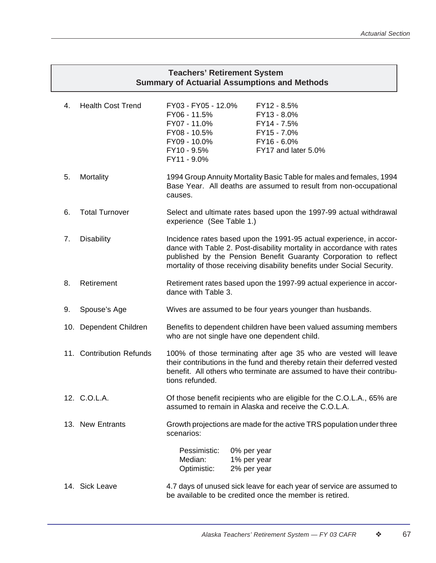|     | <b>Teachers' Retirement System</b><br><b>Summary of Actuarial Assumptions and Methods</b> |                                                                                                                                                                                                                                                                                              |                                                                                                                                           |  |  |  |
|-----|-------------------------------------------------------------------------------------------|----------------------------------------------------------------------------------------------------------------------------------------------------------------------------------------------------------------------------------------------------------------------------------------------|-------------------------------------------------------------------------------------------------------------------------------------------|--|--|--|
| 4.  | <b>Health Cost Trend</b>                                                                  | FY03 - FY05 - 12.0%<br>FY06 - 11.5%<br>FY07 - 11.0%<br>FY08 - 10.5%<br>FY09 - 10.0%<br>FY10 - 9.5%<br>FY11 - 9.0%                                                                                                                                                                            | FY12 - 8.5%<br>FY13 - 8.0%<br>FY14 - 7.5%<br>FY15 - 7.0%<br>FY16 - 6.0%<br>FY17 and later 5.0%                                            |  |  |  |
| 5.  | Mortality                                                                                 | causes.                                                                                                                                                                                                                                                                                      | 1994 Group Annuity Mortality Basic Table for males and females, 1994<br>Base Year. All deaths are assumed to result from non-occupational |  |  |  |
| 6.  | <b>Total Turnover</b>                                                                     | experience (See Table 1.)                                                                                                                                                                                                                                                                    | Select and ultimate rates based upon the 1997-99 actual withdrawal                                                                        |  |  |  |
| 7.  | Disability                                                                                | Incidence rates based upon the 1991-95 actual experience, in accor-<br>dance with Table 2. Post-disability mortality in accordance with rates<br>published by the Pension Benefit Guaranty Corporation to reflect<br>mortality of those receiving disability benefits under Social Security. |                                                                                                                                           |  |  |  |
| 8.  | Retirement                                                                                | Retirement rates based upon the 1997-99 actual experience in accor-<br>dance with Table 3.                                                                                                                                                                                                   |                                                                                                                                           |  |  |  |
| 9.  | Spouse's Age                                                                              |                                                                                                                                                                                                                                                                                              | Wives are assumed to be four years younger than husbands.                                                                                 |  |  |  |
| 10. | Dependent Children                                                                        | Benefits to dependent children have been valued assuming members<br>who are not single have one dependent child.                                                                                                                                                                             |                                                                                                                                           |  |  |  |
|     | 11. Contribution Refunds                                                                  | 100% of those terminating after age 35 who are vested will leave<br>their contributions in the fund and thereby retain their deferred vested<br>benefit. All others who terminate are assumed to have their contribu-<br>tions refunded.                                                     |                                                                                                                                           |  |  |  |
|     | 12. C.O.L.A.                                                                              | Of those benefit recipients who are eligible for the C.O.L.A., 65% are<br>assumed to remain in Alaska and receive the C.O.L.A.                                                                                                                                                               |                                                                                                                                           |  |  |  |
|     | 13. New Entrants                                                                          | Growth projections are made for the active TRS population under three<br>scenarios:                                                                                                                                                                                                          |                                                                                                                                           |  |  |  |
|     |                                                                                           | Pessimistic:<br>Median:<br>Optimistic:                                                                                                                                                                                                                                                       | 0% per year<br>1% per year<br>2% per year                                                                                                 |  |  |  |
|     | 14. Sick Leave                                                                            |                                                                                                                                                                                                                                                                                              | 4.7 days of unused sick leave for each year of service are assumed to<br>be available to be credited once the member is retired.          |  |  |  |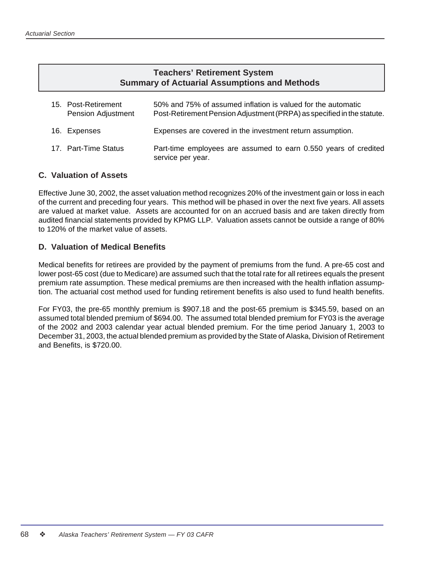### **Teachers' Retirement System Summary of Actuarial Assumptions and Methods**

| 15. Post-Retirement<br>Pension Adjustment | 50% and 75% of assumed inflation is valued for the automatic<br>Post-Retirement Pension Adjustment (PRPA) as specified in the statute. |
|-------------------------------------------|----------------------------------------------------------------------------------------------------------------------------------------|
| 16. Expenses                              | Expenses are covered in the investment return assumption.                                                                              |
| 17. Part-Time Status                      | Part-time employees are assumed to earn 0.550 years of credited<br>service per year.                                                   |

### **C. Valuation of Assets**

Effective June 30, 2002, the asset valuation method recognizes 20% of the investment gain or loss in each of the current and preceding four years. This method will be phased in over the next five years. All assets are valued at market value. Assets are accounted for on an accrued basis and are taken directly from audited financial statements provided by KPMG LLP. Valuation assets cannot be outside a range of 80% to 120% of the market value of assets.

### **D. Valuation of Medical Benefits**

Medical benefits for retirees are provided by the payment of premiums from the fund. A pre-65 cost and lower post-65 cost (due to Medicare) are assumed such that the total rate for all retirees equals the present premium rate assumption. These medical premiums are then increased with the health inflation assumption. The actuarial cost method used for funding retirement benefits is also used to fund health benefits.

For FY03, the pre-65 monthly premium is \$907.18 and the post-65 premium is \$345.59, based on an assumed total blended premium of \$694.00. The assumed total blended premium for FY03 is the average of the 2002 and 2003 calendar year actual blended premium. For the time period January 1, 2003 to December 31, 2003, the actual blended premium as provided by the State of Alaska, Division of Retirement and Benefits, is \$720.00.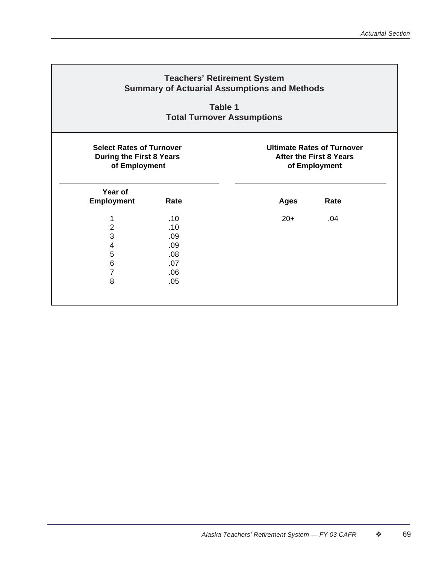| <b>Teachers' Retirement System</b><br><b>Summary of Actuarial Assumptions and Methods</b><br>Table 1<br><b>Total Turnover Assumptions</b> |                                                      |                                                                                      |      |  |  |  |  |
|-------------------------------------------------------------------------------------------------------------------------------------------|------------------------------------------------------|--------------------------------------------------------------------------------------|------|--|--|--|--|
| <b>Select Rates of Turnover</b><br><b>During the First 8 Years</b><br>of Employment                                                       |                                                      | <b>Ultimate Rates of Turnover</b><br><b>After the First 8 Years</b><br>of Employment |      |  |  |  |  |
| Year of<br><b>Employment</b>                                                                                                              | Rate                                                 | <b>Ages</b>                                                                          | Rate |  |  |  |  |
| 1<br>$\mathbf 2$<br>$\mathbf{3}$<br>$\overline{\mathbf{4}}$<br>5<br>6<br>$\overline{7}$<br>8                                              | .10<br>.10<br>.09<br>.09<br>.08<br>.07<br>.06<br>.05 | $20+$                                                                                | .04  |  |  |  |  |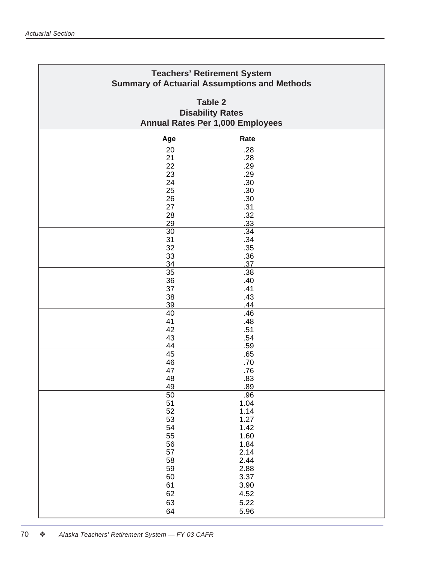| <b>Teachers' Retirement System</b><br><b>Summary of Actuarial Assumptions and Methods</b> |             |  |  |  |  |  |
|-------------------------------------------------------------------------------------------|-------------|--|--|--|--|--|
| Table 2<br><b>Disability Rates</b><br><b>Annual Rates Per 1,000 Employees</b>             |             |  |  |  |  |  |
| Age                                                                                       | Rate        |  |  |  |  |  |
| 20                                                                                        | .28         |  |  |  |  |  |
| 21                                                                                        | .28         |  |  |  |  |  |
| 22                                                                                        | .29         |  |  |  |  |  |
| 23                                                                                        | .29         |  |  |  |  |  |
| 24                                                                                        | .30         |  |  |  |  |  |
| 25                                                                                        | .30         |  |  |  |  |  |
| 26                                                                                        | .30         |  |  |  |  |  |
| 27                                                                                        | .31         |  |  |  |  |  |
| 28                                                                                        | .32         |  |  |  |  |  |
| 29                                                                                        | .33         |  |  |  |  |  |
| $\overline{30}$                                                                           | .34         |  |  |  |  |  |
| 31                                                                                        | .34         |  |  |  |  |  |
| 32                                                                                        | .35         |  |  |  |  |  |
| 33                                                                                        | .36         |  |  |  |  |  |
| 34                                                                                        | .37         |  |  |  |  |  |
| 35                                                                                        | .38         |  |  |  |  |  |
| 36                                                                                        | .40         |  |  |  |  |  |
| 37                                                                                        | .41         |  |  |  |  |  |
| 38                                                                                        | .43         |  |  |  |  |  |
| 39                                                                                        | .44         |  |  |  |  |  |
| 40                                                                                        | .46         |  |  |  |  |  |
| 41                                                                                        | .48         |  |  |  |  |  |
| 42                                                                                        | .51         |  |  |  |  |  |
| 43                                                                                        | .54         |  |  |  |  |  |
| 44                                                                                        | .59         |  |  |  |  |  |
| 45                                                                                        | .65         |  |  |  |  |  |
| 46                                                                                        | .70         |  |  |  |  |  |
|                                                                                           |             |  |  |  |  |  |
| 47                                                                                        | .76         |  |  |  |  |  |
| 48<br>49                                                                                  | .83<br>.89  |  |  |  |  |  |
|                                                                                           |             |  |  |  |  |  |
| 50<br>51                                                                                  | .96<br>1.04 |  |  |  |  |  |
|                                                                                           |             |  |  |  |  |  |
| 52                                                                                        | 1.14        |  |  |  |  |  |
| 53                                                                                        | 1.27        |  |  |  |  |  |
| 54                                                                                        | 1.42        |  |  |  |  |  |
| 55                                                                                        | 1.60        |  |  |  |  |  |
| 56                                                                                        | 1.84        |  |  |  |  |  |
| 57                                                                                        | 2.14        |  |  |  |  |  |
| 58                                                                                        | 2.44        |  |  |  |  |  |
| 59                                                                                        | 2.88        |  |  |  |  |  |
| 60                                                                                        | 3.37        |  |  |  |  |  |
| 61                                                                                        | 3.90        |  |  |  |  |  |
| 62                                                                                        | 4.52        |  |  |  |  |  |
| 63                                                                                        | 5.22        |  |  |  |  |  |
| 64                                                                                        | 5.96        |  |  |  |  |  |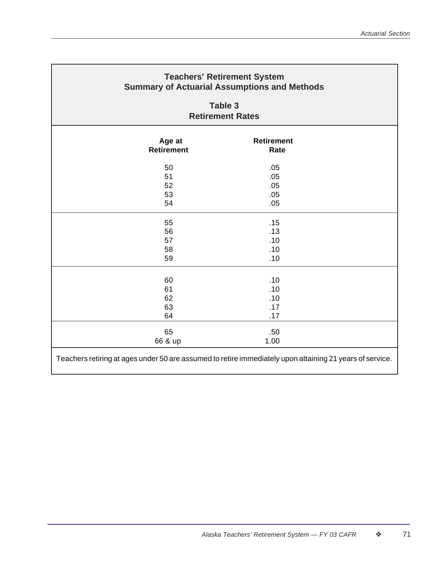| <b>Teachers' Retirement System</b><br><b>Summary of Actuarial Assumptions and Methods</b><br>Table 3<br><b>Retirement Rates</b> |                                 |  |  |  |  |  |
|---------------------------------------------------------------------------------------------------------------------------------|---------------------------------|--|--|--|--|--|
|                                                                                                                                 |                                 |  |  |  |  |  |
| 50<br>51<br>52<br>53<br>54                                                                                                      | .05<br>.05<br>.05<br>.05<br>.05 |  |  |  |  |  |
| 55<br>56<br>57<br>58<br>59                                                                                                      | .15<br>.13<br>.10<br>.10<br>.10 |  |  |  |  |  |
| 60<br>61<br>62<br>63<br>64                                                                                                      | .10<br>.10<br>.10<br>.17<br>.17 |  |  |  |  |  |
| 65<br>66 & up<br>Teachers retiring at ages under 50 are assumed to retire immediately upon attaining 21 years of service.       | .50<br>1.00                     |  |  |  |  |  |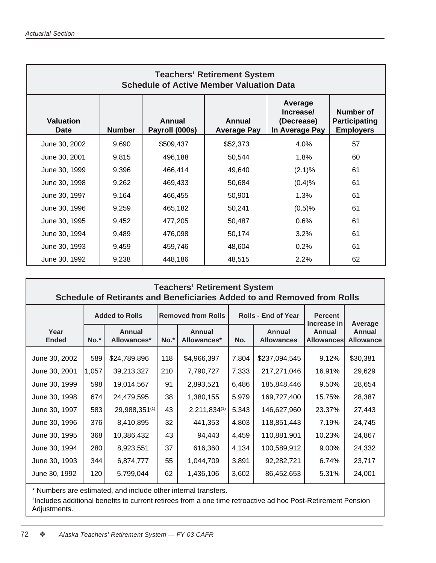| <b>Teachers' Retirement System</b><br><b>Schedule of Active Member Valuation Data</b> |               |                          |                              |                                                      |                                                       |  |  |  |
|---------------------------------------------------------------------------------------|---------------|--------------------------|------------------------------|------------------------------------------------------|-------------------------------------------------------|--|--|--|
| <b>Valuation</b><br><b>Date</b>                                                       | <b>Number</b> | Annual<br>Payroll (000s) | Annual<br><b>Average Pay</b> | Average<br>Increase/<br>(Decrease)<br>In Average Pay | Number of<br><b>Participating</b><br><b>Employers</b> |  |  |  |
| June 30, 2002                                                                         | 9,690         | \$509,437                | \$52,373                     | 4.0%                                                 | 57                                                    |  |  |  |
| June 30, 2001                                                                         | 9,815         | 496,188                  | 50,544                       | 1.8%                                                 | 60                                                    |  |  |  |
| June 30, 1999                                                                         | 9,396         | 466,414                  | 49,640                       | (2.1)%                                               | 61                                                    |  |  |  |
| June 30, 1998                                                                         | 9,262         | 469,433                  | 50,684                       | (0.4)%                                               | 61                                                    |  |  |  |
| June 30, 1997                                                                         | 9,164         | 466,455                  | 50,901                       | 1.3%                                                 | 61                                                    |  |  |  |
| June 30, 1996                                                                         | 9,259         | 465,182                  | 50,241                       | (0.5)%                                               | 61                                                    |  |  |  |
| June 30, 1995                                                                         | 9,452         | 477,205                  | 50,487                       | $0.6\%$                                              | 61                                                    |  |  |  |
| June 30, 1994                                                                         | 9,489         | 476,098                  | 50,174                       | $3.2\%$                                              | 61                                                    |  |  |  |
| June 30, 1993                                                                         | 9,459         | 459,746                  | 48,604                       | 0.2%                                                 | 61                                                    |  |  |  |
| June 30, 1992                                                                         | 9,238         | 448,186                  | 48,515                       | 2.2%                                                 | 62                                                    |  |  |  |

| <b>Teachers' Retirement System</b><br>Schedule of Retirants and Beneficiaries Added to and Removed from Rolls |       |                       |        |                           |       |                                    |                                            |                                       |  |
|---------------------------------------------------------------------------------------------------------------|-------|-----------------------|--------|---------------------------|-------|------------------------------------|--------------------------------------------|---------------------------------------|--|
|                                                                                                               |       | <b>Added to Rolls</b> |        | <b>Removed from Rolls</b> |       | <b>Rolls - End of Year</b>         | <b>Percent</b>                             |                                       |  |
| Year<br><b>Ended</b>                                                                                          | No.*  | Annual<br>Allowances* | $No.*$ | Annual<br>Allowances*     | No.   | <b>Annual</b><br><b>Allowances</b> | Increase in<br>Annual<br><b>Allowances</b> | Average<br>Annual<br><b>Allowance</b> |  |
| June 30, 2002                                                                                                 | 589   | \$24,789,896          | 118    | \$4,966,397               | 7,804 | \$237,094,545                      | 9.12%                                      | \$30,381                              |  |
| June 30, 2001                                                                                                 | 1,057 | 39,213,327            | 210    | 7,790,727                 | 7,333 | 217,271,046                        | 16.91%                                     | 29,629                                |  |
| June 30, 1999                                                                                                 | 598   | 19,014,567            | 91     | 2,893,521                 | 6,486 | 185,848,446                        | 9.50%                                      | 28,654                                |  |
| June 30, 1998                                                                                                 | 674   | 24,479,595            | 38     | 1,380,155                 | 5,979 | 169,727,400                        | 15.75%                                     | 28,387                                |  |
| June 30, 1997                                                                                                 | 583   | 29,988,351(1)         | 43     | 2,211,834(1)              | 5,343 | 146,627,960                        | 23.37%                                     | 27,443                                |  |
| June 30, 1996                                                                                                 | 376   | 8,410,895             | 32     | 441,353                   | 4,803 | 118,851,443                        | 7.19%                                      | 24,745                                |  |
| June 30, 1995                                                                                                 | 368   | 10,386,432            | 43     | 94,443                    | 4,459 | 110,881,901                        | 10.23%                                     | 24,867                                |  |
| June 30, 1994                                                                                                 | 280   | 8,923,551             | 37     | 616,360                   | 4,134 | 100,589,912                        | 9.00%                                      | 24,332                                |  |
| June 30, 1993                                                                                                 | 344   | 6,874,777             | 55     | 1,044,709                 | 3,891 | 92,282,721                         | 6.74%                                      | 23,717                                |  |
| June 30, 1992                                                                                                 | 120   | 5,799,044             | 62     | 1,436,106                 | 3,602 | 86,452,653                         | 5.31%                                      | 24,001                                |  |

\* Numbers are estimated, and include other internal transfers.

1 Includes additional benefits to current retirees from a one time retroactive ad hoc Post-Retirement Pension Adjustments.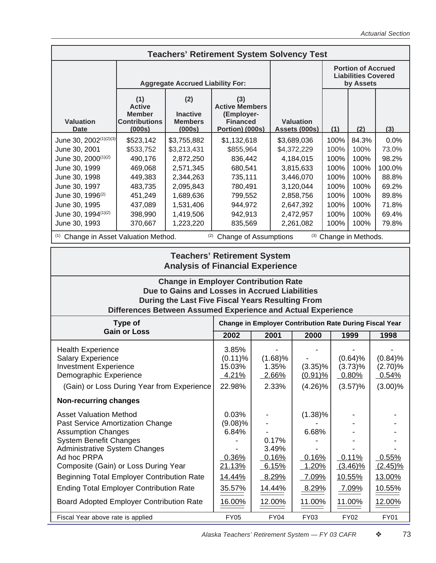| <b>Teachers' Retirement System Solvency Test</b>                                                          |                                                                         |                                                    |                                                                                  |                                   |                                                                      |       |        |
|-----------------------------------------------------------------------------------------------------------|-------------------------------------------------------------------------|----------------------------------------------------|----------------------------------------------------------------------------------|-----------------------------------|----------------------------------------------------------------------|-------|--------|
|                                                                                                           | <b>Aggregate Accrued Liability For:</b>                                 |                                                    |                                                                                  |                                   | <b>Portion of Accrued</b><br><b>Liabilities Covered</b><br>by Assets |       |        |
| <b>Valuation</b><br><b>Date</b>                                                                           | (1)<br><b>Active</b><br><b>Member</b><br><b>Contributions</b><br>(000s) | (2)<br><b>Inactive</b><br><b>Members</b><br>(000s) | (3)<br><b>Active Members</b><br>(Employer-<br><b>Financed</b><br>Portion) (000s) | Valuation<br><b>Assets (000s)</b> | (1)                                                                  | (2)   | (3)    |
| June 30, 2002 <sup>(1)(2)(3)</sup>                                                                        | \$523,142                                                               | \$3,755,882                                        | \$1,132,618                                                                      | \$3,689,036                       | 100%                                                                 | 84.3% | 0.0%   |
| June 30, 2001                                                                                             | \$533,752                                                               | \$3,213,431                                        | \$855,964                                                                        | \$4,372,229                       | 100%                                                                 | 100%  | 73.0%  |
| June 30, 2000(1)(2)                                                                                       | 490,176                                                                 | 2,872,250                                          | 836,442                                                                          | 4,184,015                         | 100%                                                                 | 100%  | 98.2%  |
| June 30, 1999                                                                                             | 469,068                                                                 | 2,571,345                                          | 680,541                                                                          | 3,815,633                         | 100%                                                                 | 100%  | 100.0% |
| June 30, 1998                                                                                             | 449,383                                                                 | 2,344,263                                          | 735,111                                                                          | 3,446,070                         | 100%                                                                 | 100%  | 88.8%  |
| June 30, 1997                                                                                             | 483,735                                                                 | 2,095,843<br>780,491                               |                                                                                  | 3,120,044                         | 100%                                                                 | 100%  | 69.2%  |
| June 30, 1996 <sup>(2)</sup>                                                                              | 1,689,636<br>451,249<br>799,552<br>2,858,756                            |                                                    |                                                                                  |                                   | 100%                                                                 | 100%  | 89.8%  |
| June 30, 1995                                                                                             | 437,089                                                                 | 1,531,406                                          | 944,972                                                                          | 2,647,392                         | 100%                                                                 | 100%  | 71.8%  |
| June 30, 1994(1)(2)                                                                                       | 398,990                                                                 | 1,419,506                                          | 942,913                                                                          | 2,472,957                         | 100%                                                                 | 100%  | 69.4%  |
| June 30, 1993                                                                                             | 370,667                                                                 | 1,223,220                                          | 835,569                                                                          | 2,261,082                         | 100%                                                                 | 100%  | 79.8%  |
| <b>Change of Assumptions</b><br>Change in Asset Valuation Method.<br>(2)<br>(3) Change in Methods.<br>(1) |                                                                         |                                                    |                                                                                  |                                   |                                                                      |       |        |
| <b>Teachers' Retirement System</b><br><b>Analysis of Financial Experience</b>                             |                                                                         |                                                    |                                                                                  |                                   |                                                                      |       |        |
| <b>Change in Employer Contribution Rate</b><br>Due to Gains and Losses in Accrued Liabilities             |                                                                         |                                                    |                                                                                  |                                   |                                                                      |       |        |

### **During the Last Five Fiscal Years Resulting From**

### **Differences Between Assumed Experience and Actual Experience**

| Type of                                                                                                        | <b>Change in Employer Contribution Rate During Fiscal Year</b> |                              |                          |                                |                                |  |  |
|----------------------------------------------------------------------------------------------------------------|----------------------------------------------------------------|------------------------------|--------------------------|--------------------------------|--------------------------------|--|--|
| <b>Gain or Loss</b>                                                                                            | 2002                                                           | 2001                         | 2000                     | 1999                           | 1998                           |  |  |
| <b>Health Experience</b><br><b>Salary Experience</b><br><b>Investment Experience</b><br>Demographic Experience | 3.85%<br>$(0.11)$ %<br>15.03%<br>4.21%                         | $(1.68)\%$<br>1.35%<br>2.66% | $(3.35)\%$<br>$(0.91)\%$ | $(0.64)$ %<br>(3.73)%<br>0.80% | $(0.84)$ %<br>(2.70)%<br>0.54% |  |  |
| (Gain) or Loss During Year from Experience                                                                     | 22.98%                                                         | 2.33%                        | $(4.26)\%$               | $(3.57)\%$                     | $(3.00)\%$                     |  |  |
| Non-recurring changes                                                                                          |                                                                |                              |                          |                                |                                |  |  |
| <b>Asset Valuation Method</b>                                                                                  | 0.03%                                                          |                              | $(1.38)\%$               |                                |                                |  |  |
| Past Service Amortization Change                                                                               | (9.08)%                                                        |                              |                          |                                |                                |  |  |
| <b>Assumption Changes</b>                                                                                      | 6.84%                                                          |                              | 6.68%                    |                                |                                |  |  |
| <b>System Benefit Changes</b>                                                                                  |                                                                | 0.17%                        |                          |                                |                                |  |  |
| <b>Administrative System Changes</b>                                                                           |                                                                | 3.49%                        |                          |                                |                                |  |  |
| Ad hoc PRPA                                                                                                    | 0.36%                                                          | 0.16%                        | 0.16%                    | 0.11%                          | 0.55%                          |  |  |
| Composite (Gain) or Loss During Year                                                                           | 21.13%                                                         | 6.15%                        | 1.20%                    | $(3.46)\%$                     | $(2.45)\%$                     |  |  |
| <b>Beginning Total Employer Contribution Rate</b>                                                              | 14.44%                                                         | 8.29%                        | 7.09%                    | 10.55%                         | 13.00%                         |  |  |
| <b>Ending Total Employer Contribution Rate</b>                                                                 | 35.57%                                                         | 14.44%                       | 8.29%                    | <u>7.09%</u>                   | 10.55%                         |  |  |
| <b>Board Adopted Employer Contribution Rate</b>                                                                | 16.00%                                                         | 12.00%                       | 11.00%                   | 11.00%                         | <u>12.00%</u>                  |  |  |
| Fiscal Year above rate is applied                                                                              | <b>FY05</b>                                                    | <b>FY04</b>                  | <b>FY03</b>              | <b>FY02</b>                    | <b>FY01</b>                    |  |  |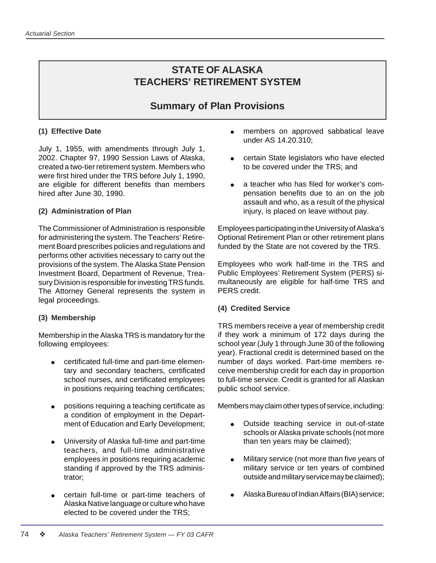## **Summary of Plan Provisions**

### **(1) Effective Date**

July 1, 1955, with amendments through July 1, 2002. Chapter 97, 1990 Session Laws of Alaska, created a two-tier retirement system. Members who were first hired under the TRS before July 1, 1990, are eligible for different benefits than members hired after June 30, 1990.

### **(2) Administration of Plan**

The Commissioner of Administration is responsible for administering the system. The Teachers' Retirement Board prescribes policies and regulations and performs other activities necessary to carry out the provisions of the system. The Alaska State Pension Investment Board, Department of Revenue, Treasury Division is responsible for investing TRS funds. The Attorney General represents the system in legal proceedings.

### **(3) Membership**

Membership in the Alaska TRS is mandatory for the following employees:

- certificated full-time and part-time elementary and secondary teachers, certificated school nurses, and certificated employees in positions requiring teaching certificates;
- positions requiring a teaching certificate as a condition of employment in the Department of Education and Early Development;
- University of Alaska full-time and part-time teachers, and full-time administrative employees in positions requiring academic standing if approved by the TRS administrator;
- certain full-time or part-time teachers of Alaska Native language or culture who have elected to be covered under the TRS;
- members on approved sabbatical leave under AS 14.20.310;
- certain State legislators who have elected to be covered under the TRS; and
- a teacher who has filed for worker's compensation benefits due to an on the job assault and who, as a result of the physical injury, is placed on leave without pay.

Employees participating in the University of Alaska's Optional Retirement Plan or other retirement plans funded by the State are not covered by the TRS.

Employees who work half-time in the TRS and Public Employees' Retirement System (PERS) simultaneously are eligible for half-time TRS and PERS credit.

### **(4) Credited Service**

TRS members receive a year of membership credit if they work a minimum of 172 days during the school year (July 1 through June 30 of the following year). Fractional credit is determined based on the number of days worked. Part-time members receive membership credit for each day in proportion to full-time service. Credit is granted for all Alaskan public school service.

Members may claim other types of service, including:

- Outside teaching service in out-of-state schools or Alaska private schools (not more than ten years may be claimed);
- Military service (not more than five years of military service or ten years of combined outside and military service may be claimed);
- Alaska Bureau of Indian Affairs (BIA) service;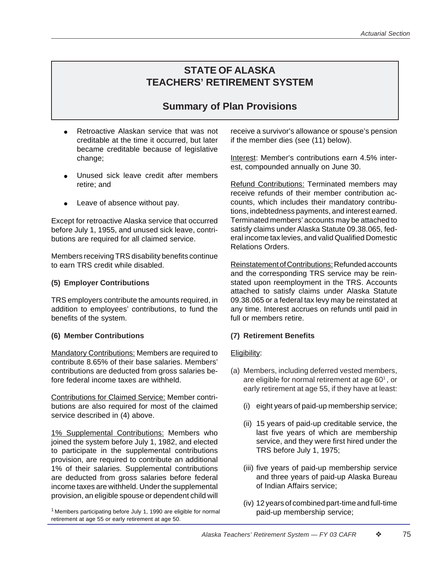## **Summary of Plan Provisions**

- Retroactive Alaskan service that was not creditable at the time it occurred, but later became creditable because of legislative change;
- Unused sick leave credit after members retire; and
- Leave of absence without pay.

Except for retroactive Alaska service that occurred before July 1, 1955, and unused sick leave, contributions are required for all claimed service.

Members receiving TRS disability benefits continue to earn TRS credit while disabled.

### **(5) Employer Contributions**

TRS employers contribute the amounts required, in addition to employees' contributions, to fund the benefits of the system.

### **(6) Member Contributions**

Mandatory Contributions: Members are required to contribute 8.65% of their base salaries. Members' contributions are deducted from gross salaries before federal income taxes are withheld.

Contributions for Claimed Service: Member contributions are also required for most of the claimed service described in (4) above.

1% Supplemental Contributions: Members who joined the system before July 1, 1982, and elected to participate in the supplemental contributions provision, are required to contribute an additional 1% of their salaries. Supplemental contributions are deducted from gross salaries before federal income taxes are withheld. Under the supplemental provision, an eligible spouse or dependent child will

<sup>1</sup> Members participating before July 1, 1990 are eligible for normal  $paid-up$  membership service; retirement at age 55 or early retirement at age 50.

receive a survivor's allowance or spouse's pension if the member dies (see (11) below).

Interest: Member's contributions earn 4.5% interest, compounded annually on June 30.

Refund Contributions: Terminated members may receive refunds of their member contribution accounts, which includes their mandatory contributions, indebtedness payments, and interest earned. Terminated members' accounts may be attached to satisfy claims under Alaska Statute 09.38.065, federal income tax levies, and valid Qualified Domestic Relations Orders.

Reinstatement of Contributions: Refunded accounts and the corresponding TRS service may be reinstated upon reemployment in the TRS. Accounts attached to satisfy claims under Alaska Statute 09.38.065 or a federal tax levy may be reinstated at any time. Interest accrues on refunds until paid in full or members retire.

### **(7) Retirement Benefits**

### Eligibility:

- (a) Members, including deferred vested members, are eligible for normal retirement at age  $60^1$ , or early retirement at age 55, if they have at least:
	- (i) eight years of paid-up membership service;
	- (ii) 15 years of paid-up creditable service, the last five years of which are membership service, and they were first hired under the TRS before July 1, 1975;
	- (iii) five years of paid-up membership service and three years of paid-up Alaska Bureau of Indian Affairs service;
	- (iv) 12 years of combined part-time and full-time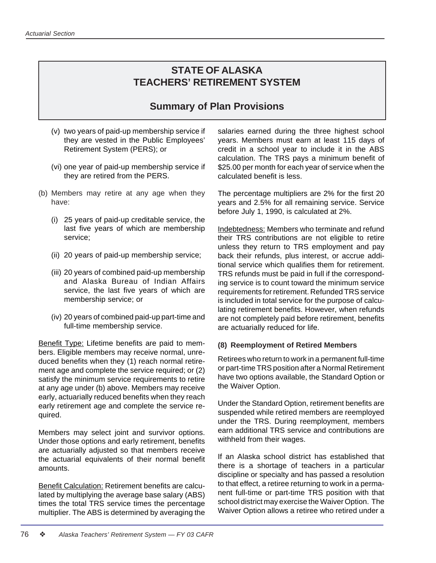### **Summary of Plan Provisions**

- (v) two years of paid-up membership service if they are vested in the Public Employees' Retirement System (PERS); or
- (vi) one year of paid-up membership service if they are retired from the PERS.
- (b) Members may retire at any age when they have:
	- (i) 25 years of paid-up creditable service, the last five years of which are membership service;
	- (ii) 20 years of paid-up membership service;
	- (iii) 20 years of combined paid-up membership and Alaska Bureau of Indian Affairs service, the last five years of which are membership service; or
	- (iv) 20 years of combined paid-up part-time and full-time membership service.

Benefit Type: Lifetime benefits are paid to members. Eligible members may receive normal, unreduced benefits when they (1) reach normal retirement age and complete the service required; or (2) satisfy the minimum service requirements to retire at any age under (b) above. Members may receive early, actuarially reduced benefits when they reach early retirement age and complete the service required.

Members may select joint and survivor options. Under those options and early retirement, benefits are actuarially adjusted so that members receive the actuarial equivalents of their normal benefit amounts.

Benefit Calculation: Retirement benefits are calculated by multiplying the average base salary (ABS) times the total TRS service times the percentage multiplier. The ABS is determined by averaging the salaries earned during the three highest school years. Members must earn at least 115 days of credit in a school year to include it in the ABS calculation. The TRS pays a minimum benefit of \$25.00 per month for each year of service when the calculated benefit is less.

The percentage multipliers are 2% for the first 20 years and 2.5% for all remaining service. Service before July 1, 1990, is calculated at 2%.

Indebtedness: Members who terminate and refund their TRS contributions are not eligible to retire unless they return to TRS employment and pay back their refunds, plus interest, or accrue additional service which qualifies them for retirement. TRS refunds must be paid in full if the corresponding service is to count toward the minimum service requirements for retirement. Refunded TRS service is included in total service for the purpose of calculating retirement benefits. However, when refunds are not completely paid before retirement, benefits are actuarially reduced for life.

#### **(8) Reemployment of Retired Members**

Retirees who return to work in a permanent full-time or part-time TRS position after a Normal Retirement have two options available, the Standard Option or the Waiver Option.

Under the Standard Option, retirement benefits are suspended while retired members are reemployed under the TRS. During reemployment, members earn additional TRS service and contributions are withheld from their wages.

If an Alaska school district has established that there is a shortage of teachers in a particular discipline or specialty and has passed a resolution to that effect, a retiree returning to work in a permanent full-time or part-time TRS position with that school district may exercise the Waiver Option. The Waiver Option allows a retiree who retired under a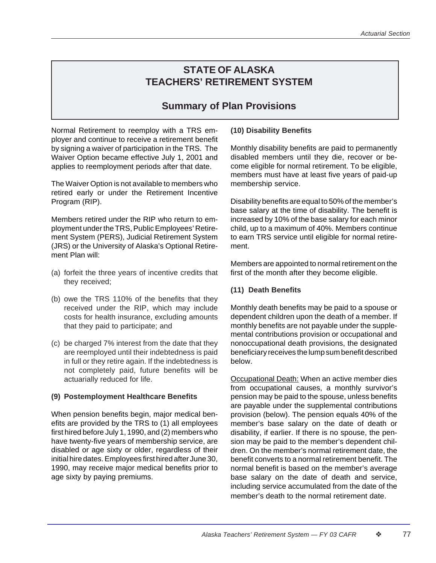### **Summary of Plan Provisions**

Normal Retirement to reemploy with a TRS employer and continue to receive a retirement benefit by signing a waiver of participation in the TRS. The Waiver Option became effective July 1, 2001 and applies to reemployment periods after that date.

The Waiver Option is not available to members who retired early or under the Retirement Incentive Program (RIP).

Members retired under the RIP who return to employment under the TRS, Public Employees' Retirement System (PERS), Judicial Retirement System (JRS) or the University of Alaska's Optional Retirement Plan will:

- (a) forfeit the three years of incentive credits that they received;
- (b) owe the TRS 110% of the benefits that they received under the RIP, which may include costs for health insurance, excluding amounts that they paid to participate; and
- (c) be charged 7% interest from the date that they are reemployed until their indebtedness is paid in full or they retire again. If the indebtedness is not completely paid, future benefits will be actuarially reduced for life.

### **(9) Postemployment Healthcare Benefits**

When pension benefits begin, major medical benefits are provided by the TRS to (1) all employees first hired before July 1, 1990, and (2) members who have twenty-five years of membership service, are disabled or age sixty or older, regardless of their initial hire dates. Employees first hired after June 30, 1990, may receive major medical benefits prior to age sixty by paying premiums.

### **(10) Disability Benefits**

Monthly disability benefits are paid to permanently disabled members until they die, recover or become eligible for normal retirement. To be eligible, members must have at least five years of paid-up membership service.

Disability benefits are equal to 50% of the member's base salary at the time of disability. The benefit is increased by 10% of the base salary for each minor child, up to a maximum of 40%. Members continue to earn TRS service until eligible for normal retirement.

Members are appointed to normal retirement on the first of the month after they become eligible.

### **(11) Death Benefits**

Monthly death benefits may be paid to a spouse or dependent children upon the death of a member. If monthly benefits are not payable under the supplemental contributions provision or occupational and nonoccupational death provisions, the designated beneficiary receives the lump sum benefit described below.

Occupational Death: When an active member dies from occupational causes, a monthly survivor's pension may be paid to the spouse, unless benefits are payable under the supplemental contributions provision (below). The pension equals 40% of the member's base salary on the date of death or disability, if earlier. If there is no spouse, the pension may be paid to the member's dependent children. On the member's normal retirement date, the benefit converts to a normal retirement benefit. The normal benefit is based on the member's average base salary on the date of death and service, including service accumulated from the date of the member's death to the normal retirement date.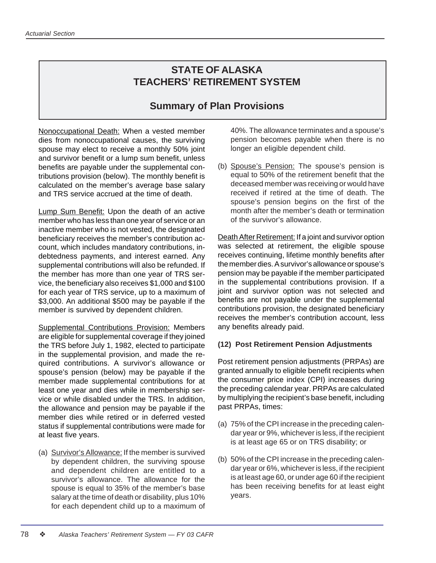## **Summary of Plan Provisions**

Nonoccupational Death: When a vested member dies from nonoccupational causes, the surviving spouse may elect to receive a monthly 50% joint and survivor benefit or a lump sum benefit, unless benefits are payable under the supplemental contributions provision (below). The monthly benefit is calculated on the member's average base salary and TRS service accrued at the time of death.

Lump Sum Benefit: Upon the death of an active member who has less than one year of service or an inactive member who is not vested, the designated beneficiary receives the member's contribution account, which includes mandatory contributions, indebtedness payments, and interest earned. Any supplemental contributions will also be refunded. If the member has more than one year of TRS service, the beneficiary also receives \$1,000 and \$100 for each year of TRS service, up to a maximum of \$3,000. An additional \$500 may be payable if the member is survived by dependent children.

Supplemental Contributions Provision: Members are eligible for supplemental coverage if they joined the TRS before July 1, 1982, elected to participate in the supplemental provision, and made the required contributions. A survivor's allowance or spouse's pension (below) may be payable if the member made supplemental contributions for at least one year and dies while in membership service or while disabled under the TRS. In addition, the allowance and pension may be payable if the member dies while retired or in deferred vested status if supplemental contributions were made for at least five years.

(a) Survivor's Allowance: If the member is survived by dependent children, the surviving spouse and dependent children are entitled to a survivor's allowance. The allowance for the spouse is equal to 35% of the member's base salary at the time of death or disability, plus 10% for each dependent child up to a maximum of 40%. The allowance terminates and a spouse's pension becomes payable when there is no longer an eligible dependent child.

(b) Spouse's Pension: The spouse's pension is equal to 50% of the retirement benefit that the deceased member was receiving or would have received if retired at the time of death. The spouse's pension begins on the first of the month after the member's death or termination of the survivor's allowance.

Death After Retirement: If a joint and survivor option was selected at retirement, the eligible spouse receives continuing, lifetime monthly benefits after the member dies. A survivor's allowance or spouse's pension may be payable if the member participated in the supplemental contributions provision. If a joint and survivor option was not selected and benefits are not payable under the supplemental contributions provision, the designated beneficiary receives the member's contribution account, less any benefits already paid.

### **(12) Post Retirement Pension Adjustments**

Post retirement pension adjustments (PRPAs) are granted annually to eligible benefit recipients when the consumer price index (CPI) increases during the preceding calendar year. PRPAs are calculated by multiplying the recipient's base benefit, including past PRPAs, times:

- (a) 75% of the CPI increase in the preceding calendar year or 9%, whichever is less, if the recipient is at least age 65 or on TRS disability; or
- (b) 50% of the CPI increase in the preceding calendar year or 6%, whichever is less, if the recipient is at least age 60, or under age 60 if the recipient has been receiving benefits for at least eight years.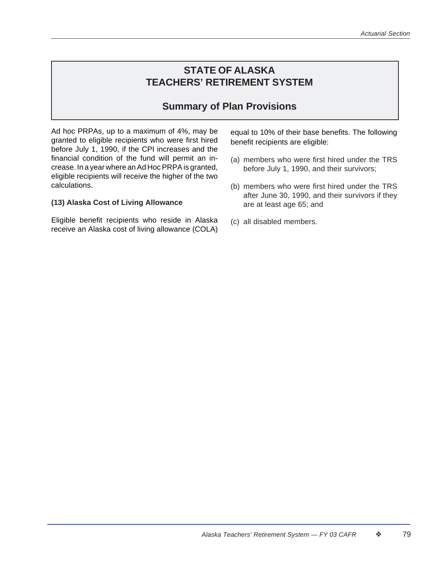### **Summary of Plan Provisions**

Ad hoc PRPAs, up to a maximum of 4%, may be granted to eligible recipients who were first hired before July 1, 1990, if the CPI increases and the financial condition of the fund will permit an increase. In a year where an Ad Hoc PRPA is granted, eligible recipients will receive the higher of the two calculations.

#### **(13) Alaska Cost of Living Allowance**

Eligible benefit recipients who reside in Alaska receive an Alaska cost of living allowance (COLA) equal to 10% of their base benefits. The following benefit recipients are eligible:

- (a) members who were first hired under the TRS before July 1, 1990, and their survivors;
- (b) members who were first hired under the TRS after June 30, 1990, and their survivors if they are at least age 65; and
- (c) all disabled members.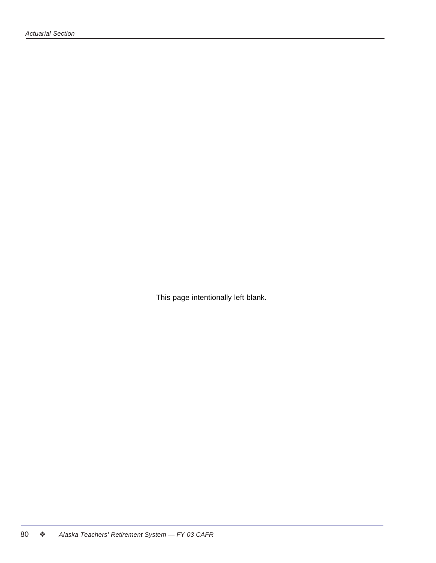This page intentionally left blank.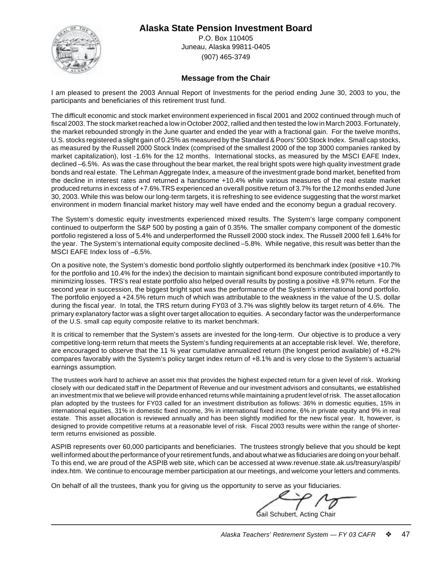### *Investment Section* **Alaska State Pension Investment Board**



P.O. Box 110405 Juneau, Alaska 99811-0405 (907) 465-3749

### **Message from the Chair**

I am pleased to present the 2003 Annual Report of Investments for the period ending June 30, 2003 to you, the participants and beneficiaries of this retirement trust fund.

The difficult economic and stock market environment experienced in fiscal 2001 and 2002 continued through much of fiscal 2003. The stock market reached a low in October 2002, rallied and then tested the low in March 2003. Fortunately, the market rebounded strongly in the June quarter and ended the year with a fractional gain. For the twelve months, U.S. stocks registered a slight gain of 0.25% as measured by the Standard & Poors' 500 Stock Index. Small cap stocks, as measured by the Russell 2000 Stock Index (comprised of the smallest 2000 of the top 3000 companies ranked by market capitalization), lost -1.6% for the 12 months. International stocks, as measured by the MSCI EAFE Index, declined –6.5%. As was the case throughout the bear market, the real bright spots were high quality investment grade bonds and real estate. The Lehman Aggregate Index, a measure of the investment grade bond market, benefited from the decline in interest rates and returned a handsome +10.4% while various measures of the real estate market produced returns in excess of +7.6%.TRS experienced an overall positive return of 3.7% for the 12 months ended June 30, 2003. While this was below our long-term targets, it is refreshing to see evidence suggesting that the worst market environment in modern financial market history may well have ended and the economy begun a gradual recovery.

The System's domestic equity investments experienced mixed results. The System's large company component continued to outperform the S&P 500 by posting a gain of 0.35%. The smaller company component of the domestic portfolio registered a loss of 5.4% and underperformed the Russell 2000 stock index. The Russell 2000 fell 1.64% for the year. The System's international equity composite declined –5.8%. While negative, this result was better than the MSCI EAFE Index loss of –6.5%.

On a positive note, the System's domestic bond portfolio slightly outperformed its benchmark index (positive +10.7% for the portfolio and 10.4% for the index) the decision to maintain significant bond exposure contributed importantly to minimizing losses. TRS's real estate portfolio also helped overall results by posting a positive +8.97% return. For the second year in succession, the biggest bright spot was the performance of the System's international bond portfolio. The portfolio enjoyed a +24.5% return much of which was attributable to the weakness in the value of the U.S. dollar during the fiscal year. In total, the TRS return during FY03 of 3.7% was slightly below its target return of 4.6%. The primary explanatory factor was a slight over target allocation to equities. A secondary factor was the underperformance of the U.S. small cap equity composite relative to its market benchmark.

It is critical to remember that the System's assets are invested for the long-term. Our objective is to produce a very competitive long-term return that meets the System's funding requirements at an acceptable risk level. We, therefore, are encouraged to observe that the 11  $\frac{3}{4}$  year cumulative annualized return (the longest period available) of +8.2% compares favorably with the System's policy target index return of +8.1% and is very close to the System's actuarial earnings assumption.

The trustees work hard to achieve an asset mix that provides the highest expected return for a given level of risk. Working closely with our dedicated staff in the Department of Revenue and our investment advisors and consultants, we established an investment mix that we believe will provide enhanced returns while maintaining a prudent level of risk. The asset allocation plan adopted by the trustees for FY03 called for an investment distribution as follows: 36% in domestic equities, 15% in international equities, 31% in domestic fixed income, 3% in international fixed income, 6% in private equity and 9% in real estate. This asset allocation is reviewed annually and has been slightly modified for the new fiscal year. It, however, is designed to provide competitive returns at a reasonable level of risk. Fiscal 2003 results were within the range of shorterterm returns envisioned as possible.

ASPIB represents over 60,000 participants and beneficiaries. The trustees strongly believe that you should be kept well informed about the performance of your retirement funds, and about what we as fiduciaries are doing on your behalf. To this end, we are proud of the ASPIB web site, which can be accessed at www.revenue.state.ak.us/treasury/aspib/ index.htm. We continue to encourage member participation at our meetings, and welcome your letters and comments.

On behalf of all the trustees, thank you for giving us the opportunity to serve as your fiduciaries.

Gail Schubert, Acting Chair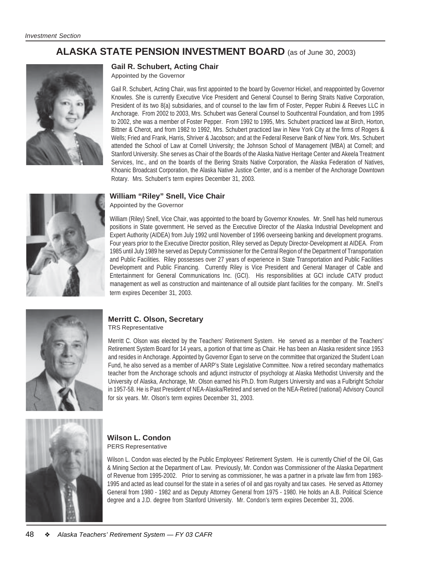### **ALASKA STATE PENSION INVESTMENT BOARD** (as of June 30, 2003)



#### **Gail R. Schubert, Acting Chair**

Appointed by the Governor

Gail R. Schubert, Acting Chair, was first appointed to the board by Governor Hickel, and reappointed by Governor Knowles. She is currently Executive Vice President and General Counsel to Bering Straits Native Corporation, President of its two 8(a) subsidiaries, and of counsel to the law firm of Foster, Pepper Rubini & Reeves LLC in Anchorage. From 2002 to 2003, Mrs. Schubert was General Counsel to Southcentral Foundation, and from 1995 to 2002, she was a member of Foster Pepper. From 1992 to 1995, Mrs. Schubert practiced law at Birch, Horton, Bittner & Cherot, and from 1982 to 1992, Mrs. Schubert practiced law in New York City at the firms of Rogers & Wells; Fried and Frank, Harris, Shriver & Jacobson; and at the Federal Reserve Bank of New York. Mrs. Schubert attended the School of Law at Cornell University; the Johnson School of Management (MBA) at Cornell; and Stanford University. She serves as Chair of the Boards of the Alaska Native Heritage Center and Akeela Treatment Services, Inc., and on the boards of the Bering Straits Native Corporation, the Alaska Federation of Natives, Khoanic Broadcast Corporation, the Alaska Native Justice Center, and is a member of the Anchorage Downtown Rotary. Mrs. Schubert's term expires December 31, 2003.

#### **William "Riley" Snell, Vice Chair**

Appointed by the Governor

William (Riley) Snell, Vice Chair, was appointed to the board by Governor Knowles. Mr. Snell has held numerous positions in State government. He served as the Executive Director of the Alaska Industrial Development and Expert Authority (AIDEA) from July 1992 until November of 1996 overseeing banking and development programs. Four years prior to the Executive Director position, Riley served as Deputy Director-Development at AIDEA. From 1985 until July 1989 he served as Deputy Commissioner for the Central Region of the Department of Transportation and Public Facilities. Riley possesses over 27 years of experience in State Transportation and Public Facilities Development and Public Financing. Currently Riley is Vice President and General Manager of Cable and Entertainment for General Communications Inc. (GCI). His responsibilities at GCI include CATV product management as well as construction and maintenance of all outside plant facilities for the company. Mr. Snell's term expires December 31, 2003.



#### **Merritt C. Olson, Secretary** TRS Representative

Merritt C. Olson was elected by the Teachers' Retirement System. He served as a member of the Teachers' Retirement System Board for 14 years, a portion of that time as Chair. He has been an Alaska resident since 1953 and resides in Anchorage. Appointed by Governor Egan to serve on the committee that organized the Student Loan Fund, he also served as a member of AARP's State Legislative Committee. Now a retired secondary mathematics teacher from the Anchorage schools and adjunct instructor of psychology at Alaska Methodist University and the University of Alaska, Anchorage, Mr. Olson earned his Ph.D. from Rutgers University and was a Fulbright Scholar in 1957-58. He is Past President of NEA-Alaska/Retired and served on the NEA-Retired (national) Advisory Council for six years. Mr. Olson's term expires December 31, 2003.



#### **Wilson L. Condon** PERS Representative

Wilson L. Condon was elected by the Public Employees' Retirement System. He is currently Chief of the Oil, Gas & Mining Section at the Department of Law. Previously, Mr. Condon was Commissioner of the Alaska Department of Revenue from 1995-2002. Prior to serving as commissioner, he was a partner in a private law firm from 1983- 1995 and acted as lead counsel for the state in a series of oil and gas royalty and tax cases. He served as Attorney General from 1980 - 1982 and as Deputy Attorney General from 1975 - 1980. He holds an A.B. Political Science

degree and a J.D. degree from Stanford University. Mr. Condon's term expires December 31, 2006.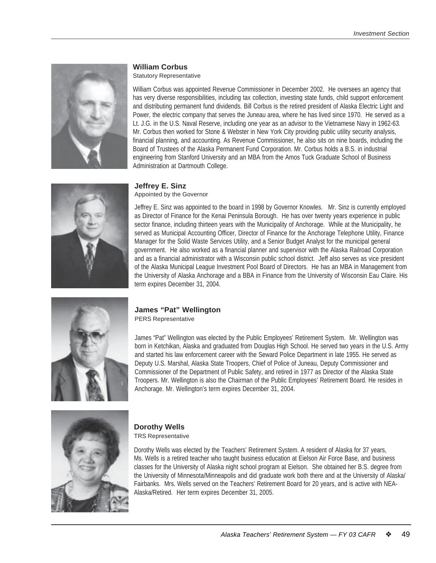#### *Investment Section*



#### **William Corbus**

Statutory Representative

William Corbus was appointed Revenue Commissioner in December 2002. He oversees an agency that has very diverse responsibilities, including tax collection, investing state funds, child support enforcement and distributing permanent fund dividends. Bill Corbus is the retired president of Alaska Electric Light and Power, the electric company that serves the Juneau area, where he has lived since 1970. He served as a Lt. J.G. in the U.S. Naval Reserve, including one year as an advisor to the Vietnamese Navy in 1962-63. Mr. Corbus then worked for Stone & Webster in New York City providing public utility security analysis, financial planning, and accounting. As Revenue Commissioner, he also sits on nine boards, including the Board of Trustees of the Alaska Permanent Fund Corporation. Mr. Corbus holds a B.S. in industrial engineering from Stanford University and an MBA from the Amos Tuck Graduate School of Business Administration at Dartmouth College.



### **Jeffrey E. Sinz**

Appointed by the Governor

Jeffrey E. Sinz was appointed to the board in 1998 by Governor Knowles. Mr. Sinz is currently employed as Director of Finance for the Kenai Peninsula Borough. He has over twenty years experience in public sector finance, including thirteen years with the Municipality of Anchorage. While at the Municipality, he served as Municipal Accounting Officer, Director of Finance for the Anchorage Telephone Utility, Finance Manager for the Solid Waste Services Utility, and a Senior Budget Analyst for the municipal general government. He also worked as a financial planner and supervisor with the Alaska Railroad Corporation and as a financial administrator with a Wisconsin public school district. Jeff also serves as vice president of the Alaska Municipal League Investment Pool Board of Directors. He has an MBA in Management from the University of Alaska Anchorage and a BBA in Finance from the University of Wisconsin Eau Claire. His term expires December 31, 2004.



#### **James "Pat" Wellington** PERS Representative

James "Pat" Wellington was elected by the Public Employees' Retirement System. Mr. Wellington was born in Ketchikan, Alaska and graduated from Douglas High School. He served two years in the U.S. Army and started his law enforcement career with the Seward Police Department in late 1955. He served as Deputy U.S. Marshal, Alaska State Troopers, Chief of Police of Juneau, Deputy Commissioner and Commissioner of the Department of Public Safety, and retired in 1977 as Director of the Alaska State Troopers. Mr. Wellington is also the Chairman of the Public Employees' Retirement Board. He resides in Anchorage. Mr. Wellington's term expires December 31, 2004.



### **Dorothy Wells**

TRS Representative

Dorothy Wells was elected by the Teachers' Retirement System. A resident of Alaska for 37 years, Ms. Wells is a retired teacher who taught business education at Eielson Air Force Base, and business classes for the University of Alaska night school program at Eielson. She obtained her B.S. degree from the University of Minnesota/Minneapolis and did graduate work both there and at the University of Alaska/ Fairbanks. Mrs. Wells served on the Teachers' Retirement Board for 20 years, and is active with NEA-Alaska/Retired. Her term expires December 31, 2005.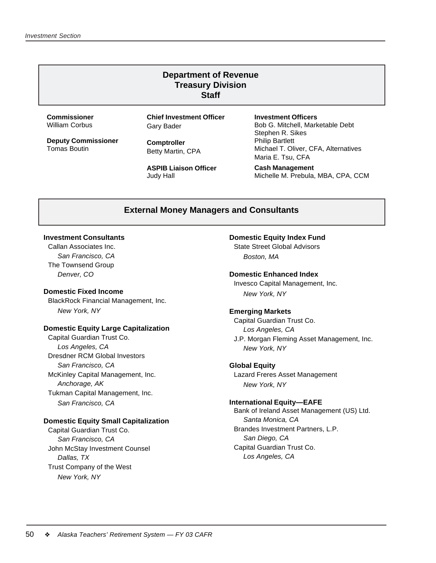### **Department of Revenue Treasury Division Staff**

**Commissioner** William Corbus

**Deputy Commissioner** Tomas Boutin

**Chief Investment Officer** Gary Bader

**Comptroller** Betty Martin, CPA

**ASPIB Liaison Officer** Judy Hall

**Investment Officers** Bob G. Mitchell, Marketable Debt Stephen R. Sikes Philip Bartlett Michael T. Oliver, CFA, Alternatives Maria E. Tsu, CFA

**Cash Management** Michelle M. Prebula, MBA, CPA, CCM

### **External Money Managers and Consultants**

#### **Investment Consultants**

Callan Associates Inc. *San Francisco, CA* The Townsend Group *Denver, CO*

#### **Domestic Fixed Income**

BlackRock Financial Management, Inc. *New York, NY*

#### **Domestic Equity Large Capitalization**

Capital Guardian Trust Co. *Los Angeles, CA* Dresdner RCM Global Investors *San Francisco, CA* McKinley Capital Management, Inc. *Anchorage, AK* Tukman Capital Management, Inc. *San Francisco, CA*

#### **Domestic Equity Small Capitalization**

Capital Guardian Trust Co. *San Francisco, CA* John McStay Investment Counsel *Dallas, TX* Trust Company of the West *New York, NY*

#### **Domestic Equity Index Fund**

State Street Global Advisors *Boston, MA*

#### **Domestic Enhanced Index**

Invesco Capital Management, Inc. *New York, NY*

#### **Emerging Markets**

Capital Guardian Trust Co. *Los Angeles, CA* J.P. Morgan Fleming Asset Management, Inc. *New York, NY*

#### **Global Equity**

Lazard Freres Asset Management *New York, NY*

#### **International Equity—EAFE**

Bank of Ireland Asset Management (US) Ltd. *Santa Monica, CA* Brandes Investment Partners, L.P. *San Diego, CA* Capital Guardian Trust Co. *Los Angeles, CA*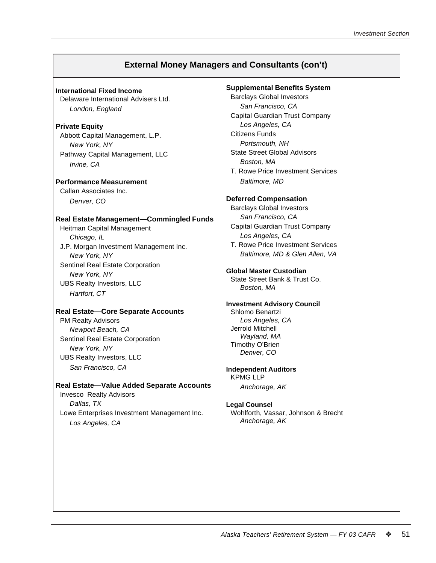### **External Money Managers and Consultants (con't)**

#### **International Fixed Income** Delaware International Advisers Ltd. *London, England*

#### **Private Equity**

Abbott Capital Management, L.P. *New York, NY* Pathway Capital Management, LLC *Irvine, CA*

#### **Performance Measurement**

Callan Associates Inc. *Denver, CO*

#### **Real Estate Management—Commingled Funds**

Heitman Capital Management *Chicago, IL* J.P. Morgan Investment Management Inc. *New York, NY* Sentinel Real Estate Corporation *New York, NY* UBS Realty Investors, LLC *Hartfort, CT*

#### **Real Estate—Core Separate Accounts**

PM Realty Advisors *Newport Beach, CA* Sentinel Real Estate Corporation *New York, NY* UBS Realty Investors, LLC *San Francisco, CA*

#### **Real Estate—Value Added Separate Accounts**

Invesco Realty Advisors *Dallas, TX* Lowe Enterprises Investment Management Inc. *Los Angeles, CA*

### **Supplemental Benefits System**

Barclays Global Investors *San Francisco, CA* Capital Guardian Trust Company *Los Angeles, CA* Citizens Funds *Portsmouth, NH* State Street Global Advisors *Boston, MA* T. Rowe Price Investment Services *Baltimore, MD*

#### **Deferred Compensation**

Barclays Global Investors *San Francisco, CA* Capital Guardian Trust Company *Los Angeles, CA* T. Rowe Price Investment Services *Baltimore, MD & Glen Allen, VA*

#### **Global Master Custodian**

State Street Bank & Trust Co. *Boston, MA*

#### **Investment Advisory Council**

Shlomo Benartzi *Los Angeles, CA* Jerrold Mitchell *Wayland, MA* Timothy O'Brien *Denver, CO*

#### **Independent Auditors**

KPMG LLP

*Anchorage, AK*

#### **Legal Counsel**

Wohlforth, Vassar, Johnson & Brecht *Anchorage, AK*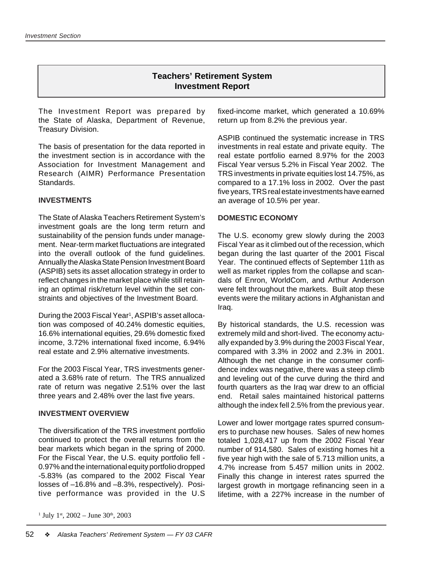### **Teachers' Retirement System Investment Report**

The Investment Report was prepared by the State of Alaska, Department of Revenue, Treasury Division.

The basis of presentation for the data reported in the investment section is in accordance with the Association for Investment Management and Research (AIMR) Performance Presentation **Standards** 

#### **INVESTMENTS**

The State of Alaska Teachers Retirement System's investment goals are the long term return and sustainability of the pension funds under management. Near-term market fluctuations are integrated into the overall outlook of the fund guidelines. Annually the Alaska State Pension Investment Board (ASPIB) sets its asset allocation strategy in order to reflect changes in the market place while still retaining an optimal risk/return level within the set constraints and objectives of the Investment Board.

During the 2003 Fiscal Year<sup>1</sup>, ASPIB's asset allocation was composed of 40.24% domestic equities, 16.6% international equities, 29.6% domestic fixed income, 3.72% international fixed income, 6.94% real estate and 2.9% alternative investments.

For the 2003 Fiscal Year, TRS investments generated a 3.68% rate of return. The TRS annualized rate of return was negative 2.51% over the last three years and 2.48% over the last five years.

#### **INVESTMENT OVERVIEW**

The diversification of the TRS investment portfolio continued to protect the overall returns from the bear markets which began in the spring of 2000. For the Fiscal Year, the U.S. equity portfolio fell - 0.97% and the international equity portfolio dropped -5.83% (as compared to the 2002 Fiscal Year losses of –16.8% and –8.3%, respectively). Positive performance was provided in the U.S

<sup>1</sup> July 1<sup>st</sup>, 2002 – June 30<sup>th</sup>, 2003

fixed-income market, which generated a 10.69% return up from 8.2% the previous year.

ASPIB continued the systematic increase in TRS investments in real estate and private equity. The real estate portfolio earned 8.97% for the 2003 Fiscal Year versus 5.2% in Fiscal Year 2002. The TRS investments in private equities lost 14.75%, as compared to a 17.1% loss in 2002. Over the past five years, TRS real estate investments have earned an average of 10.5% per year.

#### **DOMESTIC ECONOMY**

The U.S. economy grew slowly during the 2003 Fiscal Year as it climbed out of the recession, which began during the last quarter of the 2001 Fiscal Year. The continued effects of September 11th as well as market ripples from the collapse and scandals of Enron, WorldCom, and Arthur Anderson were felt throughout the markets. Built atop these events were the military actions in Afghanistan and Iraq.

By historical standards, the U.S. recession was extremely mild and short-lived. The economy actually expanded by 3.9% during the 2003 Fiscal Year, compared with 3.3% in 2002 and 2.3% in 2001. Although the net change in the consumer confidence index was negative, there was a steep climb and leveling out of the curve during the third and fourth quarters as the Iraq war drew to an official end. Retail sales maintained historical patterns although the index fell 2.5% from the previous year.

Lower and lower mortgage rates spurred consumers to purchase new houses. Sales of new homes totaled 1,028,417 up from the 2002 Fiscal Year number of 914,580. Sales of existing homes hit a five year high with the sale of 5.713 million units, a 4.7% increase from 5.457 million units in 2002. Finally this change in interest rates spurred the largest growth in mortgage refinancing seen in a lifetime, with a 227% increase in the number of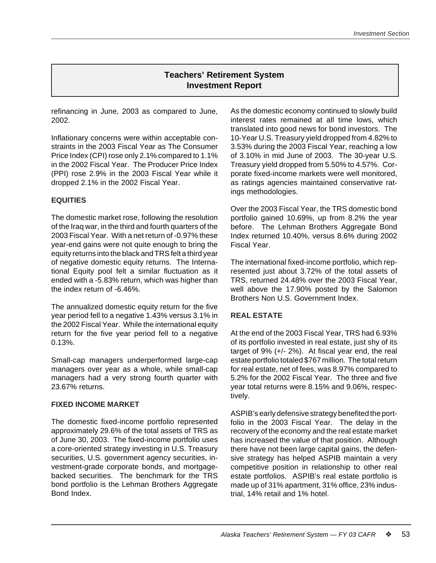# **Teachers' Retirement System Investment Report**

refinancing in June, 2003 as compared to June, 2002.

Inflationary concerns were within acceptable constraints in the 2003 Fiscal Year as The Consumer Price Index (CPI) rose only 2.1% compared to 1.1% in the 2002 Fiscal Year. The Producer Price Index (PPI) rose 2.9% in the 2003 Fiscal Year while it dropped 2.1% in the 2002 Fiscal Year.

## **EQUITIES**

The domestic market rose, following the resolution of the Iraq war, in the third and fourth quarters of the 2003 Fiscal Year. With a net return of -0.97% these year-end gains were not quite enough to bring the equity returns into the black and TRS felt a third year of negative domestic equity returns. The International Equity pool felt a similar fluctuation as it ended with a -5.83% return, which was higher than the index return of -6.46%.

The annualized domestic equity return for the five year period fell to a negative 1.43% versus 3.1% in the 2002 Fiscal Year. While the international equity return for the five year period fell to a negative 0.13%.

Small-cap managers underperformed large-cap managers over year as a whole, while small-cap managers had a very strong fourth quarter with 23.67% returns.

#### **FIXED INCOME MARKET**

The domestic fixed-income portfolio represented approximately 29.6% of the total assets of TRS as of June 30, 2003. The fixed-income portfolio uses a core-oriented strategy investing in U.S. Treasury securities, U.S. government agency securities, investment-grade corporate bonds, and mortgagebacked securities. The benchmark for the TRS bond portfolio is the Lehman Brothers Aggregate Bond Index.

As the domestic economy continued to slowly build interest rates remained at all time lows, which translated into good news for bond investors. The 10-Year U.S. Treasury yield dropped from 4.82% to 3.53% during the 2003 Fiscal Year, reaching a low of 3.10% in mid June of 2003. The 30-year U.S. Treasury yield dropped from 5.50% to 4.57%. Corporate fixed-income markets were well monitored, as ratings agencies maintained conservative ratings methodologies.

Over the 2003 Fiscal Year, the TRS domestic bond portfolio gained 10.69%, up from 8.2% the year before. The Lehman Brothers Aggregate Bond Index returned 10.40%, versus 8.6% during 2002 Fiscal Year.

The international fixed-income portfolio, which represented just about 3.72% of the total assets of TRS, returned 24.48% over the 2003 Fiscal Year, well above the 17.90% posted by the Salomon Brothers Non U.S. Government Index.

#### **REAL ESTATE**

At the end of the 2003 Fiscal Year, TRS had 6.93% of its portfolio invested in real estate, just shy of its target of 9% (+/- 2%). At fiscal year end, the real estate portfolio totaled \$767 million. The total return for real estate, net of fees, was 8.97% compared to 5.2% for the 2002 Fiscal Year. The three and five year total returns were 8.15% and 9.06%, respectively.

ASPIB's early defensive strategy benefited the portfolio in the 2003 Fiscal Year. The delay in the recovery of the economy and the real estate market has increased the value of that position. Although there have not been large capital gains, the defensive strategy has helped ASPIB maintain a very competitive position in relationship to other real estate portfolios. ASPIB's real estate portfolio is made up of 31% apartment, 31% office, 23% industrial, 14% retail and 1% hotel.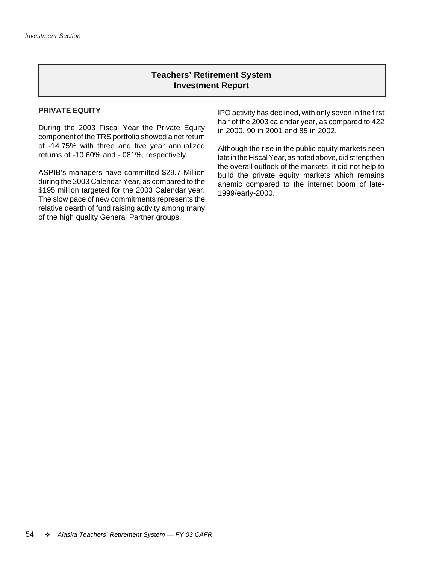## **Teachers' Retirement System Investment Report**

#### **PRIVATE EQUITY**

During the 2003 Fiscal Year the Private Equity component of the TRS portfolio showed a net return of -14.75% with three and five year annualized returns of -10.60% and -.081%, respectively.

ASPIB's managers have committed \$29.7 Million during the 2003 Calendar Year, as compared to the \$195 million targeted for the 2003 Calendar year. The slow pace of new commitments represents the relative dearth of fund raising activity among many of the high quality General Partner groups.

IPO activity has declined, with only seven in the first half of the 2003 calendar year, as compared to 422 in 2000, 90 in 2001 and 85 in 2002.

Although the rise in the public equity markets seen late in the Fiscal Year, as noted above, did strengthen the overall outlook of the markets, it did not help to build the private equity markets which remains anemic compared to the internet boom of late-1999/early-2000.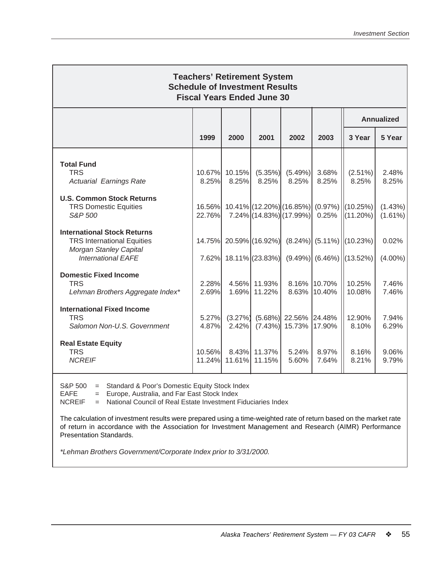| <b>Teachers' Retirement System</b><br><b>Schedule of Investment Results</b><br><b>Fiscal Years Ended June 30</b>               |                  |                     |                                    |                                                        |                        |                                                             |                       |  |  |  |
|--------------------------------------------------------------------------------------------------------------------------------|------------------|---------------------|------------------------------------|--------------------------------------------------------|------------------------|-------------------------------------------------------------|-----------------------|--|--|--|
|                                                                                                                                |                  |                     |                                    |                                                        |                        |                                                             | <b>Annualized</b>     |  |  |  |
|                                                                                                                                | 1999             | 2000                | 2001                               | 2002                                                   | 2003                   | 3 Year                                                      | 5 Year                |  |  |  |
| <b>Total Fund</b><br><b>TRS</b><br><b>Actuarial Earnings Rate</b>                                                              | 10.67%<br>8.25%  | 10.15%<br>8.25%     | $(5.35\%)$<br>8.25%                | (5.49%)<br>8.25%                                       | 3.68%<br>8.25%         | $(2.51\%)$<br>8.25%                                         | 2.48%<br>8.25%        |  |  |  |
| <b>U.S. Common Stock Returns</b><br><b>TRS Domestic Equities</b><br>S&P 500                                                    | 16.56%<br>22.76% |                     |                                    | $10.41\%$ (12.20%) (16.85%)<br>7.24% (14.83%) (17.99%) | $(0.97\%)$<br>0.25%    | (10.25%)<br>$(11.20\%)$                                     | (1.43%)<br>$(1.61\%)$ |  |  |  |
| <b>International Stock Returns</b><br><b>TRS International Equities</b><br>Morgan Stanley Capital<br><b>International EAFE</b> | 14.75%<br>7.62%  |                     | 20.59% (16.92%)<br>18.11% (23.83%) |                                                        |                        | $(8.24\%)$ (5.11%) (10.23%)<br>$(9.49\%)$ (6.46%) ((13.52%) | 0.02%<br>$(4.00\%)$   |  |  |  |
| <b>Domestic Fixed Income</b><br><b>TRS</b><br>Lehman Brothers Aggregate Index*                                                 | 2.28%<br>2.69%   | 1.69%               | 4.56% 11.93%<br>11.22%             | 8.63%                                                  | 8.16% 10.70%<br>10.40% | 10.25%<br>10.08%                                            | 7.46%<br>7.46%        |  |  |  |
| <b>International Fixed Income</b><br><b>TRS</b><br>Salomon Non-U.S. Government                                                 | 5.27%<br>4.87%   | $(3.27\%)$<br>2.42% | $(7.43\%)$                         | $(5.68\%)$ 22.56% 24.48%<br>15.73%                     | 17.90%                 | 12.90%<br>8.10%                                             | 7.94%<br>6.29%        |  |  |  |
| <b>Real Estate Equity</b><br><b>TRS</b><br><b>NCREIF</b>                                                                       | 10.56%<br>11.24% | 11.61%              | 8.43% 11.37%<br>11.15%             | 5.24%<br>5.60%                                         | 8.97%<br>7.64%         | 8.16%<br>8.21%                                              | 9.06%<br>9.79%        |  |  |  |

S&P 500 = Standard & Poor's Domestic Equity Stock Index

EAFE = Europe, Australia, and Far East Stock Index

NCREIF = National Council of Real Estate Investment Fiduciaries Index

The calculation of investment results were prepared using a time-weighted rate of return based on the market rate of return in accordance with the Association for Investment Management and Research (AIMR) Performance Presentation Standards.

*\*Lehman Brothers Government/Corporate Index prior to 3/31/2000.*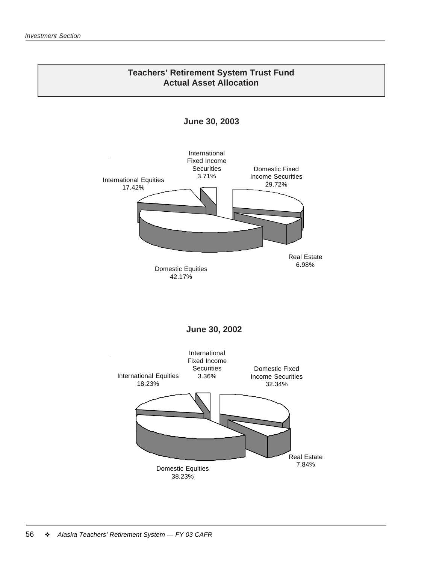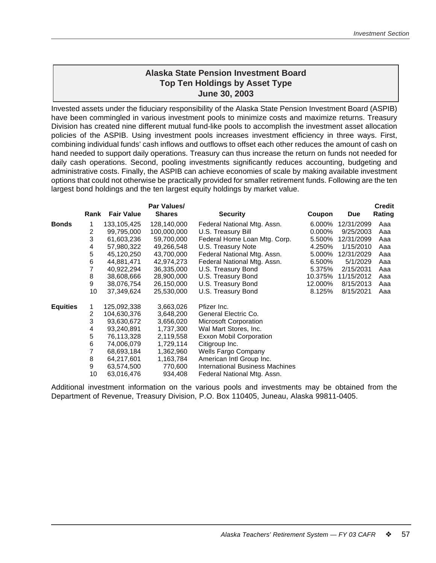## **Alaska State Pension Investment Board Top Ten Holdings by Asset Type June 30, 2003**

Invested assets under the fiduciary responsibility of the Alaska State Pension Investment Board (ASPIB) have been commingled in various investment pools to minimize costs and maximize returns. Treasury Division has created nine different mutual fund-like pools to accomplish the investment asset allocation policies of the ASPIB. Using investment pools increases investment efficiency in three ways. First, combining individual funds' cash inflows and outflows to offset each other reduces the amount of cash on hand needed to support daily operations. Treasury can thus increase the return on funds not needed for daily cash operations. Second, pooling investments significantly reduces accounting, budgeting and administrative costs. Finally, the ASPIB can achieve economies of scale by making available investment options that could not otherwise be practically provided for smaller retirement funds. Following are the ten largest bond holdings and the ten largest equity holdings by market value.

|                 |      |                   | Par Values/   |                                        |           |            | <b>Credit</b> |
|-----------------|------|-------------------|---------------|----------------------------------------|-----------|------------|---------------|
|                 | Rank | <b>Fair Value</b> | <b>Shares</b> | <b>Security</b>                        | Coupon    | <b>Due</b> | Rating        |
| <b>Bonds</b>    |      | 133,105,425       | 128,140,000   | Federal National Mtg. Assn.            | $6.000\%$ | 12/31/2099 | Aaa           |
|                 | 2    | 99,795,000        | 100,000,000   | U.S. Treasury Bill                     | 0.000%    | 9/25/2003  | Aaa           |
|                 | 3    | 61,603,236        | 59,700,000    | Federal Home Loan Mtg. Corp.           | 5.500%    | 12/31/2099 | Aaa           |
|                 | 4    | 57,980,322        | 49,266,548    | U.S. Treasury Note                     | 4.250%    | 1/15/2010  | Aaa           |
|                 | 5    | 45,120,250        | 43.700.000    | Federal National Mtg. Assn.            | 5.000%    | 12/31/2029 | Aaa           |
|                 | 6    | 44,881,471        | 42,974,273    | Federal National Mtg. Assn.            | 6.500%    | 5/1/2029   | Aaa           |
|                 | 7    | 40,922,294        | 36,335,000    | U.S. Treasury Bond                     | 5.375%    | 2/15/2031  | Aaa           |
|                 | 8    | 38,608,666        | 28,900,000    | U.S. Treasury Bond                     | 10.375%   | 11/15/2012 | Aaa           |
|                 | 9    | 38,076,754        | 26,150,000    | U.S. Treasury Bond                     | 12.000%   | 8/15/2013  | Aaa           |
|                 | 10   | 37,349,624        | 25,530,000    | U.S. Treasury Bond                     | 8.125%    | 8/15/2021  | Aaa           |
| <b>Equities</b> | 1.   | 125,092,338       | 3,663,026     | Pfizer Inc.                            |           |            |               |
|                 | 2    | 104,630,376       | 3,648,200     | General Electric Co.                   |           |            |               |
|                 | 3    | 93,630,672        | 3,656,020     | Microsoft Corporation                  |           |            |               |
|                 | 4    | 93,240,891        | 1,737,300     | Wal Mart Stores, Inc.                  |           |            |               |
|                 | 5    | 76,113,328        | 2,119,558     | Exxon Mobil Corporation                |           |            |               |
|                 | 6    | 74,006,079        | 1,729,114     | Citigroup Inc.                         |           |            |               |
|                 | 7    | 68,693,184        | 1,362,960     | <b>Wells Fargo Company</b>             |           |            |               |
|                 | 8    | 64,217,601        | 1,163,784     | American Intl Group Inc.               |           |            |               |
|                 | 9    | 63,574,500        | 770,600       | <b>International Business Machines</b> |           |            |               |
|                 | 10   | 63,016,476        | 934,408       | Federal National Mtg. Assn.            |           |            |               |

Additional investment information on the various pools and investments may be obtained from the Department of Revenue, Treasury Division, P.O. Box 110405, Juneau, Alaska 99811-0405.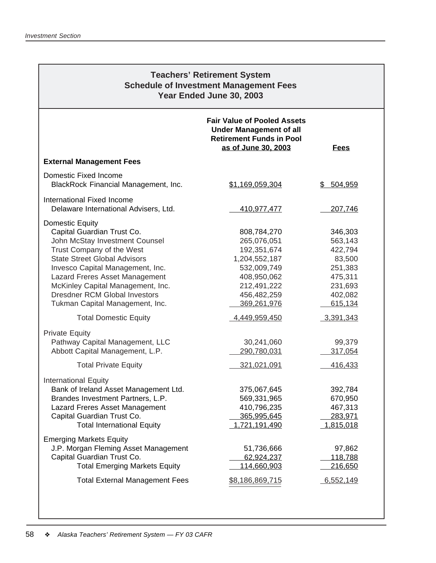| <b>Teachers' Retirement System</b><br><b>Schedule of Investment Management Fees</b><br>Year Ended June 30, 2003                                                                                                                                                                                                                                                           |                                                                                                                                                        |                                                                                                             |  |  |  |  |  |  |
|---------------------------------------------------------------------------------------------------------------------------------------------------------------------------------------------------------------------------------------------------------------------------------------------------------------------------------------------------------------------------|--------------------------------------------------------------------------------------------------------------------------------------------------------|-------------------------------------------------------------------------------------------------------------|--|--|--|--|--|--|
|                                                                                                                                                                                                                                                                                                                                                                           | <b>Fair Value of Pooled Assets</b><br><b>Under Management of all</b><br><b>Retirement Funds in Pool</b><br>as of June 30, 2003                         | <b>Fees</b>                                                                                                 |  |  |  |  |  |  |
| <b>External Management Fees</b>                                                                                                                                                                                                                                                                                                                                           |                                                                                                                                                        |                                                                                                             |  |  |  |  |  |  |
| Domestic Fixed Income<br>BlackRock Financial Management, Inc.                                                                                                                                                                                                                                                                                                             | \$1,169,059,304                                                                                                                                        | \$504,959                                                                                                   |  |  |  |  |  |  |
| International Fixed Income<br>Delaware International Advisers, Ltd.                                                                                                                                                                                                                                                                                                       | 410,977,477                                                                                                                                            | 207,746                                                                                                     |  |  |  |  |  |  |
| Domestic Equity<br>Capital Guardian Trust Co.<br>John McStay Investment Counsel<br>Trust Company of the West<br><b>State Street Global Advisors</b><br>Invesco Capital Management, Inc.<br>Lazard Freres Asset Management<br>McKinley Capital Management, Inc.<br><b>Dresdner RCM Global Investors</b><br>Tukman Capital Management, Inc.<br><b>Total Domestic Equity</b> | 808,784,270<br>265,076,051<br>192,351,674<br>1,204,552,187<br>532,009,749<br>408,950,062<br>212,491,222<br>456,482,259<br>369,261,976<br>4,449,959,450 | 346,303<br>563,143<br>422,794<br>83,500<br>251,383<br>475,311<br>231,693<br>402,082<br>615,134<br>3,391,343 |  |  |  |  |  |  |
| <b>Private Equity</b><br>Pathway Capital Management, LLC<br>Abbott Capital Management, L.P.                                                                                                                                                                                                                                                                               | 30,241,060<br>290,780,031                                                                                                                              | 99,379<br>317,054                                                                                           |  |  |  |  |  |  |
| <b>Total Private Equity</b>                                                                                                                                                                                                                                                                                                                                               | 321,021,091                                                                                                                                            | 416,433                                                                                                     |  |  |  |  |  |  |
| <b>International Equity</b><br>Bank of Ireland Asset Management Ltd.<br>Brandes Investment Partners, L.P.<br>Lazard Freres Asset Management<br>Capital Guardian Trust Co.<br><b>Total International Equity</b>                                                                                                                                                            | 375,067,645<br>569,331,965<br>410,796,235<br>365,995,645<br><u>1,721,191,490</u>                                                                       | 392,784<br>670,950<br>467,313<br>283,971<br>1,815,018                                                       |  |  |  |  |  |  |
| <b>Emerging Markets Equity</b><br>J.P. Morgan Fleming Asset Management<br>Capital Guardian Trust Co.<br><b>Total Emerging Markets Equity</b>                                                                                                                                                                                                                              | 51,736,666<br>62,924,237<br>114,660,903                                                                                                                | 97,862<br>118,788<br>216,650                                                                                |  |  |  |  |  |  |
| <b>Total External Management Fees</b>                                                                                                                                                                                                                                                                                                                                     | \$8,186,869,715                                                                                                                                        | 6,552,149                                                                                                   |  |  |  |  |  |  |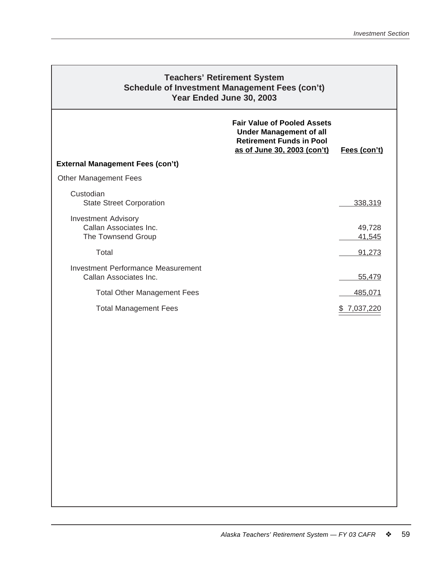| <b>Teachers' Retirement System</b><br><b>Schedule of Investment Management Fees (con't)</b><br>Year Ended June 30, 2003 |                                                                                                                                        |                  |  |  |  |  |  |
|-------------------------------------------------------------------------------------------------------------------------|----------------------------------------------------------------------------------------------------------------------------------------|------------------|--|--|--|--|--|
|                                                                                                                         | <b>Fair Value of Pooled Assets</b><br><b>Under Management of all</b><br><b>Retirement Funds in Pool</b><br>as of June 30, 2003 (con't) | Fees (con't)     |  |  |  |  |  |
| <b>External Management Fees (con't)</b>                                                                                 |                                                                                                                                        |                  |  |  |  |  |  |
| <b>Other Management Fees</b>                                                                                            |                                                                                                                                        |                  |  |  |  |  |  |
| Custodian<br><b>State Street Corporation</b>                                                                            |                                                                                                                                        | 338,319          |  |  |  |  |  |
| <b>Investment Advisory</b><br>Callan Associates Inc.<br>The Townsend Group                                              |                                                                                                                                        | 49,728<br>41,545 |  |  |  |  |  |
| Total                                                                                                                   |                                                                                                                                        | 91,273           |  |  |  |  |  |
| <b>Investment Performance Measurement</b><br>Callan Associates Inc.                                                     |                                                                                                                                        | 55,479           |  |  |  |  |  |
| <b>Total Other Management Fees</b>                                                                                      |                                                                                                                                        | 485,071          |  |  |  |  |  |
| <b>Total Management Fees</b>                                                                                            |                                                                                                                                        | \$7,037,220      |  |  |  |  |  |
|                                                                                                                         |                                                                                                                                        |                  |  |  |  |  |  |
|                                                                                                                         |                                                                                                                                        |                  |  |  |  |  |  |
|                                                                                                                         |                                                                                                                                        |                  |  |  |  |  |  |
|                                                                                                                         |                                                                                                                                        |                  |  |  |  |  |  |
|                                                                                                                         |                                                                                                                                        |                  |  |  |  |  |  |
|                                                                                                                         |                                                                                                                                        |                  |  |  |  |  |  |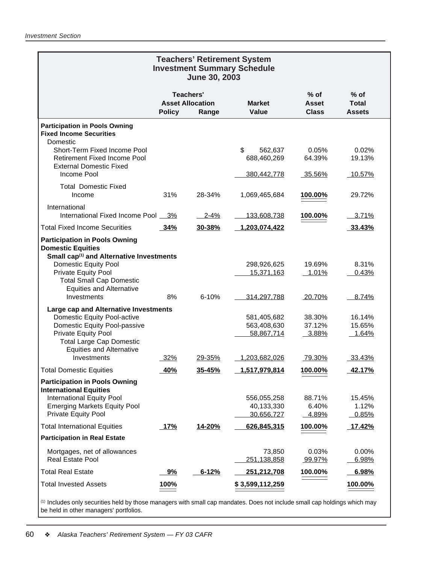| <b>Teachers' Retirement System</b><br><b>Investment Summary Schedule</b><br>June 30, 2003                                                                                                                                                                                  |               |                                                      |                                                           |                                        |                                         |  |  |  |  |  |
|----------------------------------------------------------------------------------------------------------------------------------------------------------------------------------------------------------------------------------------------------------------------------|---------------|------------------------------------------------------|-----------------------------------------------------------|----------------------------------------|-----------------------------------------|--|--|--|--|--|
|                                                                                                                                                                                                                                                                            | <b>Policy</b> | <b>Teachers'</b><br><b>Asset Allocation</b><br>Range | <b>Market</b><br>Value                                    | $%$ of<br><b>Asset</b><br><b>Class</b> | $%$ of<br><b>Total</b><br><b>Assets</b> |  |  |  |  |  |
| <b>Participation in Pools Owning</b><br><b>Fixed Income Securities</b><br>Domestic                                                                                                                                                                                         |               |                                                      |                                                           |                                        |                                         |  |  |  |  |  |
| Short-Term Fixed Income Pool<br><b>Retirement Fixed Income Pool</b><br><b>External Domestic Fixed</b>                                                                                                                                                                      |               |                                                      | \$<br>562,637<br>688,460,269                              | 0.05%<br>64.39%                        | 0.02%<br>19.13%                         |  |  |  |  |  |
| Income Pool                                                                                                                                                                                                                                                                |               |                                                      | 380,442,778                                               | <u>35.56%</u>                          | 10.57%                                  |  |  |  |  |  |
| <b>Total Domestic Fixed</b><br>Income                                                                                                                                                                                                                                      | 31%           | 28-34%                                               | 1,069,465,684                                             | 100.00%                                | 29.72%                                  |  |  |  |  |  |
| International<br>International Fixed Income Pool 3%                                                                                                                                                                                                                        |               | $2 - 4%$                                             | <u>133,608,738</u>                                        | 100.00%                                | 3.71%                                   |  |  |  |  |  |
| <b>Total Fixed Income Securities</b>                                                                                                                                                                                                                                       | 34%           | 30-38%                                               | 1,203,074,422                                             |                                        | 33.43%                                  |  |  |  |  |  |
| <b>Participation in Pools Owning</b><br><b>Domestic Equities</b><br>Small cap <sup>(1)</sup> and Alternative Investments<br><b>Domestic Equity Pool</b><br><b>Private Equity Pool</b><br><b>Total Small Cap Domestic</b><br><b>Equities and Alternative</b><br>Investments | 8%            | $6 - 10%$                                            | 298,926,625<br>15,371,163<br>314,297,788                  | 19.69%<br>1.01%<br>20.70%              | 8.31%<br>0.43%<br>8.74%                 |  |  |  |  |  |
| Large cap and Alternative Investments<br>Domestic Equity Pool-active<br>Domestic Equity Pool-passive<br>Private Equity Pool<br><b>Total Large Cap Domestic</b><br><b>Equities and Alternative</b><br>Investments                                                           | 32%           | 29-35%                                               | 581,405,682<br>563,408,630<br>58,867,714<br>1,203,682,026 | 38.30%<br>37.12%<br>3.88%<br>79.30%    | 16.14%<br>15.65%<br>1.64%<br>33.43%     |  |  |  |  |  |
| <b>Total Domestic Equities</b>                                                                                                                                                                                                                                             | 40%           | 35-45%                                               | 1,517,979,814                                             | 100.00%                                | 42.17%                                  |  |  |  |  |  |
| <b>Participation in Pools Owning</b><br><b>International Equities</b><br><b>International Equity Pool</b><br><b>Emerging Markets Equity Pool</b><br>Private Equity Pool                                                                                                    |               |                                                      | 556,055,258<br>40,133,330<br>30,656,727                   | 88.71%<br>6.40%<br>4.89%               | 15.45%<br>1.12%<br>0.85%                |  |  |  |  |  |
| <b>Total International Equities</b>                                                                                                                                                                                                                                        | 17%           | 14-20%                                               | 626,845,315                                               | 100.00%                                | 17.42%                                  |  |  |  |  |  |
| <b>Participation in Real Estate</b>                                                                                                                                                                                                                                        |               |                                                      |                                                           |                                        |                                         |  |  |  |  |  |
| Mortgages, net of allowances<br>Real Estate Pool                                                                                                                                                                                                                           |               |                                                      | 73,850<br>251,138,858                                     | 0.03%<br>99.97%                        | 0.00%<br>6.98%                          |  |  |  |  |  |
| <b>Total Real Estate</b>                                                                                                                                                                                                                                                   | 9%            | $6 - 12%$                                            | 251,212,708                                               | 100.00%                                | 6.98%                                   |  |  |  |  |  |
| <b>Total Invested Assets</b>                                                                                                                                                                                                                                               | 100%          |                                                      | \$3,599,112,259                                           |                                        | 100.00%                                 |  |  |  |  |  |

 $<sup>(1)</sup>$  Includes only securities held by those managers with small cap mandates. Does not include small cap holdings which may</sup> be held in other managers' portfolios.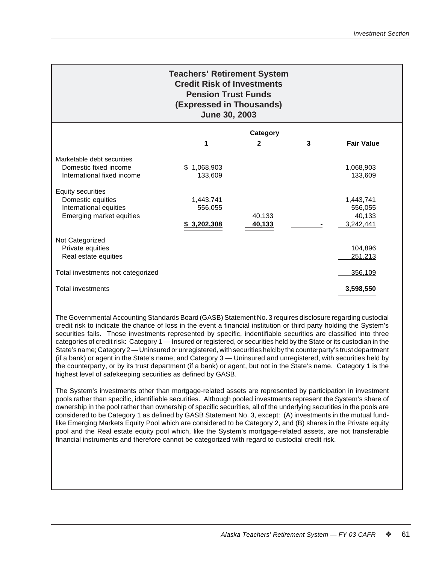# **Teachers' Retirement System Credit Risk of Investments Pension Trust Funds (Expressed in Thousands) June 30, 2003**

|                                   |                 | Category      |   |                   |
|-----------------------------------|-----------------|---------------|---|-------------------|
|                                   | 1               | $\mathbf{2}$  | 3 | <b>Fair Value</b> |
| Marketable debt securities        |                 |               |   |                   |
| Domestic fixed income             | 1,068,903<br>S. |               |   | 1,068,903         |
| International fixed income        | 133,609         |               |   | 133,609           |
| <b>Equity securities</b>          |                 |               |   |                   |
| Domestic equities                 | 1,443,741       |               |   | 1,443,741         |
| International equities            | 556,055         |               |   | 556,055           |
| Emerging market equities          |                 | <u>40,133</u> |   | 40,133            |
|                                   | \$3,202,308     | 40,133        |   | 3,242,441         |
| Not Categorized                   |                 |               |   |                   |
| Private equities                  |                 |               |   | 104,896           |
| Real estate equities              |                 |               |   | 251,213           |
| Total investments not categorized |                 |               |   | 356,109           |
| <b>Total investments</b>          |                 |               |   | 3,598,550         |

The Governmental Accounting Standards Board (GASB) Statement No. 3 requires disclosure regarding custodial credit risk to indicate the chance of loss in the event a financial institution or third party holding the System's securities fails. Those investments represented by specific, indentifiable securities are classified into three categories of credit risk: Category 1 — Insured or registered, or securities held by the State or its custodian in the State's name; Category 2 — Uninsured or unregistered, with securities held by the counterparty's trust department (if a bank) or agent in the State's name; and Category 3 — Uninsured and unregistered, with securities held by the counterparty, or by its trust department (if a bank) or agent, but not in the State's name. Category 1 is the highest level of safekeeping securities as defined by GASB.

The System's investments other than mortgage-related assets are represented by participation in investment pools rather than specific, identifiable securities. Although pooled investments represent the System's share of ownership in the pool rather than ownership of specific securities, all of the underlying securities in the pools are considered to be Category 1 as defined by GASB Statement No. 3, except: (A) investments in the mutual fundlike Emerging Markets Equity Pool which are considered to be Category 2, and (B) shares in the Private equity pool and the Real estate equity pool which, like the System's mortgage-related assets, are not transferable financial instruments and therefore cannot be categorized with regard to custodial credit risk.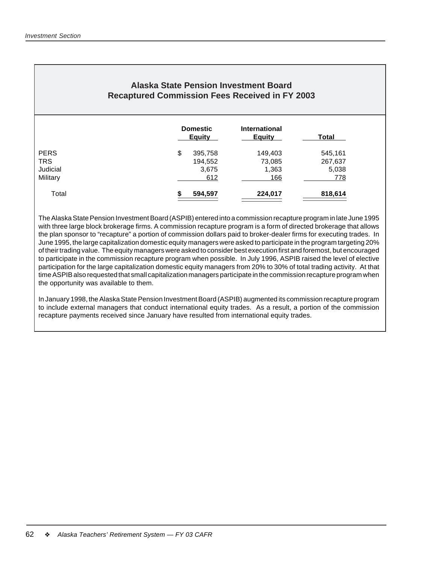# **Alaska State Pension Investment Board Recaptured Commission Fees Received in FY 2003**

|             | <b>Domestic</b><br><b>Equity</b> | <b>International</b><br><b>Equity</b> | Total   |
|-------------|----------------------------------|---------------------------------------|---------|
| <b>PERS</b> | \$<br>395,758                    | 149,403                               | 545,161 |
| <b>TRS</b>  | 194,552                          | 73,085                                | 267,637 |
| Judicial    | 3,675                            | 1,363                                 | 5,038   |
| Military    | 612                              | 166                                   | 778     |
| Total       | 594,597<br>\$                    | 224,017                               | 818,614 |

The Alaska State Pension Investment Board (ASPIB) entered into a commission recapture program in late June 1995 with three large block brokerage firms. A commission recapture program is a form of directed brokerage that allows the plan sponsor to "recapture" a portion of commission dollars paid to broker-dealer firms for executing trades. In June 1995, the large capitalization domestic equity managers were asked to participate in the program targeting 20% of their trading value. The equity managers were asked to consider best execution first and foremost, but encouraged to participate in the commission recapture program when possible. In July 1996, ASPIB raised the level of elective participation for the large capitalization domestic equity managers from 20% to 30% of total trading activity. At that time ASPIB also requested that small capitalization managers participate in the commission recapture program when the opportunity was available to them.

In January 1998, the Alaska State Pension Investment Board (ASPIB) augmented its commission recapture program to include external managers that conduct international equity trades. As a result, a portion of the commission recapture payments received since January have resulted from international equity trades.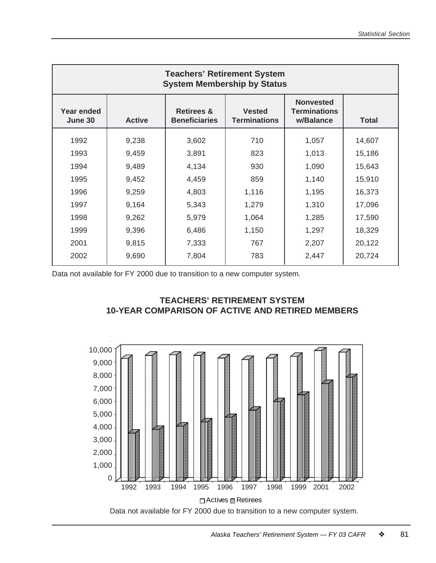|                              | <b>Teachers' Retirement System</b><br><b>System Membership by Status</b> |                                               |                                      |                                                      |              |  |  |  |  |  |
|------------------------------|--------------------------------------------------------------------------|-----------------------------------------------|--------------------------------------|------------------------------------------------------|--------------|--|--|--|--|--|
| <b>Year ended</b><br>June 30 | <b>Active</b>                                                            | <b>Retirees &amp;</b><br><b>Beneficiaries</b> | <b>Vested</b><br><b>Terminations</b> | <b>Nonvested</b><br><b>Terminations</b><br>w/Balance | <b>Total</b> |  |  |  |  |  |
| 1992                         | 9,238                                                                    | 3,602                                         | 710                                  | 1,057                                                | 14,607       |  |  |  |  |  |
| 1993                         | 9,459                                                                    | 3,891                                         | 823                                  | 1,013                                                | 15,186       |  |  |  |  |  |
| 1994                         | 9,489                                                                    | 4,134                                         | 930                                  | 1,090                                                | 15,643       |  |  |  |  |  |
| 1995                         | 9,452                                                                    | 4,459                                         | 859                                  | 1,140                                                | 15,910       |  |  |  |  |  |
| 1996                         | 9,259                                                                    | 4,803                                         | 1,116                                | 1,195                                                | 16,373       |  |  |  |  |  |
| 1997                         | 9,164                                                                    | 5,343                                         | 1,279                                | 1,310                                                | 17,096       |  |  |  |  |  |
| 1998                         | 9,262                                                                    | 5,979                                         | 1,064                                | 1,285                                                | 17,590       |  |  |  |  |  |
| 1999                         | 9,396                                                                    | 6,486                                         | 1,150                                | 1,297                                                | 18,329       |  |  |  |  |  |
| 2001                         | 9,815                                                                    | 7,333                                         | 767                                  | 2,207                                                | 20,122       |  |  |  |  |  |
| 2002                         | 9,690                                                                    | 7,804                                         | 783                                  | 2,447                                                | 20,724       |  |  |  |  |  |

Data not available for FY 2000 due to transition to a new computer system.

# **TEACHERS' RETIREMENT SYSTEM 10-YEAR COMPARISON OF ACTIVE AND RETIRED MEMBERS**



Data not available for FY 2000 due to transition to a new computer system.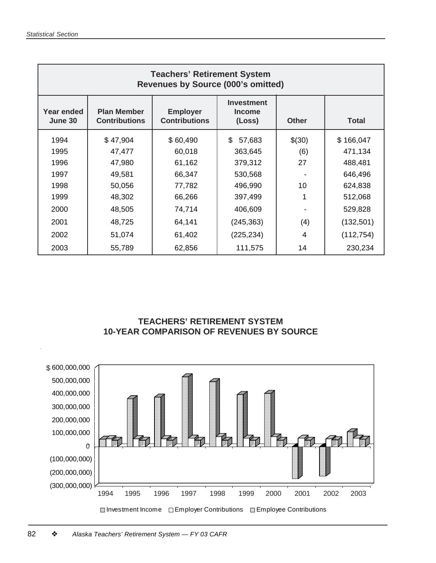|                       | <b>Teachers' Retirement System</b><br><b>Revenues by Source (000's omitted)</b> |          |                                                                                         |                |              |  |  |  |  |  |
|-----------------------|---------------------------------------------------------------------------------|----------|-----------------------------------------------------------------------------------------|----------------|--------------|--|--|--|--|--|
| Year ended<br>June 30 | <b>Plan Member</b><br><b>Contributions</b>                                      |          | <b>Investment</b><br><b>Employer</b><br><b>Income</b><br><b>Contributions</b><br>(Loss) |                | <b>Total</b> |  |  |  |  |  |
| 1994                  | \$47,904                                                                        | \$60,490 | \$<br>57,683                                                                            | \$(30)         | \$166,047    |  |  |  |  |  |
| 1995                  | 47,477                                                                          | 60,018   | 363,645                                                                                 | (6)            | 471,134      |  |  |  |  |  |
| 1996                  | 47,980                                                                          | 61,162   | 379,312                                                                                 | 27             | 488,481      |  |  |  |  |  |
| 1997                  | 49,581                                                                          | 66,347   | 530,568                                                                                 |                | 646,496      |  |  |  |  |  |
| 1998                  | 50,056                                                                          | 77,782   | 496,990                                                                                 | 10             | 624,838      |  |  |  |  |  |
| 1999                  | 48,302                                                                          | 66,266   | 397,499                                                                                 | 1              | 512,068      |  |  |  |  |  |
| 2000                  | 48,505                                                                          | 74,714   | 406,609                                                                                 |                | 529,828      |  |  |  |  |  |
| 2001                  | 48,725                                                                          | 64,141   | (245, 363)                                                                              | (4)            | (132, 501)   |  |  |  |  |  |
| 2002                  | 51,074                                                                          | 61,402   | (225, 234)                                                                              | $\overline{4}$ | (112, 754)   |  |  |  |  |  |
| 2003                  | 55,789                                                                          | 62,856   | 111,575                                                                                 | 14             | 230,234      |  |  |  |  |  |

# **TEACHERS' RETIREMENT SYSTEM 10-YEAR COMPARISON OF REVENUES BY SOURCE**

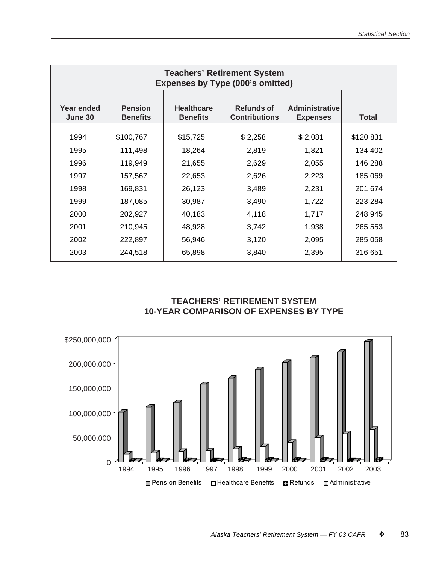|                              | <b>Teachers' Retirement System</b><br><b>Expenses by Type (000's omitted)</b> |                                      |                                           |                                          |              |  |  |  |  |  |
|------------------------------|-------------------------------------------------------------------------------|--------------------------------------|-------------------------------------------|------------------------------------------|--------------|--|--|--|--|--|
| <b>Year ended</b><br>June 30 | <b>Pension</b><br><b>Benefits</b>                                             | <b>Healthcare</b><br><b>Benefits</b> | <b>Refunds of</b><br><b>Contributions</b> | <b>Administrative</b><br><b>Expenses</b> | <b>Total</b> |  |  |  |  |  |
| 1994                         | \$100,767                                                                     | \$15,725                             | \$2,258                                   | \$2,081                                  | \$120,831    |  |  |  |  |  |
| 1995                         | 111,498                                                                       | 18,264                               | 2,819                                     | 1,821                                    | 134,402      |  |  |  |  |  |
| 1996                         | 119,949                                                                       | 21,655                               | 2,629                                     | 2,055                                    | 146,288      |  |  |  |  |  |
| 1997                         | 157,567                                                                       | 22,653                               | 2,626                                     | 2,223                                    | 185,069      |  |  |  |  |  |
| 1998                         | 169,831                                                                       | 26,123                               | 3,489                                     | 2,231                                    | 201,674      |  |  |  |  |  |
| 1999                         | 187,085                                                                       | 30,987                               | 3,490                                     | 1,722                                    | 223,284      |  |  |  |  |  |
| 2000                         | 202,927                                                                       | 40,183                               | 4,118                                     | 1,717                                    | 248,945      |  |  |  |  |  |
| 2001                         | 210,945                                                                       | 48,928                               | 3,742                                     | 1,938                                    | 265,553      |  |  |  |  |  |
| 2002                         | 222,897                                                                       | 56,946                               | 3,120                                     | 2,095                                    | 285,058      |  |  |  |  |  |
| 2003                         | 244,518                                                                       | 65,898                               | 3,840                                     | 2,395                                    | 316,651      |  |  |  |  |  |

# **TEACHERS' RETIREMENT SYSTEM 10-YEAR COMPARISON OF EXPENSES BY TYPE**

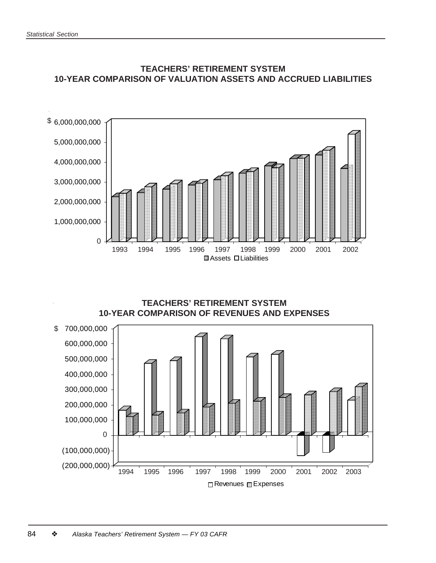

**TEACHERS' RETIREMENT SYSTEM 10-YEAR COMPARISON OF VALUATION ASSETS AND ACCRUED LIABILITIES**

> **TEACHERS' RETIREMENT SYSTEM 10-YEAR COMPARISON OF REVENUES AND EXPENSES**

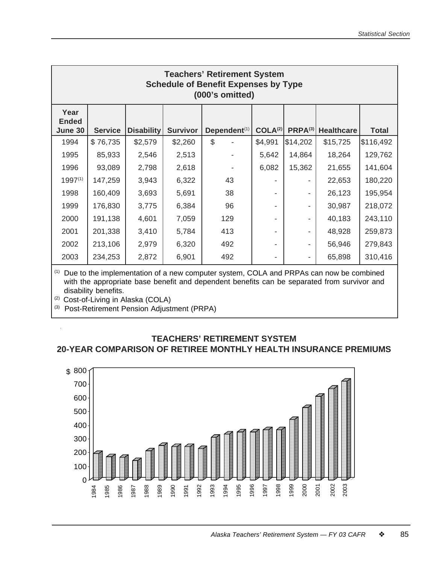| <b>Teachers' Retirement System</b><br><b>Schedule of Benefit Expenses by Type</b><br>(000's omitted) |                |                   |                 |                          |                     |          |                   |              |  |
|------------------------------------------------------------------------------------------------------|----------------|-------------------|-----------------|--------------------------|---------------------|----------|-------------------|--------------|--|
| Year<br><b>Ended</b><br>June 30                                                                      | <b>Service</b> | <b>Disability</b> | <b>Survivor</b> | Dependent <sup>(1)</sup> | COLA <sup>(2)</sup> | PRPA(3)  | <b>Healthcare</b> | <b>Total</b> |  |
| 1994                                                                                                 | \$76,735       | \$2,579           | \$2,260         | \$                       | \$4,991             | \$14,202 | \$15,725          | \$116,492    |  |
| 1995                                                                                                 | 85,933         | 2,546             | 2,513           |                          | 5,642               | 14,864   | 18,264            | 129,762      |  |
| 1996                                                                                                 | 93,089         | 2,798             | 2,618           |                          | 6,082               | 15,362   | 21,655            | 141,604      |  |
| 1997(1)                                                                                              | 147,259        | 3,943             | 6,322           | 43                       | -                   |          | 22,653            | 180,220      |  |
| 1998                                                                                                 | 160,409        | 3,693             | 5,691           | 38                       |                     |          | 26,123            | 195,954      |  |
| 1999                                                                                                 | 176,830        | 3,775             | 6,384           | 96                       |                     |          | 30,987            | 218,072      |  |
| 2000                                                                                                 | 191,138        | 4,601             | 7,059           | 129                      |                     |          | 40,183            | 243,110      |  |
| 2001                                                                                                 | 201,338        | 3,410             | 5,784           | 413                      |                     |          | 48,928            | 259,873      |  |
| 2002                                                                                                 | 213,106        | 2,979             | 6,320           | 492                      |                     |          | 56,946            | 279,843      |  |
| 2003                                                                                                 | 234,253        | 2,872             | 6,901           | 492                      | ۰                   |          | 65,898            | 310,416      |  |

(1) Due to the implementation of a new computer system, COLA and PRPAs can now be combined with the appropriate base benefit and dependent benefits can be separated from survivor and disability benefits.

(2) Cost-of-Living in Alaska (COLA)

(3) Post-Retirement Pension Adjustment (PRPA)

## **TEACHERS' RETIREMENT SYSTEM 20-YEAR COMPARISON OF RETIREE MONTHLY HEALTH INSURANCE PREMIUMS**

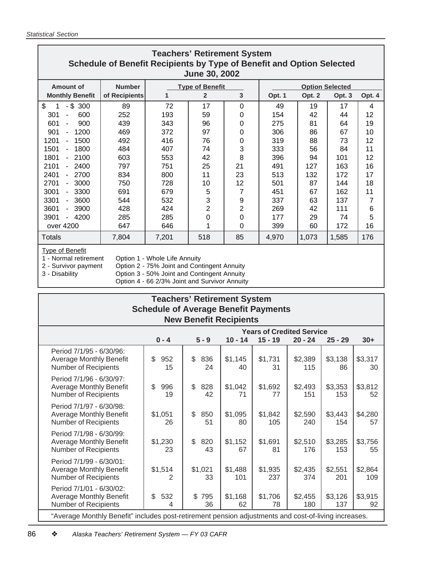| <b>Teachers' Retirement System</b><br>Schedule of Benefit Recipients by Type of Benefit and Option Selected<br><b>June 30, 2002</b> |               |       |                        |          |        |                        |        |        |  |  |
|-------------------------------------------------------------------------------------------------------------------------------------|---------------|-------|------------------------|----------|--------|------------------------|--------|--------|--|--|
| Amount of                                                                                                                           | <b>Number</b> |       | <b>Type of Benefit</b> |          |        | <b>Option Selected</b> |        |        |  |  |
| <b>Monthly Benefit</b>                                                                                                              | of Recipients | 1     | 2                      | 3        | Opt. 1 | Opt. 2                 | Opt. 3 | Opt. 4 |  |  |
| \$<br>- \$<br>300                                                                                                                   | 89            | 72    | 17                     | $\Omega$ | 49     | 19                     | 17     | 4      |  |  |
| 301<br>600                                                                                                                          | 252           | 193   | 59                     | 0        | 154    | 42                     | 44     | 12     |  |  |
| 601<br>900                                                                                                                          | 439           | 343   | 96                     | 0        | 275    | 81                     | 64     | 19     |  |  |
| 901<br>1200                                                                                                                         | 469           | 372   | 97                     | 0        | 306    | 86                     | 67     | 10     |  |  |
| 1201<br>1500                                                                                                                        | 492           | 416   | 76                     | 0        | 319    | 88                     | 73     | 12     |  |  |
| 1501<br>1800                                                                                                                        | 484           | 407   | 74                     | 3        | 333    | 56                     | 84     | 11     |  |  |
| 1801<br>2100<br>$\blacksquare$                                                                                                      | 603           | 553   | 42                     | 8        | 396    | 94                     | 101    | 12     |  |  |
| 2101<br>2400                                                                                                                        | 797           | 751   | 25                     | 21       | 491    | 127                    | 163    | 16     |  |  |
| 2401<br>2700                                                                                                                        | 834           | 800   | 11                     | 23       | 513    | 132                    | 172    | 17     |  |  |
| 2701<br>3000                                                                                                                        | 750           | 728   | 10                     | 12       | 501    | 87                     | 144    | 18     |  |  |
| 3001<br>3300                                                                                                                        | 691           | 679   | 5                      | 7        | 451    | 67                     | 162    | 11     |  |  |
| 3301<br>3600<br>$\blacksquare$                                                                                                      | 544           | 532   | 3                      | 9        | 337    | 63                     | 137    | 7      |  |  |
| 3601<br>3900                                                                                                                        | 428           | 424   | 2                      | 2        | 269    | 42                     | 111    | 6      |  |  |
| 4200<br>3901                                                                                                                        | 285           | 285   | 0                      | 0        | 177    | 29                     | 74     | 5      |  |  |
| over 4200                                                                                                                           | 647           | 646   | 1                      | $\Omega$ | 399    | 60                     | 172    | 16     |  |  |
| Totals                                                                                                                              | 7,804         | 7,201 | 518                    | 85       | 4,970  | 1,073                  | 1,585  | 176    |  |  |

Type of Benefit<br>1 - Normal retirement

1 - Normal retirement Option 1 - Whole Life Annuity<br>2 - Survivor payment Option 2 - 75% Joint and Con

2 - Survivor payment Option 2 - 75% Joint and Contingent Annuity<br>3 - Disability Option 3 - 50% Joint and Contingent Annuity Option 3 - 50% Joint and Contingent Annuity

Option 4 - 66 2/3% Joint and Survivor Annuity

| <b>Teachers' Retirement System</b>                                                                   |                                  |                 |                |                |                |                |                |
|------------------------------------------------------------------------------------------------------|----------------------------------|-----------------|----------------|----------------|----------------|----------------|----------------|
| <b>Schedule of Average Benefit Payments</b>                                                          |                                  |                 |                |                |                |                |                |
| <b>New Benefit Recipients</b>                                                                        |                                  |                 |                |                |                |                |                |
|                                                                                                      | <b>Years of Credited Service</b> |                 |                |                |                |                |                |
|                                                                                                      | $0 - 4$                          | $5 - 9$         | $10 - 14$      | $15 - 19$      | $20 - 24$      | $25 - 29$      | $30+$          |
| Period 7/1/95 - 6/30/96:<br><b>Average Monthly Benefit</b><br>Number of Recipients                   | \$<br>952<br>15                  | \$<br>836<br>24 | \$1,145<br>40  | \$1,731<br>31  | \$2,389<br>115 | \$3,138<br>86  | \$3,317<br>30  |
| Period 7/1/96 - 6/30/97:<br><b>Average Monthly Benefit</b><br>Number of Recipients                   | \$<br>996<br>19                  | \$<br>828<br>42 | \$1,042<br>71  | \$1,692<br>77  | \$2,493<br>151 | \$3,353<br>153 | \$3,812<br>52  |
| Period 7/1/97 - 6/30/98:<br><b>Average Monthly Benefit</b><br>Number of Recipients                   | \$1,051<br>26                    | \$<br>850<br>51 | \$1,095<br>80  | \$1,842<br>105 | \$2,590<br>240 | \$3,443<br>154 | \$4,280<br>57  |
| Period 7/1/98 - 6/30/99:<br><b>Average Monthly Benefit</b><br>Number of Recipients                   | \$1,230<br>23                    | \$<br>820<br>43 | \$1,152<br>67  | \$1,691<br>81  | \$2,510<br>176 | \$3,285<br>153 | \$3,756<br>55  |
| Period 7/1/99 - 6/30/01:<br><b>Average Monthly Benefit</b><br>Number of Recipients                   | \$1,514<br>2                     | \$1,021<br>33   | \$1,488<br>101 | \$1,935<br>237 | \$2,435<br>374 | \$2,551<br>201 | \$2,864<br>109 |
| Period 7/1/01 - 6/30/02:<br><b>Average Monthly Benefit</b><br>Number of Recipients                   | \$<br>532<br>4                   | \$<br>795<br>36 | \$1,168<br>62  | \$1,706<br>78  | \$2,455<br>180 | \$3,126<br>137 | \$3,915<br>92  |
| "Average Monthly Benefit" includes post-retirement pension adjustments and cost-of-living increases. |                                  |                 |                |                |                |                |                |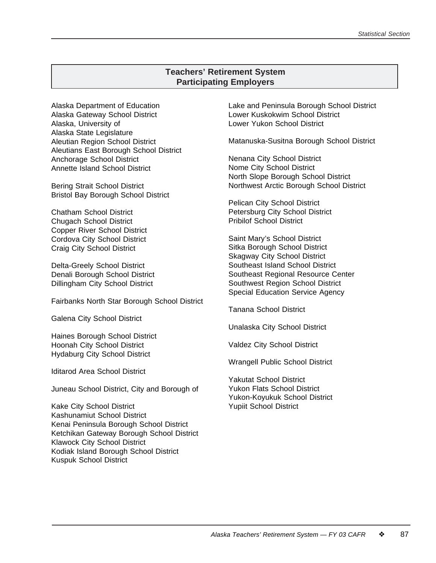## **Teachers' Retirement System Participating Employers**

Alaska Department of Education Alaska Gateway School District Alaska, University of Alaska State Legislature Aleutian Region School District Aleutians East Borough School District Anchorage School District Annette Island School District

Bering Strait School District Bristol Bay Borough School District

Chatham School District Chugach School District Copper River School District Cordova City School District Craig City School District

Delta-Greely School District Denali Borough School District Dillingham City School District

Fairbanks North Star Borough School District

Galena City School District

Haines Borough School District Hoonah City School District Hydaburg City School District

Iditarod Area School District

Juneau School District, City and Borough of

Kake City School District Kashunamiut School District Kenai Peninsula Borough School District Ketchikan Gateway Borough School District Klawock City School District Kodiak Island Borough School District Kuspuk School District

Lake and Peninsula Borough School District Lower Kuskokwim School District Lower Yukon School District

Matanuska-Susitna Borough School District

Nenana City School District Nome City School District North Slope Borough School District Northwest Arctic Borough School District

Pelican City School District Petersburg City School District Pribilof School District

Saint Mary's School District Sitka Borough School District Skagway City School District Southeast Island School District Southeast Regional Resource Center Southwest Region School District Special Education Service Agency

Tanana School District

Unalaska City School District

Valdez City School District

Wrangell Public School District

Yakutat School District Yukon Flats School District Yukon-Koyukuk School District Yupiit School District